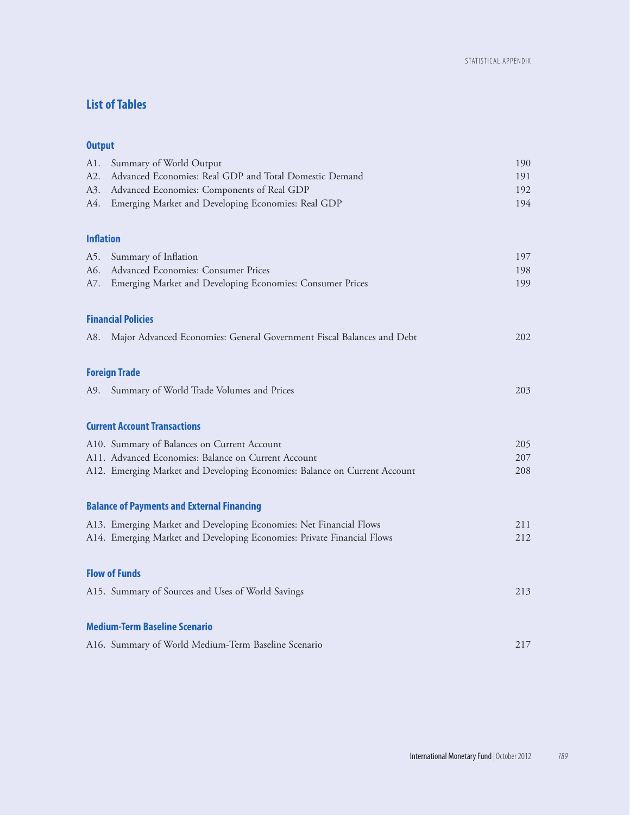# **List of Tables**

# **Output**

| Al.              | Summary of World Output                                                   | 190 |
|------------------|---------------------------------------------------------------------------|-----|
| A2.              | Advanced Economies: Real GDP and Total Domestic Demand                    | 191 |
| A3.              | Advanced Economies: Components of Real GDP                                | 192 |
| A4.              | Emerging Market and Developing Economies: Real GDP                        | 194 |
| <b>Inflation</b> |                                                                           |     |
| A5.              | Summary of Inflation                                                      | 197 |
| A6.              | Advanced Economies: Consumer Prices                                       | 198 |
| A7.              | Emerging Market and Developing Economies: Consumer Prices                 | 199 |
|                  | <b>Financial Policies</b>                                                 |     |
| A8.              | Major Advanced Economies: General Government Fiscal Balances and Debt     | 202 |
|                  | <b>Foreign Trade</b>                                                      |     |
| A9.              | Summary of World Trade Volumes and Prices                                 | 203 |
|                  | <b>Current Account Transactions</b>                                       |     |
|                  | A10. Summary of Balances on Current Account                               | 205 |
|                  | A11. Advanced Economies: Balance on Current Account                       | 207 |
|                  | A12. Emerging Market and Developing Economies: Balance on Current Account | 208 |
|                  | <b>Balance of Payments and External Financing</b>                         |     |
|                  | A13. Emerging Market and Developing Economies: Net Financial Flows        | 211 |
|                  | A14. Emerging Market and Developing Economies: Private Financial Flows    | 212 |
|                  | <b>Flow of Funds</b>                                                      |     |
|                  | A15. Summary of Sources and Uses of World Savings                         | 213 |
|                  | <b>Medium-Term Baseline Scenario</b>                                      |     |
|                  | A16. Summary of World Medium-Term Baseline Scenario                       | 217 |
|                  |                                                                           |     |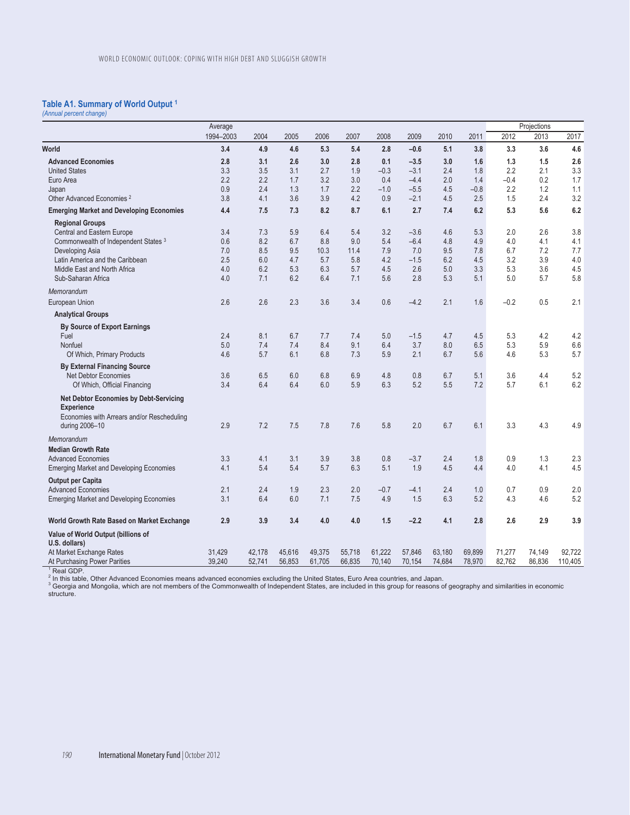## **Table A1. Summary of World Output 1** *(Annual percent change)*

| 1994-2003<br>2004<br>2005<br>2006<br>2007<br>2008<br>World<br>3.4<br>4.9<br>4.6<br>5.3<br>5.4<br>2.8<br><b>Advanced Economies</b><br>2.8<br>2.6<br>0.1<br>3.1<br>3.0<br>2.8<br><b>United States</b><br>3.3<br>3.5<br>3.1<br>2.7<br>1.9<br>$-0.3$<br>2.2<br>2.2<br>3.2<br>Euro Area<br>1.7<br>3.0<br>0.4<br>0.9<br>2.4<br>1.3<br>1.7<br>2.2<br>$-1.0$<br>Japan<br>4.2<br>Other Advanced Economies <sup>2</sup><br>3.8<br>4.1<br>3.6<br>3.9<br>0.9 | 2009<br>$-0.6$<br>$-3.5$<br>$-3.1$<br>$-4.4$<br>$-5.5$<br>$-2.1$<br>2.7<br>$-3.6$<br>$-6.4$<br>7.0<br>$-1.5$<br>2.6 | 2010<br>5.1<br>3.0<br>2.4<br>2.0<br>4.5<br>4.5<br>7.4<br>4.6<br>4.8<br>9.5<br>6.2 | 2011<br>3.8<br>1.6<br>1.8<br>1.4<br>$-0.8$<br>2.5<br>6.2<br>5.3<br>4.9<br>7.8 | 2012<br>3.3<br>1.3<br>2.2<br>$-0.4$<br>2.2<br>1.5<br>5.3<br>2.0<br>4.0 | 2013<br>3.6<br>1.5<br>2.1<br>0.2<br>1.2<br>2.4<br>5.6<br>2.6 | 2017<br>4.6<br>2.6<br>3.3<br>1.7<br>1.1<br>3.2<br>6.2<br>3.8 |
|--------------------------------------------------------------------------------------------------------------------------------------------------------------------------------------------------------------------------------------------------------------------------------------------------------------------------------------------------------------------------------------------------------------------------------------------------|---------------------------------------------------------------------------------------------------------------------|-----------------------------------------------------------------------------------|-------------------------------------------------------------------------------|------------------------------------------------------------------------|--------------------------------------------------------------|--------------------------------------------------------------|
|                                                                                                                                                                                                                                                                                                                                                                                                                                                  |                                                                                                                     |                                                                                   |                                                                               |                                                                        |                                                              |                                                              |
|                                                                                                                                                                                                                                                                                                                                                                                                                                                  |                                                                                                                     |                                                                                   |                                                                               |                                                                        |                                                              |                                                              |
|                                                                                                                                                                                                                                                                                                                                                                                                                                                  |                                                                                                                     |                                                                                   |                                                                               |                                                                        |                                                              |                                                              |
|                                                                                                                                                                                                                                                                                                                                                                                                                                                  |                                                                                                                     |                                                                                   |                                                                               |                                                                        |                                                              |                                                              |
|                                                                                                                                                                                                                                                                                                                                                                                                                                                  |                                                                                                                     |                                                                                   |                                                                               |                                                                        |                                                              |                                                              |
|                                                                                                                                                                                                                                                                                                                                                                                                                                                  |                                                                                                                     |                                                                                   |                                                                               |                                                                        |                                                              |                                                              |
| <b>Emerging Market and Developing Economies</b><br>4.4<br>7.5<br>8.2<br>8.7<br>6.1<br>7.3                                                                                                                                                                                                                                                                                                                                                        |                                                                                                                     |                                                                                   |                                                                               |                                                                        |                                                              |                                                              |
| <b>Regional Groups</b>                                                                                                                                                                                                                                                                                                                                                                                                                           |                                                                                                                     |                                                                                   |                                                                               |                                                                        |                                                              |                                                              |
| Central and Eastern Europe<br>3.4<br>5.9<br>3.2<br>7.3<br>6.4<br>5.4                                                                                                                                                                                                                                                                                                                                                                             |                                                                                                                     |                                                                                   |                                                                               |                                                                        |                                                              |                                                              |
| 8.2<br>0.6<br>6.7<br>8.8<br>9.0<br>5.4<br>Commonwealth of Independent States <sup>3</sup>                                                                                                                                                                                                                                                                                                                                                        |                                                                                                                     |                                                                                   |                                                                               |                                                                        | 4.1                                                          | 4.1                                                          |
| 7.0<br>8.5<br>9.5<br>10.3<br>11.4<br>7.9<br>Developing Asia                                                                                                                                                                                                                                                                                                                                                                                      |                                                                                                                     |                                                                                   |                                                                               | 6.7                                                                    | 7.2                                                          | 7.7                                                          |
| 2.5<br>6.0<br>5.7<br>5.8<br>4.2<br>Latin America and the Caribbean<br>4.7                                                                                                                                                                                                                                                                                                                                                                        |                                                                                                                     |                                                                                   | 4.5                                                                           | 3.2                                                                    | 3.9                                                          | 4.0                                                          |
| Middle East and North Africa<br>4.0<br>6.2<br>5.3<br>6.3<br>4.5<br>5.7                                                                                                                                                                                                                                                                                                                                                                           |                                                                                                                     | 5.0                                                                               | 3.3                                                                           | 5.3                                                                    | 3.6                                                          | 4.5                                                          |
| 6.2<br>5.6<br>Sub-Saharan Africa<br>4.0<br>7.1<br>6.4<br>7.1                                                                                                                                                                                                                                                                                                                                                                                     | 2.8                                                                                                                 | 5.3                                                                               | 5.1                                                                           | 5.0                                                                    | 5.7                                                          | 5.8                                                          |
| Memorandum                                                                                                                                                                                                                                                                                                                                                                                                                                       |                                                                                                                     |                                                                                   |                                                                               |                                                                        |                                                              |                                                              |
| 2.6<br>2.6<br>2.3<br>3.6<br>3.4<br>0.6<br>European Union                                                                                                                                                                                                                                                                                                                                                                                         | $-4.2$                                                                                                              | 2.1                                                                               | 1.6                                                                           | $-0.2$                                                                 | 0.5                                                          | 2.1                                                          |
| <b>Analytical Groups</b>                                                                                                                                                                                                                                                                                                                                                                                                                         |                                                                                                                     |                                                                                   |                                                                               |                                                                        |                                                              |                                                              |
| <b>By Source of Export Earnings</b>                                                                                                                                                                                                                                                                                                                                                                                                              |                                                                                                                     |                                                                                   |                                                                               |                                                                        |                                                              |                                                              |
| 8.1<br>Fuel<br>2.4<br>6.7<br>5.0<br>7.7<br>7.4                                                                                                                                                                                                                                                                                                                                                                                                   | $-1.5$                                                                                                              | 4.7                                                                               | 4.5                                                                           | 5.3                                                                    | 4.2                                                          | 4.2                                                          |
| 8.4<br>5.0<br>7.4<br>7.4<br>9.1<br>6.4<br>Nonfuel<br>5.7<br>4.6<br>6.1<br>6.8<br>7.3<br>5.9<br>Of Which, Primary Products                                                                                                                                                                                                                                                                                                                        | 3.7<br>2.1                                                                                                          | 8.0<br>6.7                                                                        | 6.5<br>5.6                                                                    | 5.3<br>4.6                                                             | 5.9<br>5.3                                                   | 6.6<br>5.7                                                   |
|                                                                                                                                                                                                                                                                                                                                                                                                                                                  |                                                                                                                     |                                                                                   |                                                                               |                                                                        |                                                              |                                                              |
| <b>By External Financing Source</b><br>3.6<br>6.5<br>6.0<br>4.8<br><b>Net Debtor Economies</b><br>6.8<br>6.9                                                                                                                                                                                                                                                                                                                                     | 0.8                                                                                                                 | 6.7                                                                               | 5.1                                                                           | 3.6                                                                    | 4.4                                                          | 5.2                                                          |
| 6.3<br>3.4<br>6.4<br>6.4<br>6.0<br>5.9<br>Of Which, Official Financing                                                                                                                                                                                                                                                                                                                                                                           | 5.2                                                                                                                 | 5.5                                                                               | 7.2                                                                           | 5.7                                                                    | 6.1                                                          | 6.2                                                          |
| <b>Net Debtor Economies by Debt-Servicing</b>                                                                                                                                                                                                                                                                                                                                                                                                    |                                                                                                                     |                                                                                   |                                                                               |                                                                        |                                                              |                                                              |
| <b>Experience</b>                                                                                                                                                                                                                                                                                                                                                                                                                                |                                                                                                                     |                                                                                   |                                                                               |                                                                        |                                                              |                                                              |
| Economies with Arrears and/or Rescheduling                                                                                                                                                                                                                                                                                                                                                                                                       |                                                                                                                     |                                                                                   |                                                                               |                                                                        |                                                              |                                                              |
| 5.8<br>during 2006-10<br>2.9<br>7.2<br>7.5<br>7.8<br>7.6                                                                                                                                                                                                                                                                                                                                                                                         | 2.0                                                                                                                 | 6.7                                                                               | 6.1                                                                           | 3.3                                                                    | 4.3                                                          | 4.9                                                          |
| Memorandum                                                                                                                                                                                                                                                                                                                                                                                                                                       |                                                                                                                     |                                                                                   |                                                                               |                                                                        |                                                              |                                                              |
| <b>Median Growth Rate</b>                                                                                                                                                                                                                                                                                                                                                                                                                        |                                                                                                                     |                                                                                   |                                                                               |                                                                        |                                                              |                                                              |
| 0.8<br><b>Advanced Economies</b><br>3.3<br>4.1<br>3.1<br>3.9<br>3.8                                                                                                                                                                                                                                                                                                                                                                              | $-3.7$                                                                                                              | 2.4                                                                               | 1.8                                                                           | 0.9                                                                    | 1.3                                                          | 2.3                                                          |
| 6.3<br>5.1<br><b>Emerging Market and Developing Economies</b><br>4.1<br>5.4<br>5.4<br>5.7                                                                                                                                                                                                                                                                                                                                                        | 1.9                                                                                                                 | 4.5                                                                               | 4.4                                                                           | 4.0                                                                    | 4.1                                                          | 4.5                                                          |
| <b>Output per Capita</b><br><b>Advanced Economies</b><br>2.1<br>2.4<br>1.9<br>2.3<br>2.0<br>$-0.7$                                                                                                                                                                                                                                                                                                                                               | $-4.1$                                                                                                              | 2.4                                                                               | 1.0                                                                           | 0.7                                                                    | 0.9                                                          | 2.0                                                          |
| 3.1<br>6.0<br>7.1<br>7.5<br>6.4<br>4.9<br><b>Emerging Market and Developing Economies</b>                                                                                                                                                                                                                                                                                                                                                        | 1.5                                                                                                                 | 6.3                                                                               | 5.2                                                                           | 4.3                                                                    | 4.6                                                          | 5.2                                                          |
|                                                                                                                                                                                                                                                                                                                                                                                                                                                  |                                                                                                                     |                                                                                   |                                                                               |                                                                        |                                                              |                                                              |
| 2.9<br>3.9<br>3.4<br>4.0<br>4.0<br>1.5<br>World Growth Rate Based on Market Exchange                                                                                                                                                                                                                                                                                                                                                             | $-2.2$                                                                                                              | 4.1                                                                               | 2.8                                                                           | 2.6                                                                    | 2.9                                                          | 3.9                                                          |
| Value of World Output (billions of                                                                                                                                                                                                                                                                                                                                                                                                               |                                                                                                                     |                                                                                   |                                                                               |                                                                        |                                                              |                                                              |
| U.S. dollars)                                                                                                                                                                                                                                                                                                                                                                                                                                    |                                                                                                                     |                                                                                   |                                                                               |                                                                        |                                                              | 92.722                                                       |
| At Market Exchange Rates<br>31.429<br>42.178<br>45,616<br>49,375<br>55,718<br>61,222<br>39,240<br>52,741<br>56,853<br>61,705<br>66,835<br>At Purchasing Power Parities<br>70,140                                                                                                                                                                                                                                                                 | 57,846<br>70,154                                                                                                    | 63,180<br>74,684                                                                  | 69,899<br>78,970                                                              | 71,277<br>82,762                                                       | 74,149<br>86,836                                             | 110,405                                                      |

At Purchasing Power Parities 39,240 52,741 56,853 61,705 66,835 70,140 70,154 74,684 78,970 82,762 86,836 110,405 1 Real GDP. 2 In this table, Other Advanced Economies means advanced economies excluding the United States, Euro Area countries, and Japan. 3 Georgia and Mongolia, which are not members of the Commonwealth of Independent States, are included in this group for reasons of geography and similarities in economic structure.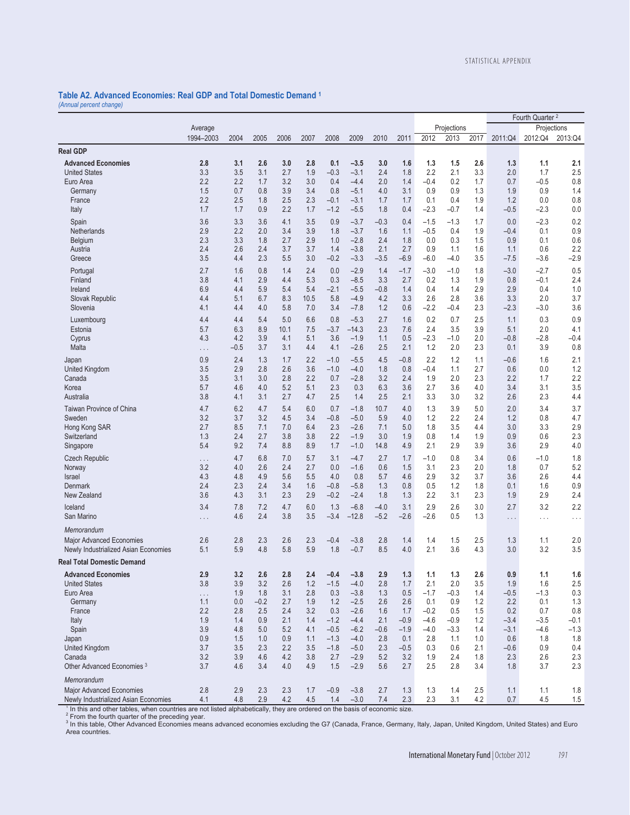## **Table A2. Advanced Economies: Real GDP and Total Domestic Demand 1**

*(Annual percent change)* 

|                                                                  |            |               |            |            |            |                  |                  |               |               |                  |               |            |               | Fourth Quarter <sup>2</sup> |               |
|------------------------------------------------------------------|------------|---------------|------------|------------|------------|------------------|------------------|---------------|---------------|------------------|---------------|------------|---------------|-----------------------------|---------------|
|                                                                  | Average    |               |            |            |            |                  |                  |               |               |                  | Projections   |            |               |                             | Projections   |
|                                                                  | 1994-2003  | 2004          | 2005       | 2006       | 2007       | 2008             | 2009             | 2010          | 2011          | 2012             | 2013          | 2017       | 2011:Q4       | 2012:Q4                     | 2013:Q4       |
| <b>Real GDP</b>                                                  |            |               |            |            |            |                  |                  |               |               |                  |               |            |               |                             |               |
| <b>Advanced Economies</b>                                        | 2.8        | 3.1           | 2.6        | 3.0        | 2.8        | 0.1              | $-3.5$           | 3.0           | 1.6           | 1.3              | 1.5           | 2.6        | 1.3           | 1.1                         | 2.1           |
| <b>United States</b>                                             | 3.3        | 3.5           | 3.1        | 2.7        | 1.9        | $-0.3$           | $-3.1$           | 2.4           | 1.8           | 2.2              | 2.1           | 3.3        | 2.0           | 1.7                         | 2.5           |
| Euro Area                                                        | 2.2        | 2.2           | 1.7        | 3.2        | 3.0        | 0.4              | $-4.4$           | 2.0           | 1.4           | $-0.4$           | 0.2           | 1.7        | 0.7           | $-0.5$                      | 0.8           |
| Germany                                                          | 1.5<br>2.2 | 0.7<br>2.5    | 0.8        | 3.9<br>2.5 | 3.4        | 0.8              | $-5.1$           | 4.0           | 3.1           | 0.9<br>0.1       | 0.9           | 1.3        | 1.9           | 0.9                         | 1.4<br>0.8    |
| France<br>Italy                                                  | 1.7        | 1.7           | 1.8<br>0.9 | 2.2        | 2.3<br>1.7 | $-0.1$<br>$-1.2$ | $-3.1$<br>$-5.5$ | 1.7<br>1.8    | 1.7<br>0.4    | $-2.3$           | 0.4<br>$-0.7$ | 1.9<br>1.4 | 1.2<br>$-0.5$ | 0.0<br>$-2.3$               | 0.0           |
|                                                                  |            |               |            |            |            |                  |                  |               |               |                  |               |            |               |                             |               |
| Spain<br>Netherlands                                             | 3.6<br>2.9 | 3.3<br>2.2    | 3.6<br>2.0 | 4.1<br>3.4 | 3.5<br>3.9 | 0.9<br>1.8       | $-3.7$<br>$-3.7$ | $-0.3$<br>1.6 | 0.4<br>1.1    | $-1.5$<br>$-0.5$ | $-1.3$<br>0.4 | 1.7<br>1.9 | 0.0<br>$-0.4$ | $-2.3$<br>0.1               | 0.2<br>0.9    |
| Belgium                                                          | 2.3        | 3.3           | 1.8        | 2.7        | 2.9        | 1.0              | $-2.8$           | 2.4           | 1.8           | 0.0              | 0.3           | 1.5        | 0.9           | 0.1                         | 0.6           |
| Austria                                                          | 2.4        | 2.6           | 2.4        | 3.7        | 3.7        | 1.4              | $-3.8$           | 2.1           | 2.7           | 0.9              | 1.1           | 1.6        | 1.1           | 0.6                         | 2.2           |
| Greece                                                           | 3.5        | 4.4           | 2.3        | 5.5        | 3.0        | $-0.2$           | $-3.3$           | $-3.5$        | $-6.9$        | $-6.0$           | $-4.0$        | 3.5        | $-7.5$        | $-3.6$                      | $-2.9$        |
| Portugal                                                         | 2.7        | 1.6           | 0.8        | 1.4        | 2.4        | 0.0              | $-2.9$           | 1.4           | $-1.7$        | $-3.0$           | $-1.0$        | 1.8        | $-3.0$        | $-2.7$                      | 0.5           |
| Finland                                                          | 3.8        | 4.1           | 2.9        | 4.4        | 5.3        | 0.3              | $-8.5$           | 3.3           | 2.7           | 0.2              | 1.3           | 1.9        | 0.8           | $-0.1$                      | 2.4           |
| Ireland                                                          | 6.9        | 4.4           | 5.9        | 5.4        | 5.4        | $-2.1$           | $-5.5$           | $-0.8$        | 1.4           | 0.4              | 1.4           | 2.9        | 2.9           | 0.4                         | 1.0           |
| Slovak Republic                                                  | 4.4        | 5.1           | 6.7        | 8.3        | 10.5       | 5.8              | $-4.9$           | 4.2           | 3.3           | 2.6              | 2.8           | 3.6        | 3.3           | 2.0                         | 3.7           |
| Slovenia                                                         | 4.1        | 4.4           | 4.0        | 5.8        | 7.0        | 3.4              | $-7.8$           | 1.2           | 0.6           | $-2.2$           | $-0.4$        | 2.3        | $-2.3$        | $-3.0$                      | 3.6           |
| Luxembourg                                                       | 4.4        | 4.4           | 5.4        | 5.0        | 6.6        | 0.8              | $-5.3$           | 2.7           | 1.6           | 0.2              | 0.7           | 2.5        | 1.1           | 0.3                         | 0.9           |
| Estonia                                                          | 5.7        | 6.3           | 8.9        | 10.1       | 7.5        | $-3.7$           | $-14.3$          | 2.3           | 7.6           | 2.4              | 3.5           | 3.9        | 5.1           | 2.0                         | 4.1           |
| Cyprus<br>Malta                                                  | 4.3        | 4.2<br>$-0.5$ | 3.9<br>3.7 | 4.1<br>3.1 | 5.1<br>4.4 | 3.6<br>4.1       | $-1.9$<br>$-2.6$ | 1.1<br>2.5    | 0.5<br>2.1    | $-2.3$<br>1.2    | $-1.0$<br>2.0 | 2.0<br>2.3 | $-0.8$<br>0.1 | $-2.8$<br>3.9               | $-0.4$<br>0.8 |
|                                                                  | .          |               |            |            |            |                  |                  |               |               |                  |               |            |               |                             |               |
| Japan<br>United Kingdom                                          | 0.9<br>3.5 | 2.4<br>2.9    | 1.3<br>2.8 | 1.7<br>2.6 | 2.2<br>3.6 | $-1.0$<br>$-1.0$ | $-5.5$<br>$-4.0$ | 4.5<br>1.8    | $-0.8$<br>0.8 | 2.2<br>$-0.4$    | 1.2<br>1.1    | 1.1<br>2.7 | $-0.6$<br>0.6 | 1.6<br>0.0                  | 2.1<br>1.2    |
| Canada                                                           | 3.5        | 3.1           | 3.0        | 2.8        | 2.2        | 0.7              | $-2.8$           | 3.2           | 2.4           | 1.9              | 2.0           | 2.3        | 2.2           | 1.7                         | 2.2           |
| Korea                                                            | 5.7        | 4.6           | 4.0        | 5.2        | 5.1        | 2.3              | 0.3              | 6.3           | 3.6           | 2.7              | 3.6           | 4.0        | 3.4           | 3.1                         | 3.5           |
| Australia                                                        | 3.8        | 4.1           | 3.1        | 2.7        | 4.7        | 2.5              | 1.4              | 2.5           | 2.1           | 3.3              | 3.0           | 3.2        | 2.6           | 2.3                         | 4.4           |
| Taiwan Province of China                                         | 4.7        | 6.2           | 4.7        | 5.4        | 6.0        | 0.7              | $-1.8$           | 10.7          | 4.0           | 1.3              | 3.9           | 5.0        | 2.0           | 3.4                         | 3.7           |
| Sweden                                                           | 3.2        | 3.7           | 3.2        | 4.5        | 3.4        | $-0.8$           | $-5.0$           | 5.9           | 4.0           | 1.2              | 2.2           | 2.4        | 1.2           | 0.8                         | 4.7           |
| Hong Kong SAR                                                    | 2.7        | 8.5           | 7.1        | 7.0        | 6.4        | 2.3              | $-2.6$           | 7.1           | 5.0           | 1.8              | 3.5           | 4.4        | 3.0           | 3.3                         | 2.9           |
| Switzerland                                                      | 1.3        | 2.4           | 2.7        | 3.8        | 3.8        | 2.2              | $-1.9$           | 3.0           | 1.9           | 0.8              | 1.4           | 1.9        | 0.9           | 0.6                         | 2.3           |
| Singapore                                                        | 5.4        | 9.2           | 7.4        | 8.8        | 8.9        | 1.7              | $-1.0$           | 14.8          | 4.9           | 2.1              | 2.9           | 3.9        | 3.6           | 2.9                         | 4.0           |
| <b>Czech Republic</b>                                            | $\cdots$   | 4.7           | 6.8        | 7.0        | 5.7        | 3.1              | $-4.7$           | 2.7           | 1.7           | $-1.0$           | 0.8           | 3.4        | 0.6           | $-1.0$                      | 1.8           |
| Norway                                                           | 3.2<br>4.3 | 4.0           | 2.6<br>4.9 | 2.4<br>5.6 | 2.7<br>5.5 | 0.0<br>4.0       | $-1.6$<br>0.8    | 0.6<br>5.7    | 1.5<br>4.6    | 3.1              | 2.3<br>3.2    | 2.0<br>3.7 | 1.8<br>3.6    | 0.7<br>2.6                  | 5.2<br>4.4    |
| <b>Israel</b><br>Denmark                                         | 2.4        | 4.8<br>2.3    | 2.4        | 3.4        | 1.6        | $-0.8$           | $-5.8$           | 1.3           | 0.8           | 2.9<br>0.5       | 1.2           | 1.8        | 0.1           | 1.6                         | 0.9           |
| New Zealand                                                      | 3.6        | 4.3           | 3.1        | 2.3        | 2.9        | $-0.2$           | $-2.4$           | 1.8           | 1.3           | 2.2              | 3.1           | 2.3        | 1.9           | 2.9                         | 2.4           |
| Iceland                                                          | 3.4        | 7.8           | 7.2        | 4.7        | 6.0        | 1.3              | $-6.8$           | $-4.0$        | 3.1           | 2.9              | 2.6           | 3.0        | 2.7           | 3.2                         | 2.2           |
| San Marino                                                       | .          | 4.6           | 2.4        | 3.8        | 3.5        | $-3.4$           | $-12.8$          | $-5.2$        | $-2.6$        | $-2.6$           | 0.5           | 1.3        | $\cdots$      | .                           | .             |
| Memorandum                                                       |            |               |            |            |            |                  |                  |               |               |                  |               |            |               |                             |               |
|                                                                  | 2.6        | 2.8           | 2.3        | 2.6        | 2.3        | $-0.4$           | $-3.8$           | 2.8           | 1.4           | 1.4              | 1.5           | 2.5        | 1.3           | 1.1                         | 2.0           |
| Major Advanced Economies<br>Newly Industrialized Asian Economies | 5.1        | 5.9           | 4.8        | 5.8        | 5.9        | 1.8              | $-0.7$           | 8.5           | 4.0           | 2.1              | 3.6           | 4.3        | 3.0           | 3.2                         | 3.5           |
| <b>Real Total Domestic Demand</b>                                |            |               |            |            |            |                  |                  |               |               |                  |               |            |               |                             |               |
| <b>Advanced Economies</b>                                        | 2.9        | 3.2           | 2.6        | 2.8        | 2.4        | $-0.4$           | $-3.8$           | 2.9           | 1.3           |                  | 1.3           | 2.6        | 0.9           |                             |               |
| <b>United States</b>                                             | 3.8        | 3.9           | 3.2        | 2.6        | 1.2        | $-1.5$           | $-4.0$           | 2.8           | 1.7           | 1.1<br>2.1       | 2.0           | 3.5        | 1.9           | 1.1<br>1.6                  | 1.6<br>2.5    |
| Euro Area                                                        | $\ldots$   | 1.9           | 1.8        | 3.1        | 2.8        | 0.3              | $-3.8$           | 1.3           | 0.5           | $-1.7$           | $-0.3$        | 1.4        | $-0.5$        | $-1.3$                      | 0.3           |
| Germany                                                          | 1.1        | 0.0           | $-0.2$     | 2.7        | 1.9        | 1.2              | $-2.5$           | 2.6           | 2.6           | 0.1              | 0.9           | 1.2        | 2.2           | 0.1                         | 1.3           |
| France                                                           | 2.2        | 2.8           | 2.5        | 2.4        | 3.2        | 0.3              | $-2.6$           | 1.6           | 1.7           | $-0.2$           | 0.5           | 1.5        | 0.2           | 0.7                         | 0.8           |
| Italy                                                            | 1.9        | 1.4           | 0.9        | 2.1        | 1.4        | $-1.2$           | $-4.4$           | 2.1           | $-0.9$        | $-4.6$           | $-0.9$        | 1.2        | $-3.4$        | $-3.5$                      | $-0.1$        |
| Spain                                                            | 3.9        | 4.8           | 5.0        | 5.2        | 4.1        | $-0.5$           | $-6.2$           | $-0.6$        | $-1.9$        | $-4.0$           | $-3.3$        | 1.4        | $-3.1$        | $-4.6$                      | $-1.3$        |
| Japan<br><b>United Kingdom</b>                                   | 0.9<br>3.7 | 1.5<br>3.5    | 1.0<br>2.3 | 0.9<br>2.2 | 1.1<br>3.5 | $-1.3$<br>$-1.8$ | $-4.0$<br>$-5.0$ | 2.8<br>2.3    | 0.1<br>$-0.5$ | 2.8<br>0.3       | 1.1<br>0.6    | 1.0<br>2.1 | 0.6<br>$-0.6$ | 1.8<br>0.9                  | 1.8<br>0.4    |
| Canada                                                           | 3.2        | 3.9           | 4.6        | 4.2        | 3.8        | 2.7              | $-2.9$           | 5.2           | 3.2           | 1.9              | 2.4           | 1.8        | 2.3           | 2.6                         | 2.3           |
| Other Advanced Economies <sup>3</sup>                            | 3.7        | 4.6           | 3.4        | 4.0        | 4.9        | 1.5              | $-2.9$           | 5.6           | 2.7           | 2.5              | 2.8           | 3.4        | 1.8           | 3.7                         | 2.3           |
| Memorandum                                                       |            |               |            |            |            |                  |                  |               |               |                  |               |            |               |                             |               |
| Major Advanced Economies                                         | 2.8        | 2.9           | 2.3        | 2.3        | 1.7        | $-0.9$           | $-3.8$           | 2.7           | 1.3           | 1.3              | 1.4           | 2.5        | 1.1           | 1.1                         | 1.8           |
| Newly Industrialized Asian Fronomies                             | 41         | 48            | 29         | 42         | 4.5        | 14               | $-30$            | 74            | 23            | 23               | 31            | 42         | 07            | 45                          | 15            |

Newly Industrialized Asian Economies 4.1 4.8 2.9 4.2 4.5 1.4 –3.0 7.4 2.3 2.3 3.1 4.2 0.7 4.5 1.5<br><sup>7</sup> In this and other tables, when countries are not listed alphabetically, they are ordered on the basis of economic size. Area countries.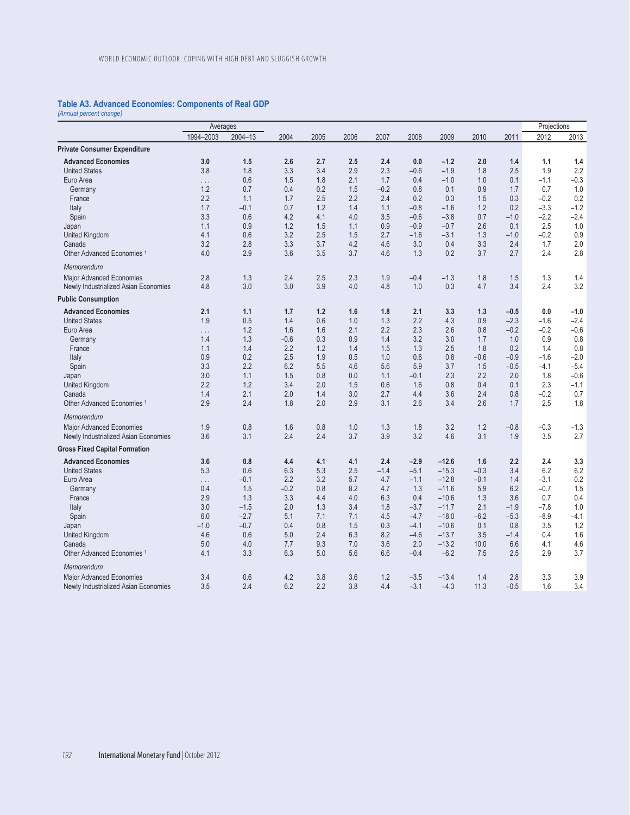## **Table A3. Advanced Economies: Components of Real GDP**

*(Annual percent change)* 

|                                       | Averages  |         |        |      |      |        |        |         |        |        | Projections |        |
|---------------------------------------|-----------|---------|--------|------|------|--------|--------|---------|--------|--------|-------------|--------|
|                                       | 1994-2003 | 2004-13 | 2004   | 2005 | 2006 | 2007   | 2008   | 2009    | 2010   | 2011   | 2012        | 2013   |
| <b>Private Consumer Expenditure</b>   |           |         |        |      |      |        |        |         |        |        |             |        |
| <b>Advanced Economies</b>             | 3.0       | 1.5     | 2.6    | 2.7  | 2.5  | 2.4    | 0.0    | $-1.2$  | 2.0    | 1.4    | 1.1         | 1.4    |
| <b>United States</b>                  | 3.8       | 1.8     | 3.3    | 3.4  | 2.9  | 2.3    | $-0.6$ | $-1.9$  | 1.8    | 2.5    | 1.9         | 2.2    |
| Euro Area                             | .         | 0.6     | 1.5    | 1.8  | 2.1  | 1.7    | 0.4    | $-1.0$  | 1.0    | 0.1    | $-1.1$      | $-0.3$ |
| Germany                               | 1.2       | 0.7     | 0.4    | 0.2  | 1.5  | $-0.2$ | 0.8    | 0.1     | 0.9    | 1.7    | 0.7         | 1.0    |
| France                                | 2.2       | 1.1     | 1.7    | 2.5  | 2.2  | 2.4    | 0.2    | 0.3     | 1.5    | 0.3    | $-0.2$      | 0.2    |
| Italy                                 | 1.7       | $-0.1$  | 0.7    | 1.2  | 1.4  | 1.1    | $-0.8$ | $-1.6$  | 1.2    | 0.2    | $-3.3$      | $-1.2$ |
| Spain                                 | 3.3       | 0.6     | 4.2    | 4.1  | 4.0  | 3.5    | $-0.6$ | $-3.8$  | 0.7    | $-1.0$ | $-2.2$      | $-2.4$ |
| Japan                                 | 1.1       | 0.9     | 1.2    | 1.5  | 1.1  | 0.9    | $-0.9$ | $-0.7$  | 2.6    | 0.1    | 2.5         | 1.0    |
| United Kingdom                        | 4.1       | 0.6     | 3.2    | 2.5  | 1.5  | 2.7    | $-1.6$ | $-3.1$  | 1.3    | $-1.0$ | $-0.2$      | 0.9    |
| Canada                                | 3.2       | 2.8     | 3.3    | 3.7  | 4.2  | 4.6    | 3.0    | 0.4     | 3.3    | 2.4    | 1.7         | 2.0    |
| Other Advanced Economies <sup>1</sup> | 4.0       | 2.9     | 3.6    | 3.5  | 3.7  | 4.6    | 1.3    | 0.2     | 3.7    | 2.7    | 2.4         | 2.8    |
| Memorandum                            |           |         |        |      |      |        |        |         |        |        |             |        |
| <b>Major Advanced Economies</b>       | 2.8       | 1.3     | 2.4    | 2.5  | 2.3  | 1.9    | $-0.4$ | $-1.3$  | 1.8    | 1.5    | 1.3         | 1.4    |
| Newly Industrialized Asian Economies  | 4.8       | 3.0     | 3.0    | 3.9  | 4.0  | 4.8    | 1.0    | 0.3     | 4.7    | 3.4    | 2.4         | 3.2    |
| <b>Public Consumption</b>             |           |         |        |      |      |        |        |         |        |        |             |        |
| <b>Advanced Economies</b>             | 2.1       | 1.1     | 1.7    | 1.2  | 1.6  | 1.8    | 2.1    | 3.3     | 1.3    | $-0.5$ | 0.0         | $-1.0$ |
| <b>United States</b>                  | 1.9       | 0.5     | 1.4    | 0.6  | 1.0  | 1.3    | 2.2    | 4.3     | 0.9    | $-2.3$ | $-1.6$      | $-2.4$ |
| Euro Area                             | .         | 1.2     | 1.6    | 1.6  | 2.1  | 2.2    | 2.3    | 2.6     | 0.8    | $-0.2$ | $-0.2$      | $-0.6$ |
| Germany                               | 1.4       | 1.3     | $-0.6$ | 0.3  | 0.9  | 1.4    | 3.2    | 3.0     | 1.7    | 1.0    | 0.9         | 0.8    |
| France                                | 1.1       | 1.4     | 2.2    | 1.2  | 1.4  | 1.5    | 1.3    | 2.5     | 1.8    | 0.2    | 1.4         | 0.8    |
| Italy                                 | 0.9       | 0.2     | 2.5    | 1.9  | 0.5  | 1.0    | 0.6    | 0.8     | $-0.6$ | $-0.9$ | $-1.6$      | $-2.0$ |
| Spain                                 | 3.3       | 2.2     | 6.2    | 5.5  | 4.6  | 5.6    | 5.9    | 3.7     | 1.5    | $-0.5$ | $-4.1$      | $-5.4$ |
| Japan                                 | 3.0       | 1.1     | 1.5    | 0.8  | 0.0  | 1.1    | $-0.1$ | 2.3     | 2.2    | 2.0    | 1.8         | $-0.6$ |
| United Kingdom                        | 2.2       | 1.2     | 3.4    | 2.0  | 1.5  | 0.6    | 1.6    | 0.8     | 0.4    | 0.1    | 2.3         | $-1.1$ |
| Canada                                | 1.4       | 2.1     | 2.0    | 1.4  | 3.0  | 2.7    | 4.4    | 3.6     | 2.4    | 0.8    | $-0.2$      | 0.7    |
| Other Advanced Economies <sup>1</sup> | 2.9       | 2.4     | 1.8    | 2.0  | 2.9  | 3.1    | 2.6    | 3.4     | 2.6    | 1.7    | 2.5         | 1.8    |
| Memorandum                            |           |         |        |      |      |        |        |         |        |        |             |        |
| <b>Major Advanced Economies</b>       | 1.9       | 0.8     | 1.6    | 0.8  | 1.0  | 1.3    | 1.8    | 3.2     | 1.2    | $-0.8$ | $-0.3$      | $-1.3$ |
| Newly Industrialized Asian Economies  | 3.6       | 3.1     | 2.4    | 2.4  | 3.7  | 3.9    | 3.2    | 4.6     | 3.1    | 1.9    | 3.5         | 2.7    |
| <b>Gross Fixed Capital Formation</b>  |           |         |        |      |      |        |        |         |        |        |             |        |
| <b>Advanced Economies</b>             | 3.6       | 0.8     | 4.4    | 4.1  | 4.1  | 2.4    | $-2.9$ | $-12.6$ | 1.6    | 2.2    | 2.4         | 3.3    |
| <b>United States</b>                  | 5.3       | 0.6     | 6.3    | 5.3  | 2.5  | $-1.4$ | $-5.1$ | $-15.3$ | $-0.3$ | 3.4    | 6.2         | 6.2    |
| Euro Area                             | .         | $-0.1$  | 2.2    | 3.2  | 5.7  | 4.7    | $-1.1$ | $-12.8$ | $-0.1$ | 1.4    | $-3.1$      | 0.2    |
| Germany                               | 0.4       | 1.5     | $-0.2$ | 0.8  | 8.2  | 4.7    | 1.3    | $-11.6$ | 5.9    | 6.2    | $-0.7$      | 1.5    |
| France                                | 2.9       | 1.3     | 3.3    | 4.4  | 4.0  | 6.3    | 0.4    | $-10.6$ | 1.3    | 3.6    | 0.7         | 0.4    |
| Italy                                 | 3.0       | $-1.5$  | 2.0    | 1.3  | 3.4  | 1.8    | $-3.7$ | $-11.7$ | 2.1    | $-1.9$ | $-7.8$      | 1.0    |
| Spain                                 | 6.0       | $-2.7$  | 5.1    | 7.1  | 7.1  | 4.5    | $-4.7$ | $-18.0$ | $-6.2$ | $-5.3$ | $-8.9$      | $-4.1$ |
| Japan                                 | $-1.0$    | $-0.7$  | 0.4    | 0.8  | 1.5  | 0.3    | $-4.1$ | $-10.6$ | 0.1    | 0.8    | 3.5         | 1.2    |
| United Kingdom                        | 4.6       | 0.6     | 5.0    | 2.4  | 6.3  | 8.2    | $-4.6$ | $-13.7$ | 3.5    | $-1.4$ | 0.4         | 1.6    |
| Canada                                | 5.0       | 4.0     | 7.7    | 9.3  | 7.0  | 3.6    | 2.0    | $-13.2$ | 10.0   | 6.6    | 4.1         | 4.6    |
| Other Advanced Economies <sup>1</sup> | 4.1       | 3.3     | 6.3    | 5.0  | 5.6  | 6.6    | $-0.4$ | $-6.2$  | 7.5    | 2.5    | 2.9         | 3.7    |
| Memorandum                            |           |         |        |      |      |        |        |         |        |        |             |        |
| Major Advanced Economies              | 3.4       | 0.6     | 4.2    | 3.8  | 3.6  | 1.2    | $-3.5$ | $-13.4$ | 1.4    | 2.8    | 3.3         | 3.9    |
| Newly Industrialized Asian Economies  | 3.5       | 2.4     | 6.2    | 2.2  | 3.8  | 4.4    | $-3.1$ | $-4.3$  | 11.3   | $-0.5$ | 1.6         | 3.4    |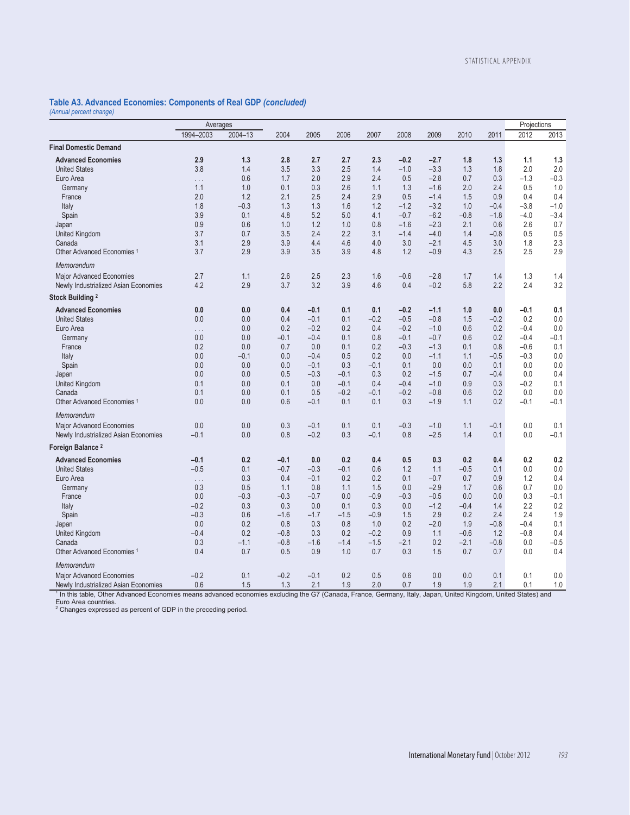#### **Table A3. Advanced Economies: Components of Real GDP** *(concluded) (Annual percent change)*

|                                                                                                                                                                                                                                                        | Averages   |            |            |                  |               |               |                  |                  |            | Projections   |               |            |
|--------------------------------------------------------------------------------------------------------------------------------------------------------------------------------------------------------------------------------------------------------|------------|------------|------------|------------------|---------------|---------------|------------------|------------------|------------|---------------|---------------|------------|
|                                                                                                                                                                                                                                                        | 1994-2003  | 2004-13    | 2004       | 2005             | 2006          | 2007          | 2008             | 2009             | 2010       | 2011          | 2012          | 2013       |
| <b>Final Domestic Demand</b>                                                                                                                                                                                                                           |            |            |            |                  |               |               |                  |                  |            |               |               |            |
| <b>Advanced Economies</b><br><b>United States</b>                                                                                                                                                                                                      | 2.9<br>3.8 | 1.3<br>1.4 | 2.8<br>3.5 | 2.7<br>3.3       | 2.7<br>2.5    | 2.3<br>1.4    | $-0.2$<br>$-1.0$ | $-2.7$<br>$-3.3$ | 1.8<br>1.3 | 1.3<br>1.8    | 1.1<br>2.0    | 1.3<br>2.0 |
| Euro Area                                                                                                                                                                                                                                              | $\ldots$   | 0.6        | 1.7        | 2.0              | 2.9           | 2.4           | 0.5              | $-2.8$           | 0.7        | 0.3           | $-1.3$        | $-0.3$     |
| Germany                                                                                                                                                                                                                                                | 1.1        | 1.0        | 0.1        | 0.3              | 2.6           | 1.1           | 1.3              | $-1.6$           | 2.0        | 2.4           | 0.5           | 1.0        |
| France                                                                                                                                                                                                                                                 | 2.0        | 1.2        | 2.1        | 2.5              | 2.4           | 2.9           | 0.5              | $-1.4$           | 1.5        | 0.9           | 0.4           | 0.4        |
| Italy                                                                                                                                                                                                                                                  | 1.8        | $-0.3$     | 1.3        | 1.3              | 1.6           | 1.2           | $-1.2$           | $-3.2$           | 1.0        | $-0.4$        | $-3.8$        | $-1.0$     |
| Spain                                                                                                                                                                                                                                                  | 3.9        | 0.1        | 4.8        | 5.2              | 5.0           | 4.1           | $-0.7$           | $-6.2$           | $-0.8$     | $-1.8$        | $-4.0$        | $-3.4$     |
| Japan                                                                                                                                                                                                                                                  | 0.9        | 0.6        | 1.0        | 1.2              | 1.0           | 0.8           | $-1.6$           | $-2.3$           | 2.1        | 0.6           | 2.6           | 0.7        |
| United Kingdom                                                                                                                                                                                                                                         | 3.7        | 0.7        | 3.5        | 2.4              | 2.2           | 3.1           | $-1.4$           | $-4.0$           | 1.4        | $-0.8$        | 0.5           | 0.5        |
| Canada                                                                                                                                                                                                                                                 | 3.1        | 2.9        | 3.9        | 4.4              | 4.6           | 4.0           | 3.0              | $-2.1$           | 4.5        | 3.0           | 1.8           | 2.3        |
| Other Advanced Economies <sup>1</sup>                                                                                                                                                                                                                  | 3.7        | 2.9        | 3.9        | 3.5              | 3.9           | 4.8           | 1.2              | $-0.9$           | 4.3        | 2.5           | 2.5           | 2.9        |
| Memorandum                                                                                                                                                                                                                                             |            |            |            |                  |               |               |                  |                  |            |               |               |            |
| Major Advanced Economies<br>Newly Industrialized Asian Economies                                                                                                                                                                                       | 2.7<br>4.2 | 1.1<br>2.9 | 2.6<br>3.7 | 2.5<br>3.2       | 2.3<br>3.9    | 1.6<br>4.6    | $-0.6$<br>0.4    | $-2.8$<br>$-0.2$ | 1.7<br>5.8 | 1.4<br>2.2    | 1.3<br>2.4    | 1.4<br>3.2 |
| Stock Building <sup>2</sup>                                                                                                                                                                                                                            |            |            |            |                  |               |               |                  |                  |            |               |               |            |
| <b>Advanced Economies</b>                                                                                                                                                                                                                              | 0.0        | 0.0        | 0.4        | $-0.1$           | 0.1           | 0.1           | $-0.2$           | $-1.1$           | 1.0        | 0.0           | $-0.1$        | 0.1        |
| <b>United States</b>                                                                                                                                                                                                                                   | 0.0        | 0.0        | 0.4        | $-0.1$           | 0.1           | $-0.2$        | $-0.5$           | $-0.8$           | 1.5        | $-0.2$        | 0.2           | 0.0        |
| Euro Area                                                                                                                                                                                                                                              | .          | 0.0        | 0.2        | $-0.2$           | 0.2           | 0.4           | $-0.2$           | $-1.0$           | 0.6        | 0.2           | $-0.4$        | 0.0        |
| Germany                                                                                                                                                                                                                                                | 0.0        | 0.0        | $-0.1$     | $-0.4$           | 0.1           | 0.8           | $-0.1$           | $-0.7$           | 0.6        | 0.2           | $-0.4$        | $-0.1$     |
| France                                                                                                                                                                                                                                                 | 0.2        | 0.0        | 0.7        | 0.0              | 0.1           | 0.2           | $-0.3$           | $-1.3$           | 0.1        | 0.8           | $-0.6$        | 0.1        |
| Italy                                                                                                                                                                                                                                                  | 0.0        | $-0.1$     | 0.0        | $-0.4$           | 0.5           | 0.2           | 0.0              | $-1.1$           | 1.1        | $-0.5$        | $-0.3$        | 0.0        |
| Spain                                                                                                                                                                                                                                                  | 0.0<br>0.0 | 0.0<br>0.0 | 0.0<br>0.5 | $-0.1$<br>$-0.3$ | 0.3<br>$-0.1$ | $-0.1$<br>0.3 | 0.1<br>0.2       | 0.0<br>$-1.5$    | 0.0<br>0.7 | 0.1<br>$-0.4$ | 0.0           | 0.0<br>0.4 |
| Japan<br>United Kingdom                                                                                                                                                                                                                                | 0.1        | 0.0        | 0.1        | 0.0              | $-0.1$        | 0.4           | $-0.4$           | $-1.0$           | 0.9        | 0.3           | 0.0<br>$-0.2$ | 0.1        |
| Canada                                                                                                                                                                                                                                                 | 0.1        | 0.0        | 0.1        | 0.5              | $-0.2$        | $-0.1$        | $-0.2$           | $-0.8$           | 0.6        | 0.2           | 0.0           | 0.0        |
| Other Advanced Economies <sup>1</sup>                                                                                                                                                                                                                  | 0.0        | 0.0        | 0.6        | $-0.1$           | 0.1           | 0.1           | 0.3              | $-1.9$           | 1.1        | 0.2           | $-0.1$        | $-0.1$     |
| Memorandum                                                                                                                                                                                                                                             |            |            |            |                  |               |               |                  |                  |            |               |               |            |
| Major Advanced Economies                                                                                                                                                                                                                               | 0.0        | 0.0        | 0.3        | $-0.1$           | 0.1           | 0.1           | $-0.3$           | $-1.0$           | 1.1        | $-0.1$        | 0.0           | 0.1        |
| Newly Industrialized Asian Economies                                                                                                                                                                                                                   | $-0.1$     | 0.0        | 0.8        | $-0.2$           | 0.3           | $-0.1$        | 0.8              | $-2.5$           | 1.4        | 0.1           | 0.0           | $-0.1$     |
| Foreign Balance <sup>2</sup>                                                                                                                                                                                                                           |            |            |            |                  |               |               |                  |                  |            |               |               |            |
| <b>Advanced Economies</b>                                                                                                                                                                                                                              | $-0.1$     | 0.2        | $-0.1$     | 0.0              | 0.2           | 0.4           | 0.5              | 0.3              | 0.2        | 0.4           | 0.2           | 0.2        |
| <b>United States</b>                                                                                                                                                                                                                                   | $-0.5$     | 0.1        | $-0.7$     | $-0.3$           | $-0.1$        | 0.6           | 1.2              | 1.1              | $-0.5$     | 0.1           | 0.0           | 0.0        |
| Euro Area                                                                                                                                                                                                                                              | $\ldots$   | 0.3        | 0.4        | $-0.1$           | 0.2           | 0.2           | 0.1              | $-0.7$           | 0.7        | 0.9           | 1.2           | 0.4        |
| Germany                                                                                                                                                                                                                                                | 0.3        | 0.5        | 1.1        | 0.8              | 1.1           | 1.5           | 0.0              | $-2.9$           | 1.7        | 0.6           | 0.7           | 0.0        |
| France                                                                                                                                                                                                                                                 | 0.0        | $-0.3$     | $-0.3$     | $-0.7$           | 0.0           | $-0.9$        | $-0.3$           | $-0.5$           | 0.0        | 0.0           | 0.3           | $-0.1$     |
| Italy                                                                                                                                                                                                                                                  | $-0.2$     | 0.3        | 0.3        | 0.0              | 0.1           | 0.3           | 0.0              | $-1.2$           | $-0.4$     | 1.4           | 2.2           | 0.2        |
| Spain                                                                                                                                                                                                                                                  | $-0.3$     | 0.6        | $-1.6$     | $-1.7$           | $-1.5$        | $-0.9$        | 1.5              | 2.9              | 0.2        | 2.4           | 2.4           | 1.9        |
| Japan                                                                                                                                                                                                                                                  | 0.0        | 0.2        | 0.8        | 0.3              | 0.8           | 1.0           | 0.2              | $-2.0$           | 1.9        | $-0.8$        | $-0.4$        | 0.1        |
| United Kingdom                                                                                                                                                                                                                                         | $-0.4$     | 0.2        | $-0.8$     | 0.3              | 0.2           | $-0.2$        | 0.9              | 1.1              | $-0.6$     | 1.2           | $-0.8$        | 0.4        |
| Canada                                                                                                                                                                                                                                                 | 0.3        | $-1.1$     | $-0.8$     | $-1.6$           | $-1.4$        | $-1.5$        | $-2.1$           | 0.2              | $-2.1$     | $-0.8$        | 0.0           | $-0.5$     |
| Other Advanced Economies <sup>1</sup>                                                                                                                                                                                                                  | 0.4        | 0.7        | 0.5        | 0.9              | 1.0           | 0.7           | 0.3              | 1.5              | 0.7        | 0.7           | 0.0           | 0.4        |
| Memorandum                                                                                                                                                                                                                                             |            |            |            |                  |               |               |                  |                  |            |               |               |            |
| <b>Major Advanced Economies</b>                                                                                                                                                                                                                        | $-0.2$     | 0.1        | $-0.2$     | $-0.1$           | 0.2           | 0.5           | 0.6              | 0.0              | 0.0        | 0.1           | 0.1           | 0.0        |
| Newly Industrialized Asian Economies                                                                                                                                                                                                                   | 0.6        | 1.5        | 1.3        | 2.1              | 1.9           | 2.0           | 0.7              | 1.9              | 1.9        | 2.1           | 0.1           | 1.0        |
| 1 In this table, Other Advanced Economies means advanced economies excluding the G7 (Canada, France, Germany, Italy, Japan, United Kingdom, United States) and<br>Euro Area countries.<br>Changes expressed as percent of GDP in the preceding period. |            |            |            |                  |               |               |                  |                  |            |               |               |            |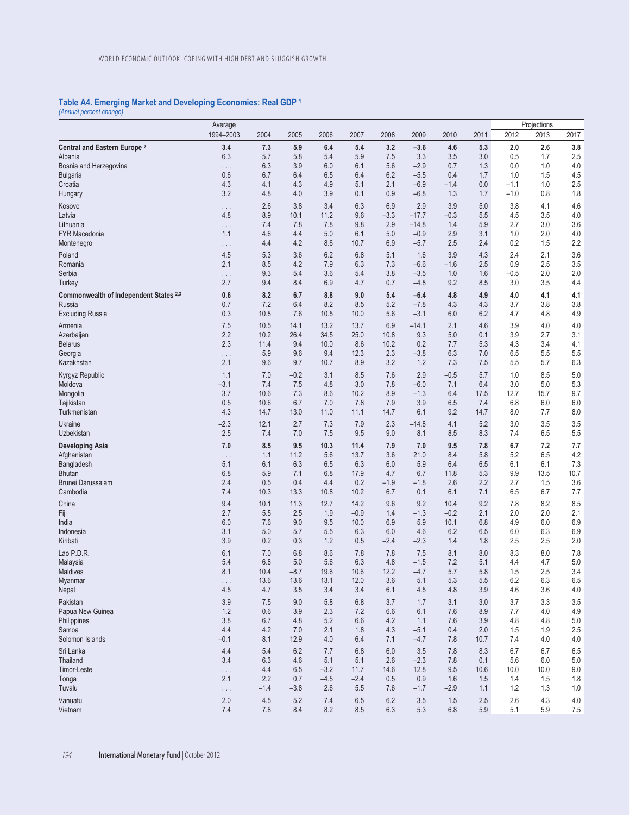## **Table A4. Emerging Market and Developing Economies: Real GDP 1**

*(Annual percent change)* 

|                                         | Average   |         |         |        |        |         |         |         |         |        | Projections |      |
|-----------------------------------------|-----------|---------|---------|--------|--------|---------|---------|---------|---------|--------|-------------|------|
|                                         | 1994-2003 | 2004    | 2005    | 2006   | 2007   | 2008    | 2009    | 2010    | 2011    | 2012   | 2013        | 2017 |
| Central and Eastern Europe <sup>2</sup> | 3.4       | 7.3     | 5.9     | 6.4    | 5.4    | 3.2     | $-3.6$  | 4.6     | 5.3     | 2.0    | 2.6         | 3.8  |
| Albania                                 | 6.3       | 5.7     | 5.8     | 5.4    | 5.9    | 7.5     | 3.3     | 3.5     | 3.0     | 0.5    | 1.7         | 2.5  |
| Bosnia and Herzegovina                  | .         | 6.3     | 3.9     | 6.0    | 6.1    | 5.6     | $-2.9$  | 0.7     | 1.3     | 0.0    | 1.0         | 4.0  |
| <b>Bulgaria</b>                         | 0.6       | 6.7     | 6.4     | 6.5    | 6.4    | 6.2     | $-5.5$  | 0.4     | 1.7     | 1.0    | 1.5         | 4.5  |
| Croatia                                 | 4.3       | 4.1     | 4.3     | 4.9    | 5.1    | 2.1     | $-6.9$  | $-1.4$  | 0.0     | $-1.1$ | 1.0         | 2.5  |
| Hungary                                 | 3.2       | 4.8     | 4.0     | 3.9    | 0.1    | 0.9     | $-6.8$  | 1.3     | 1.7     | $-1.0$ | 0.8         | 1.8  |
| Kosovo                                  | .         | 2.6     | 3.8     | 3.4    | 6.3    | 6.9     | 2.9     | 3.9     | 5.0     | 3.8    | 4.1         | 4.6  |
| Latvia                                  | 4.8       | 8.9     | 10.1    | 11.2   | 9.6    | $-3.3$  | $-17.7$ | $-0.3$  | 5.5     | 4.5    | 3.5         | 4.0  |
| Lithuania                               | .         | 7.4     | 7.8     | 7.8    | 9.8    | 2.9     | $-14.8$ | 1.4     | 5.9     | 2.7    | 3.0         | 3.6  |
| <b>FYR Macedonia</b>                    | 1.1       | 4.6     | 4.4     | 5.0    | 6.1    | 5.0     | $-0.9$  | 2.9     | 3.1     | 1.0    | 2.0         | 4.0  |
| Montenegro                              | .         | 4.4     | 4.2     | 8.6    | 10.7   | 6.9     | $-5.7$  | 2.5     | 2.4     | 0.2    | 1.5         | 2.2  |
| Poland                                  | 4.5       | 5.3     | 3.6     | 6.2    | 6.8    | 5.1     | 1.6     | 3.9     | 4.3     | 2.4    | 2.1         | 3.6  |
| Romania                                 | 2.1       | 8.5     | 4.2     | 7.9    | 6.3    | 7.3     | $-6.6$  | $-1.6$  | 2.5     | 0.9    | 2.5         | 3.5  |
| Serbia                                  | .         | 9.3     | 5.4     | 3.6    | 5.4    | 3.8     | $-3.5$  | 1.0     | 1.6     | $-0.5$ | 2.0         | 2.0  |
| <b>Turkey</b>                           | 2.7       | 9.4     | 8.4     | 6.9    | 4.7    | 0.7     | $-4.8$  | 9.2     | 8.5     | 3.0    | 3.5         | 4.4  |
| Commonwealth of Independent States 2,3  | 0.6       | 8.2     | 6.7     | 8.8    | 9.0    | 5.4     | $-6.4$  | 4.8     | 4.9     | 4.0    | 4.1         | 4.1  |
| Russia                                  | 0.7       | 7.2     | 6.4     | 8.2    | 8.5    | 5.2     | $-7.8$  | 4.3     | 4.3     | 3.7    | 3.8         | 3.8  |
| <b>Excluding Russia</b>                 | 0.3       | 10.8    | 7.6     | 10.5   | 10.0   | 5.6     | $-3.1$  | 6.0     | 6.2     | 4.7    | 4.8         | 4.9  |
| Armenia                                 | 7.5       | 10.5    | 14.1    | 13.2   | 13.7   | 6.9     | $-14.1$ | 2.1     | 4.6     | 3.9    | 4.0         | 4.0  |
| Azerbaijan                              | 2.2       | 10.2    | 26.4    | 34.5   | 25.0   | 10.8    | 9.3     | 5.0     | 0.1     | 3.9    | 2.7         | 3.1  |
| <b>Belarus</b>                          | 2.3       | 11.4    | 9.4     | 10.0   | 8.6    | 10.2    | 0.2     | 7.7     | 5.3     | 4.3    | 3.4         | 4.1  |
| Georgia                                 | .         | 5.9     | 9.6     | 9.4    | 12.3   | 2.3     | $-3.8$  | 6.3     | 7.0     | 6.5    | 5.5         | 5.5  |
| Kazakhstan                              | 2.1       | 9.6     | 9.7     | 10.7   | 8.9    | 3.2     | 1.2     | 7.3     | 7.5     | 5.5    | 5.7         | 6.3  |
| Kyrgyz Republic                         | 1.1       | 7.0     | $-0.2$  | 3.1    | 8.5    | 7.6     | 2.9     | $-0.5$  | 5.7     | 1.0    | 8.5         | 5.0  |
| Moldova                                 | $-3.1$    | 7.4     | 7.5     | 4.8    | 3.0    | 7.8     | $-6.0$  | 7.1     | 6.4     | 3.0    | 5.0         | 5.3  |
| Mongolia                                | 3.7       | 10.6    | 7.3     | 8.6    | 10.2   | 8.9     | $-1.3$  | 6.4     | 17.5    | 12.7   | 15.7        | 9.7  |
| Tajikistan                              | 0.5       | 10.6    | 6.7     | 7.0    | 7.8    | 7.9     | 3.9     | 6.5     | 7.4     | 6.8    | 6.0         | 6.0  |
| Turkmenistan                            | 4.3       | 14.7    | 13.0    | 11.0   | 11.1   | 14.7    | 6.1     | 9.2     | 14.7    | 8.0    | 7.7         | 8.0  |
| Ukraine                                 | $-2.3$    | 12.1    | 2.7     | 7.3    | 7.9    | 2.3     | $-14.8$ | 4.1     | 5.2     | 3.0    | 3.5         | 3.5  |
| Uzbekistan                              | 2.5       | 7.4     | 7.0     | 7.5    | 9.5    | 9.0     | 8.1     | 8.5     | 8.3     | 7.4    | 6.5         | 5.5  |
| <b>Developing Asia</b>                  | 7.0       | 8.5     | 9.5     | 10.3   | 11.4   | 7.9     | 7.0     | 9.5     | 7.8     | 6.7    | 7.2         | 7.7  |
| Afghanistan                             | .         | 1.1     | 11.2    | 5.6    | 13.7   | 3.6     | 21.0    | 8.4     | 5.8     | 5.2    | 6.5         | 4.2  |
| Bangladesh                              | 5.1       | 6.1     | 6.3     | 6.5    | 6.3    | 6.0     | 5.9     | 6.4     | 6.5     | 6.1    | 6.1         | 7.3  |
| <b>Bhutan</b>                           | 6.8       | 5.9     | 7.1     | 6.8    | 17.9   | 4.7     | 6.7     | 11.8    | 5.3     | 9.9    | 13.5        | 10.7 |
| Brunei Darussalam                       | 2.4       | 0.5     | 0.4     | 4.4    | 0.2    | $-1.9$  | $-1.8$  | 2.6     | 2.2     | 2.7    | 1.5         | 3.6  |
| Cambodia                                | 7.4       | 10.3    | 13.3    | 10.8   | 10.2   | 6.7     | 0.1     | 6.1     | 7.1     | 6.5    | 6.7         | 7.7  |
| China                                   | 9.4       | 10.1    | 11.3    | 12.7   | 14.2   | 9.6     | 9.2     | 10.4    | 9.2     | 7.8    | 8.2         | 8.5  |
| Fiji                                    | 2.7       | 5.5     | 2.5     | 1.9    | $-0.9$ | 1.4     | $-1.3$  | $-0.2$  | 2.1     | 2.0    | 2.0         | 2.1  |
| India                                   | 6.0       | 7.6     | 9.0     | 9.5    | 10.0   | 6.9     | 5.9     | 10.1    | 6.8     | 4.9    | 6.0         | 6.9  |
| Indonesia                               | 3.1       | 5.0     | 5.7     | 5.5    | 6.3    | 6.0     | 4.6     | 6.2     | 6.5     | 6.0    | 6.3         | 6.9  |
| Kiribati                                | 3.9       | 0.2     | 0.3     | 1.2    | 0.5    | $-2.4$  | $-2.3$  | 1.4     | 1.8     | 2.5    | 2.5         | 2.0  |
| Lao P.D.R.                              | 6.1       | 7.0     | 6.8     | 8.6    | 7.8    | 7.8     | 7.5     | 8.1     | 8.0     | 8.3    | 8.0         | 7.8  |
| Malaysia                                | 5.4       | 6.8     | 5.0     | 5.6    | 6.3    | 4.8     | $-1.5$  | 7.2     | 5.1     | 4.4    | 4.7         | 5.0  |
| Maldives                                | 8.1       | 10.4    | $-8.7$  | 19.6   | 10.6   | 12.2    | $-4.7$  | 5.7     | 5.8     | 1.5    | 2.5         | 3.4  |
| Myanmar                                 | .         | 13.6    | 13.6    | 13.1   | 12.0   | 3.6     | 5.1     | 5.3     | $5.5\,$ | 6.2    | 6.3         | 6.5  |
| Nepal                                   | 4.5       | 4.7     | 3.5     | 3.4    | 3.4    | 6.1     | 4.5     | 4.8     | 3.9     | 4.6    | 3.6         | 4.0  |
| Pakistan                                | 3.9       | 7.5     | 9.0     | 5.8    | 6.8    | 3.7     | 1.7     | 3.1     | 3.0     | 3.7    | 3.3         | 3.5  |
| Papua New Guinea                        | 1.2       | 0.6     | 3.9     | 2.3    | 7.2    | 6.6     | 6.1     | 7.6     | 8.9     | 7.7    | 4.0         | 4.9  |
| Philippines                             | 3.8       | 6.7     | 4.8     | 5.2    | 6.6    | 4.2     | 1.1     | 7.6     | 3.9     | 4.8    | 4.8         | 5.0  |
| Samoa                                   | 4.4       | 4.2     | 7.0     | 2.1    | 1.8    | 4.3     | $-5.1$  | 0.4     | 2.0     | 1.5    | 1.9         | 2.5  |
| Solomon Islands                         | $-0.1$    | 8.1     | 12.9    | 4.0    | 6.4    | 7.1     | $-4.7$  | 7.8     | 10.7    | 7.4    | 4.0         | 4.0  |
| Sri Lanka                               | 4.4       | 5.4     | $6.2\,$ | 7.7    | 6.8    | 6.0     | 3.5     | 7.8     | 8.3     | 6.7    | 6.7         | 6.5  |
| Thailand                                | 3.4       | 6.3     | 4.6     | 5.1    | 5.1    | 2.6     | $-2.3$  | 7.8     | 0.1     | 5.6    | 6.0         | 5.0  |
| Timor-Leste                             | .         | 4.4     | 6.5     | $-3.2$ | 11.7   | 14.6    | 12.8    | 9.5     | 10.6    | 10.0   | 10.0        | 9.0  |
| Tonga                                   | 2.1       | 2.2     | 0.7     | $-4.5$ | $-2.4$ | 0.5     | 0.9     | 1.6     | 1.5     | 1.4    | 1.5         | 1.8  |
| Tuvalu                                  | .         | $-1.4$  | $-3.8$  | 2.6    | 5.5    | 7.6     | $-1.7$  | $-2.9$  | 1.1     | 1.2    | 1.3         | 1.0  |
| Vanuatu                                 | 2.0       | 4.5     | 5.2     | 7.4    | 6.5    | 6.2     | 3.5     | 1.5     | 2.5     | 2.6    | 4.3         | 4.0  |
| Vietnam                                 | $7.4$     | $7.8\,$ | $8.4\,$ | 8.2    | 8.5    | $6.3\,$ | 5.3     | $6.8\,$ | 5.9     | 5.1    | 5.9         | 7.5  |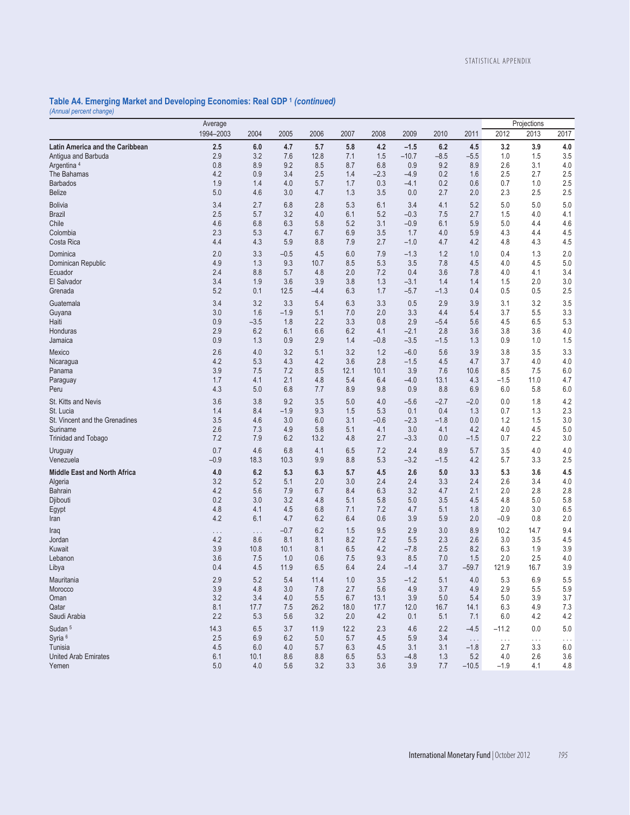## **Table A4. Emerging Market and Developing Economies: Real GDP 1** *(continued) (Annual percent change)*

| 2006<br>2011<br>2012<br>2013<br>2004<br>2005<br>2007<br>2008<br>2009<br>2010<br>5.7<br><b>Latin America and the Caribbean</b><br>2.5<br>4.7<br>4.2<br>$-1.5$<br>6.2<br>3.2<br>3.9<br>4.0<br>6.0<br>5.8<br>4.5<br>2.9<br>3.2<br>7.6<br>12.8<br>$-10.7$<br>$-8.5$<br>1.5<br>3.5<br>7.1<br>1.5<br>$-5.5$<br>Antiqua and Barbuda<br>1.0<br>8.9<br>9.2<br>9.2<br>2.6<br>3.1<br>4.0<br>Argentina <sup>4</sup><br>0.8<br>8.5<br>8.7<br>6.8<br>0.9<br>8.9<br>4.2<br>0.9<br>0.2<br>2.5<br>The Bahamas<br>3.4<br>2.5<br>1.4<br>$-2.3$<br>$-4.9$<br>1.6<br>2.5<br>2.7<br>0.2<br>2.5<br><b>Barbados</b><br>1.9<br>1.4<br>4.0<br>5.7<br>1.7<br>0.3<br>$-4.1$<br>0.6<br>0.7<br>1.0<br>5.0<br>4.6<br>2.5<br>3.0<br>4.7<br>1.3<br>3.5<br>0.0<br>2.7<br>2.0<br>2.3<br>2.5<br><b>Belize</b><br>2.7<br>6.8<br>2.8<br>5.3<br>3.4<br>5.2<br>5.0<br><b>Bolivia</b><br>3.4<br>6.1<br>4.1<br>5.0<br>5.0<br><b>Brazil</b><br>2.5<br>3.2<br>6.1<br>5.2<br>$-0.3$<br>2.7<br>4.0<br>4.1<br>5.7<br>4.0<br>7.5<br>1.5<br>4.6<br>6.8<br>6.3<br>5.2<br>3.1<br>4.6<br>Chile<br>5.8<br>$-0.9$<br>6.1<br>5.9<br>5.0<br>4.4<br>Colombia<br>2.3<br>6.7<br>6.9<br>3.5<br>5.9<br>4.3<br>4.5<br>5.3<br>4.7<br>1.7<br>4.0<br>4.4<br>Costa Rica<br>4.4<br>4.3<br>5.9<br>8.8<br>$-1.0$<br>4.2<br>4.5<br>7.9<br>2.7<br>4.7<br>4.8<br>4.3<br>2.0<br>3.3<br>$-0.5$<br>4.5<br>$-1.3$<br>1.2<br>1.0<br>2.0<br>6.0<br>7.9<br>0.4<br>1.3<br>Dominica<br>4.9<br>1.3<br>9.3<br>10.7<br>8.5<br>5.3<br>3.5<br>7.8<br>4.0<br>4.5<br>5.0<br>Dominican Republic<br>4.5<br>2.4<br>8.8<br>4.8<br>2.0<br>7.2<br>0.4<br>3.6<br>3.4<br>5.7<br>7.8<br>4.0<br>4.1<br>Ecuador<br>1.3<br>3.0<br>El Salvador<br>3.4<br>1.9<br>3.6<br>3.9<br>3.8<br>$-3.1$<br>1.4<br>1.4<br>1.5<br>2.0<br>5.2<br>2.5<br>Grenada<br>0.1<br>12.5<br>$-4.4$<br>6.3<br>1.7<br>$-5.7$<br>$-1.3$<br>0.4<br>0.5<br>0.5<br>3.2<br>3.3<br>2.9<br>3.9<br>3.2<br>3.5<br>3.4<br>5.4<br>6.3<br>3.3<br>0.5<br>3.1<br>Guatemala<br>1.6<br>$-1.9$<br>3.3<br>5.5<br>3.3<br>Guyana<br>3.0<br>5.1<br>7.0<br>2.0<br>4.4<br>5.4<br>3.7<br>2.2<br>2.9<br>5.3<br>0.9<br>$-3.5$<br>1.8<br>3.3<br>0.8<br>$-5.4$<br>5.6<br>4.5<br>6.5<br>Haiti<br>6.2<br>2.8<br>4.0<br>Honduras<br>2.9<br>6.1<br>6.6<br>6.2<br>4.1<br>$-2.1$<br>3.6<br>3.8<br>3.6<br>0.9<br>0.9<br>1.3<br>2.9<br>1.4<br>$-0.8$<br>$-3.5$<br>$-1.5$<br>1.3<br>0.9<br>1.0<br>1.5<br>Jamaica<br>2.6<br>4.0<br>3.2<br>5.1<br>3.2<br>1.2<br>$-6.0$<br>5.6<br>3.9<br>3.3<br>3.8<br>3.5<br>Mexico<br>4.0<br>4.2<br>5.3<br>4.3<br>4.2<br>3.6<br>2.8<br>$-1.5$<br>4.5<br>4.7<br>3.7<br>4.0<br>Nicaragua<br>6.0<br>3.9<br>7.5<br>7.2<br>8.5<br>12.1<br>10.1<br>3.9<br>7.6<br>10.6<br>8.5<br>7.5<br>Panama<br>1.7<br>4.1<br>2.1<br>4.8<br>5.4<br>6.4<br>$-4.0$<br>13.1<br>4.3<br>$-1.5$<br>11.0<br>4.7<br>Paraguay<br>4.3<br>6.8<br>6.0<br>5.0<br>7.7<br>8.9<br>9.8<br>0.9<br>8.8<br>6.9<br>6.0<br>5.8<br>Peru<br>3.6<br>9.2<br>4.2<br>St. Kitts and Nevis<br>3.8<br>3.5<br>5.0<br>4.0<br>$-5.6$<br>$-2.7$<br>$-2.0$<br>0.0<br>1.8<br>$-1.9$<br>2.3<br>St. Lucia<br>1.4<br>8.4<br>9.3<br>1.5<br>5.3<br>0.1<br>0.4<br>1.3<br>0.7<br>1.3<br>3.0<br>3.0<br>St. Vincent and the Grenadines<br>3.5<br>4.6<br>6.0<br>3.1<br>$-0.6$<br>$-2.3$<br>$-1.8$<br>0.0<br>1.2<br>1.5<br>2.6<br>5.0<br>7.3<br>4.9<br>5.8<br>3.0<br>4.1<br>4.2<br>4.0<br>4.5<br>Suriname<br>5.1<br>4.1<br>7.2<br>7.9<br>6.2<br>13.2<br>2.2<br>3.0<br>4.8<br>2.7<br>$-3.3$<br>0.0<br>0.7<br><b>Trinidad and Tobago</b><br>$-1.5$<br>0.7<br>6.8<br>2.4<br>8.9<br>4.0<br>4.6<br>4.1<br>6.5<br>7.2<br>5.7<br>3.5<br>4.0<br>Uruguay<br>$-0.9$<br>10.3<br>9.9<br>8.8<br>5.3<br>$-3.2$<br>2.5<br>18.3<br>$-1.5$<br>4.2<br>5.7<br>3.3<br>Venezuela<br>4.5<br><b>Middle East and North Africa</b><br>4.0<br>6.2<br>5.3<br>6.3<br>5.7<br>4.5<br>2.6<br>5.0<br>3.3<br>5.3<br>3.6<br>3.2<br>5.2<br>2.0<br>3.0<br>2.4<br>3.3<br>2.6<br>3.4<br>4.0<br>5.1<br>2.4<br>2.4<br>Algeria<br>4.2<br>5.6<br>6.3<br>3.2<br>2.1<br>2.0<br>2.8<br>7.9<br>6.7<br>8.4<br>4.7<br>2.8<br><b>Bahrain</b><br>0.2<br>3.0<br>3.2<br>4.8<br>5.8<br>5.1<br>5.8<br>5.0<br>3.5<br>4.5<br>4.8<br>5.0<br>Djibouti<br>4.8<br>4.5<br>6.8<br>4.7<br>3.0<br>6.5<br>Egypt<br>4.1<br>7.1<br>7.2<br>5.1<br>1.8<br>2.0<br>4.2<br>6.1<br>4.7<br>6.2<br>3.9<br>5.9<br>$-0.9$<br>2.0<br>6.4<br>0.6<br>2.0<br>0.8<br>Iran<br>$-0.7$<br>6.2<br>9.5<br>2.9<br>3.0<br>8.9<br>9.4<br>1.5<br>10.2<br>14.7<br>Iraq<br>$\ldots$<br>$\cdots$<br>4.2<br>8.6<br>8.1<br>8.2<br>7.2<br>5.5<br>2.3<br>3.5<br>4.5<br>8.1<br>2.6<br>3.0<br>Jordan<br>4.2<br>3.9<br>Kuwait<br>3.9<br>10.8<br>10.1<br>8.1<br>6.5<br>$-7.8$<br>2.5<br>8.2<br>6.3<br>1.9<br>9.3<br>8.5<br>7.0<br>2.0<br>4.0<br>3.6<br>7.5<br>1.0<br>0.6<br>7.5<br>1.5<br>2.5<br>Lebanon<br>4.5<br>6.5<br>$-59.7$<br>3.9<br>0.4<br>11.9<br>6.4<br>2.4<br>$-1.4$<br>3.7<br>121.9<br>16.7<br>Libya<br>$3.5\,$<br>$-1.2$<br>$5.1$<br>4.0<br>$6.9\,$<br>Mauritania<br>2.9<br>5.2<br>5.4<br>11.4<br>$1.0$<br>$5.3\,$<br>$5.5\,$<br>5.9<br>3.9<br>3.0<br>3.7<br>4.9<br>2.9<br>5.5<br>Morocco<br>4.8<br>7.8<br>2.7<br>5.6<br>4.9<br>3.2<br>3.9<br>3.9<br>3.7<br>Oman<br>3.4<br>4.0<br>5.5<br>6.7<br>13.1<br>5.0<br>5.4<br>5.0<br>8.1<br>7.3<br>Qatar<br>17.7<br>7.5<br>26.2<br>18.0<br>17.7<br>12.0<br>16.7<br>14.1<br>6.3<br>4.9<br>2.2<br>4.2<br>Saudi Arabia<br>5.3<br>5.6<br>3.2<br>2.0<br>4.2<br>0.1<br>5.1<br>7.1<br>6.0<br>4.2<br>Sudan <sup>5</sup><br>14.3<br>6.5<br>3.7<br>11.9<br>12.2<br>2.3<br>4.6<br>2.2<br>$-4.5$<br>5.0<br>$-11.2$<br>0.0<br>Syria <sup>6</sup><br>2.5<br>6.9<br>6.2<br>5.0<br>5.7<br>4.5<br>5.9<br>3.4<br>$\ldots$<br>$\ldots$<br>$\ldots$<br>.<br>Tunisia<br>4.5<br>6.0<br>4.0<br>5.7<br>6.3<br>4.5<br>3.1<br>3.1<br>$-1.8$<br>2.7<br>3.3<br>6.0<br><b>United Arab Emirates</b><br>6.1<br>8.6<br>8.8<br>5.3<br>$-4.8$<br>5.2<br>4.0<br>2.6<br>3.6<br>10.1<br>6.5<br>1.3<br>$5.0\,$<br>4.0<br>3.3<br>3.9<br>5.6<br>3.2<br>3.6<br>7.7<br>$-10.5$<br>$-1.9$<br>4.1<br>4.8<br>Yemen | Average   |  |  |  |  |  |  |  |  | Projections |      |
|-----------------------------------------------------------------------------------------------------------------------------------------------------------------------------------------------------------------------------------------------------------------------------------------------------------------------------------------------------------------------------------------------------------------------------------------------------------------------------------------------------------------------------------------------------------------------------------------------------------------------------------------------------------------------------------------------------------------------------------------------------------------------------------------------------------------------------------------------------------------------------------------------------------------------------------------------------------------------------------------------------------------------------------------------------------------------------------------------------------------------------------------------------------------------------------------------------------------------------------------------------------------------------------------------------------------------------------------------------------------------------------------------------------------------------------------------------------------------------------------------------------------------------------------------------------------------------------------------------------------------------------------------------------------------------------------------------------------------------------------------------------------------------------------------------------------------------------------------------------------------------------------------------------------------------------------------------------------------------------------------------------------------------------------------------------------------------------------------------------------------------------------------------------------------------------------------------------------------------------------------------------------------------------------------------------------------------------------------------------------------------------------------------------------------------------------------------------------------------------------------------------------------------------------------------------------------------------------------------------------------------------------------------------------------------------------------------------------------------------------------------------------------------------------------------------------------------------------------------------------------------------------------------------------------------------------------------------------------------------------------------------------------------------------------------------------------------------------------------------------------------------------------------------------------------------------------------------------------------------------------------------------------------------------------------------------------------------------------------------------------------------------------------------------------------------------------------------------------------------------------------------------------------------------------------------------------------------------------------------------------------------------------------------------------------------------------------------------------------------------------------------------------------------------------------------------------------------------------------------------------------------------------------------------------------------------------------------------------------------------------------------------------------------------------------------------------------------------------------------------------------------------------------------------------------------------------------------------------------------------------------------------------------------------------------------------------------------------------------------------------------------------------------------------------------------------------------------------------------------------------------------------------------------------------------------------------------------------------------------------------------------------------------------------------------------------------------------------------------------------------------------------------------------------------------------------------------------------------------------------------------------------------------------------------------------------------------------------------------------------------------------------------------------------------------------------------------------------------------------------------------------------------------------------------------------------------------------------------------------------------------------------------------------------------------------------------------------------------------------------------------------------------------------------------------------------------------------------------------------------------------------------------------------------------------------------------------------------------------------------------------------------------------------------------------------------------------------------------------------------------------------------------------------------------------------------------------------------------------------------------------------------------------------|-----------|--|--|--|--|--|--|--|--|-------------|------|
|                                                                                                                                                                                                                                                                                                                                                                                                                                                                                                                                                                                                                                                                                                                                                                                                                                                                                                                                                                                                                                                                                                                                                                                                                                                                                                                                                                                                                                                                                                                                                                                                                                                                                                                                                                                                                                                                                                                                                                                                                                                                                                                                                                                                                                                                                                                                                                                                                                                                                                                                                                                                                                                                                                                                                                                                                                                                                                                                                                                                                                                                                                                                                                                                                                                                                                                                                                                                                                                                                                                                                                                                                                                                                                                                                                                                                                                                                                                                                                                                                                                                                                                                                                                                                                                                                                                                                                                                                                                                                                                                                                                                                                                                                                                                                                                                                                                                                                                                                                                                                                                                                                                                                                                                                                                                                                                                                                                                                                                                                                                                                                                                                                                                                                                                                                                                                                                                                                           | 1994-2003 |  |  |  |  |  |  |  |  |             | 2017 |
|                                                                                                                                                                                                                                                                                                                                                                                                                                                                                                                                                                                                                                                                                                                                                                                                                                                                                                                                                                                                                                                                                                                                                                                                                                                                                                                                                                                                                                                                                                                                                                                                                                                                                                                                                                                                                                                                                                                                                                                                                                                                                                                                                                                                                                                                                                                                                                                                                                                                                                                                                                                                                                                                                                                                                                                                                                                                                                                                                                                                                                                                                                                                                                                                                                                                                                                                                                                                                                                                                                                                                                                                                                                                                                                                                                                                                                                                                                                                                                                                                                                                                                                                                                                                                                                                                                                                                                                                                                                                                                                                                                                                                                                                                                                                                                                                                                                                                                                                                                                                                                                                                                                                                                                                                                                                                                                                                                                                                                                                                                                                                                                                                                                                                                                                                                                                                                                                                                           |           |  |  |  |  |  |  |  |  |             |      |
|                                                                                                                                                                                                                                                                                                                                                                                                                                                                                                                                                                                                                                                                                                                                                                                                                                                                                                                                                                                                                                                                                                                                                                                                                                                                                                                                                                                                                                                                                                                                                                                                                                                                                                                                                                                                                                                                                                                                                                                                                                                                                                                                                                                                                                                                                                                                                                                                                                                                                                                                                                                                                                                                                                                                                                                                                                                                                                                                                                                                                                                                                                                                                                                                                                                                                                                                                                                                                                                                                                                                                                                                                                                                                                                                                                                                                                                                                                                                                                                                                                                                                                                                                                                                                                                                                                                                                                                                                                                                                                                                                                                                                                                                                                                                                                                                                                                                                                                                                                                                                                                                                                                                                                                                                                                                                                                                                                                                                                                                                                                                                                                                                                                                                                                                                                                                                                                                                                           |           |  |  |  |  |  |  |  |  |             |      |
|                                                                                                                                                                                                                                                                                                                                                                                                                                                                                                                                                                                                                                                                                                                                                                                                                                                                                                                                                                                                                                                                                                                                                                                                                                                                                                                                                                                                                                                                                                                                                                                                                                                                                                                                                                                                                                                                                                                                                                                                                                                                                                                                                                                                                                                                                                                                                                                                                                                                                                                                                                                                                                                                                                                                                                                                                                                                                                                                                                                                                                                                                                                                                                                                                                                                                                                                                                                                                                                                                                                                                                                                                                                                                                                                                                                                                                                                                                                                                                                                                                                                                                                                                                                                                                                                                                                                                                                                                                                                                                                                                                                                                                                                                                                                                                                                                                                                                                                                                                                                                                                                                                                                                                                                                                                                                                                                                                                                                                                                                                                                                                                                                                                                                                                                                                                                                                                                                                           |           |  |  |  |  |  |  |  |  |             |      |
|                                                                                                                                                                                                                                                                                                                                                                                                                                                                                                                                                                                                                                                                                                                                                                                                                                                                                                                                                                                                                                                                                                                                                                                                                                                                                                                                                                                                                                                                                                                                                                                                                                                                                                                                                                                                                                                                                                                                                                                                                                                                                                                                                                                                                                                                                                                                                                                                                                                                                                                                                                                                                                                                                                                                                                                                                                                                                                                                                                                                                                                                                                                                                                                                                                                                                                                                                                                                                                                                                                                                                                                                                                                                                                                                                                                                                                                                                                                                                                                                                                                                                                                                                                                                                                                                                                                                                                                                                                                                                                                                                                                                                                                                                                                                                                                                                                                                                                                                                                                                                                                                                                                                                                                                                                                                                                                                                                                                                                                                                                                                                                                                                                                                                                                                                                                                                                                                                                           |           |  |  |  |  |  |  |  |  |             |      |
|                                                                                                                                                                                                                                                                                                                                                                                                                                                                                                                                                                                                                                                                                                                                                                                                                                                                                                                                                                                                                                                                                                                                                                                                                                                                                                                                                                                                                                                                                                                                                                                                                                                                                                                                                                                                                                                                                                                                                                                                                                                                                                                                                                                                                                                                                                                                                                                                                                                                                                                                                                                                                                                                                                                                                                                                                                                                                                                                                                                                                                                                                                                                                                                                                                                                                                                                                                                                                                                                                                                                                                                                                                                                                                                                                                                                                                                                                                                                                                                                                                                                                                                                                                                                                                                                                                                                                                                                                                                                                                                                                                                                                                                                                                                                                                                                                                                                                                                                                                                                                                                                                                                                                                                                                                                                                                                                                                                                                                                                                                                                                                                                                                                                                                                                                                                                                                                                                                           |           |  |  |  |  |  |  |  |  |             |      |
|                                                                                                                                                                                                                                                                                                                                                                                                                                                                                                                                                                                                                                                                                                                                                                                                                                                                                                                                                                                                                                                                                                                                                                                                                                                                                                                                                                                                                                                                                                                                                                                                                                                                                                                                                                                                                                                                                                                                                                                                                                                                                                                                                                                                                                                                                                                                                                                                                                                                                                                                                                                                                                                                                                                                                                                                                                                                                                                                                                                                                                                                                                                                                                                                                                                                                                                                                                                                                                                                                                                                                                                                                                                                                                                                                                                                                                                                                                                                                                                                                                                                                                                                                                                                                                                                                                                                                                                                                                                                                                                                                                                                                                                                                                                                                                                                                                                                                                                                                                                                                                                                                                                                                                                                                                                                                                                                                                                                                                                                                                                                                                                                                                                                                                                                                                                                                                                                                                           |           |  |  |  |  |  |  |  |  |             |      |
|                                                                                                                                                                                                                                                                                                                                                                                                                                                                                                                                                                                                                                                                                                                                                                                                                                                                                                                                                                                                                                                                                                                                                                                                                                                                                                                                                                                                                                                                                                                                                                                                                                                                                                                                                                                                                                                                                                                                                                                                                                                                                                                                                                                                                                                                                                                                                                                                                                                                                                                                                                                                                                                                                                                                                                                                                                                                                                                                                                                                                                                                                                                                                                                                                                                                                                                                                                                                                                                                                                                                                                                                                                                                                                                                                                                                                                                                                                                                                                                                                                                                                                                                                                                                                                                                                                                                                                                                                                                                                                                                                                                                                                                                                                                                                                                                                                                                                                                                                                                                                                                                                                                                                                                                                                                                                                                                                                                                                                                                                                                                                                                                                                                                                                                                                                                                                                                                                                           |           |  |  |  |  |  |  |  |  |             |      |
|                                                                                                                                                                                                                                                                                                                                                                                                                                                                                                                                                                                                                                                                                                                                                                                                                                                                                                                                                                                                                                                                                                                                                                                                                                                                                                                                                                                                                                                                                                                                                                                                                                                                                                                                                                                                                                                                                                                                                                                                                                                                                                                                                                                                                                                                                                                                                                                                                                                                                                                                                                                                                                                                                                                                                                                                                                                                                                                                                                                                                                                                                                                                                                                                                                                                                                                                                                                                                                                                                                                                                                                                                                                                                                                                                                                                                                                                                                                                                                                                                                                                                                                                                                                                                                                                                                                                                                                                                                                                                                                                                                                                                                                                                                                                                                                                                                                                                                                                                                                                                                                                                                                                                                                                                                                                                                                                                                                                                                                                                                                                                                                                                                                                                                                                                                                                                                                                                                           |           |  |  |  |  |  |  |  |  |             |      |
|                                                                                                                                                                                                                                                                                                                                                                                                                                                                                                                                                                                                                                                                                                                                                                                                                                                                                                                                                                                                                                                                                                                                                                                                                                                                                                                                                                                                                                                                                                                                                                                                                                                                                                                                                                                                                                                                                                                                                                                                                                                                                                                                                                                                                                                                                                                                                                                                                                                                                                                                                                                                                                                                                                                                                                                                                                                                                                                                                                                                                                                                                                                                                                                                                                                                                                                                                                                                                                                                                                                                                                                                                                                                                                                                                                                                                                                                                                                                                                                                                                                                                                                                                                                                                                                                                                                                                                                                                                                                                                                                                                                                                                                                                                                                                                                                                                                                                                                                                                                                                                                                                                                                                                                                                                                                                                                                                                                                                                                                                                                                                                                                                                                                                                                                                                                                                                                                                                           |           |  |  |  |  |  |  |  |  |             |      |
|                                                                                                                                                                                                                                                                                                                                                                                                                                                                                                                                                                                                                                                                                                                                                                                                                                                                                                                                                                                                                                                                                                                                                                                                                                                                                                                                                                                                                                                                                                                                                                                                                                                                                                                                                                                                                                                                                                                                                                                                                                                                                                                                                                                                                                                                                                                                                                                                                                                                                                                                                                                                                                                                                                                                                                                                                                                                                                                                                                                                                                                                                                                                                                                                                                                                                                                                                                                                                                                                                                                                                                                                                                                                                                                                                                                                                                                                                                                                                                                                                                                                                                                                                                                                                                                                                                                                                                                                                                                                                                                                                                                                                                                                                                                                                                                                                                                                                                                                                                                                                                                                                                                                                                                                                                                                                                                                                                                                                                                                                                                                                                                                                                                                                                                                                                                                                                                                                                           |           |  |  |  |  |  |  |  |  |             |      |
|                                                                                                                                                                                                                                                                                                                                                                                                                                                                                                                                                                                                                                                                                                                                                                                                                                                                                                                                                                                                                                                                                                                                                                                                                                                                                                                                                                                                                                                                                                                                                                                                                                                                                                                                                                                                                                                                                                                                                                                                                                                                                                                                                                                                                                                                                                                                                                                                                                                                                                                                                                                                                                                                                                                                                                                                                                                                                                                                                                                                                                                                                                                                                                                                                                                                                                                                                                                                                                                                                                                                                                                                                                                                                                                                                                                                                                                                                                                                                                                                                                                                                                                                                                                                                                                                                                                                                                                                                                                                                                                                                                                                                                                                                                                                                                                                                                                                                                                                                                                                                                                                                                                                                                                                                                                                                                                                                                                                                                                                                                                                                                                                                                                                                                                                                                                                                                                                                                           |           |  |  |  |  |  |  |  |  |             |      |
|                                                                                                                                                                                                                                                                                                                                                                                                                                                                                                                                                                                                                                                                                                                                                                                                                                                                                                                                                                                                                                                                                                                                                                                                                                                                                                                                                                                                                                                                                                                                                                                                                                                                                                                                                                                                                                                                                                                                                                                                                                                                                                                                                                                                                                                                                                                                                                                                                                                                                                                                                                                                                                                                                                                                                                                                                                                                                                                                                                                                                                                                                                                                                                                                                                                                                                                                                                                                                                                                                                                                                                                                                                                                                                                                                                                                                                                                                                                                                                                                                                                                                                                                                                                                                                                                                                                                                                                                                                                                                                                                                                                                                                                                                                                                                                                                                                                                                                                                                                                                                                                                                                                                                                                                                                                                                                                                                                                                                                                                                                                                                                                                                                                                                                                                                                                                                                                                                                           |           |  |  |  |  |  |  |  |  |             |      |
|                                                                                                                                                                                                                                                                                                                                                                                                                                                                                                                                                                                                                                                                                                                                                                                                                                                                                                                                                                                                                                                                                                                                                                                                                                                                                                                                                                                                                                                                                                                                                                                                                                                                                                                                                                                                                                                                                                                                                                                                                                                                                                                                                                                                                                                                                                                                                                                                                                                                                                                                                                                                                                                                                                                                                                                                                                                                                                                                                                                                                                                                                                                                                                                                                                                                                                                                                                                                                                                                                                                                                                                                                                                                                                                                                                                                                                                                                                                                                                                                                                                                                                                                                                                                                                                                                                                                                                                                                                                                                                                                                                                                                                                                                                                                                                                                                                                                                                                                                                                                                                                                                                                                                                                                                                                                                                                                                                                                                                                                                                                                                                                                                                                                                                                                                                                                                                                                                                           |           |  |  |  |  |  |  |  |  |             |      |
|                                                                                                                                                                                                                                                                                                                                                                                                                                                                                                                                                                                                                                                                                                                                                                                                                                                                                                                                                                                                                                                                                                                                                                                                                                                                                                                                                                                                                                                                                                                                                                                                                                                                                                                                                                                                                                                                                                                                                                                                                                                                                                                                                                                                                                                                                                                                                                                                                                                                                                                                                                                                                                                                                                                                                                                                                                                                                                                                                                                                                                                                                                                                                                                                                                                                                                                                                                                                                                                                                                                                                                                                                                                                                                                                                                                                                                                                                                                                                                                                                                                                                                                                                                                                                                                                                                                                                                                                                                                                                                                                                                                                                                                                                                                                                                                                                                                                                                                                                                                                                                                                                                                                                                                                                                                                                                                                                                                                                                                                                                                                                                                                                                                                                                                                                                                                                                                                                                           |           |  |  |  |  |  |  |  |  |             |      |
|                                                                                                                                                                                                                                                                                                                                                                                                                                                                                                                                                                                                                                                                                                                                                                                                                                                                                                                                                                                                                                                                                                                                                                                                                                                                                                                                                                                                                                                                                                                                                                                                                                                                                                                                                                                                                                                                                                                                                                                                                                                                                                                                                                                                                                                                                                                                                                                                                                                                                                                                                                                                                                                                                                                                                                                                                                                                                                                                                                                                                                                                                                                                                                                                                                                                                                                                                                                                                                                                                                                                                                                                                                                                                                                                                                                                                                                                                                                                                                                                                                                                                                                                                                                                                                                                                                                                                                                                                                                                                                                                                                                                                                                                                                                                                                                                                                                                                                                                                                                                                                                                                                                                                                                                                                                                                                                                                                                                                                                                                                                                                                                                                                                                                                                                                                                                                                                                                                           |           |  |  |  |  |  |  |  |  |             |      |
|                                                                                                                                                                                                                                                                                                                                                                                                                                                                                                                                                                                                                                                                                                                                                                                                                                                                                                                                                                                                                                                                                                                                                                                                                                                                                                                                                                                                                                                                                                                                                                                                                                                                                                                                                                                                                                                                                                                                                                                                                                                                                                                                                                                                                                                                                                                                                                                                                                                                                                                                                                                                                                                                                                                                                                                                                                                                                                                                                                                                                                                                                                                                                                                                                                                                                                                                                                                                                                                                                                                                                                                                                                                                                                                                                                                                                                                                                                                                                                                                                                                                                                                                                                                                                                                                                                                                                                                                                                                                                                                                                                                                                                                                                                                                                                                                                                                                                                                                                                                                                                                                                                                                                                                                                                                                                                                                                                                                                                                                                                                                                                                                                                                                                                                                                                                                                                                                                                           |           |  |  |  |  |  |  |  |  |             |      |
|                                                                                                                                                                                                                                                                                                                                                                                                                                                                                                                                                                                                                                                                                                                                                                                                                                                                                                                                                                                                                                                                                                                                                                                                                                                                                                                                                                                                                                                                                                                                                                                                                                                                                                                                                                                                                                                                                                                                                                                                                                                                                                                                                                                                                                                                                                                                                                                                                                                                                                                                                                                                                                                                                                                                                                                                                                                                                                                                                                                                                                                                                                                                                                                                                                                                                                                                                                                                                                                                                                                                                                                                                                                                                                                                                                                                                                                                                                                                                                                                                                                                                                                                                                                                                                                                                                                                                                                                                                                                                                                                                                                                                                                                                                                                                                                                                                                                                                                                                                                                                                                                                                                                                                                                                                                                                                                                                                                                                                                                                                                                                                                                                                                                                                                                                                                                                                                                                                           |           |  |  |  |  |  |  |  |  |             |      |
|                                                                                                                                                                                                                                                                                                                                                                                                                                                                                                                                                                                                                                                                                                                                                                                                                                                                                                                                                                                                                                                                                                                                                                                                                                                                                                                                                                                                                                                                                                                                                                                                                                                                                                                                                                                                                                                                                                                                                                                                                                                                                                                                                                                                                                                                                                                                                                                                                                                                                                                                                                                                                                                                                                                                                                                                                                                                                                                                                                                                                                                                                                                                                                                                                                                                                                                                                                                                                                                                                                                                                                                                                                                                                                                                                                                                                                                                                                                                                                                                                                                                                                                                                                                                                                                                                                                                                                                                                                                                                                                                                                                                                                                                                                                                                                                                                                                                                                                                                                                                                                                                                                                                                                                                                                                                                                                                                                                                                                                                                                                                                                                                                                                                                                                                                                                                                                                                                                           |           |  |  |  |  |  |  |  |  |             |      |
|                                                                                                                                                                                                                                                                                                                                                                                                                                                                                                                                                                                                                                                                                                                                                                                                                                                                                                                                                                                                                                                                                                                                                                                                                                                                                                                                                                                                                                                                                                                                                                                                                                                                                                                                                                                                                                                                                                                                                                                                                                                                                                                                                                                                                                                                                                                                                                                                                                                                                                                                                                                                                                                                                                                                                                                                                                                                                                                                                                                                                                                                                                                                                                                                                                                                                                                                                                                                                                                                                                                                                                                                                                                                                                                                                                                                                                                                                                                                                                                                                                                                                                                                                                                                                                                                                                                                                                                                                                                                                                                                                                                                                                                                                                                                                                                                                                                                                                                                                                                                                                                                                                                                                                                                                                                                                                                                                                                                                                                                                                                                                                                                                                                                                                                                                                                                                                                                                                           |           |  |  |  |  |  |  |  |  |             |      |
|                                                                                                                                                                                                                                                                                                                                                                                                                                                                                                                                                                                                                                                                                                                                                                                                                                                                                                                                                                                                                                                                                                                                                                                                                                                                                                                                                                                                                                                                                                                                                                                                                                                                                                                                                                                                                                                                                                                                                                                                                                                                                                                                                                                                                                                                                                                                                                                                                                                                                                                                                                                                                                                                                                                                                                                                                                                                                                                                                                                                                                                                                                                                                                                                                                                                                                                                                                                                                                                                                                                                                                                                                                                                                                                                                                                                                                                                                                                                                                                                                                                                                                                                                                                                                                                                                                                                                                                                                                                                                                                                                                                                                                                                                                                                                                                                                                                                                                                                                                                                                                                                                                                                                                                                                                                                                                                                                                                                                                                                                                                                                                                                                                                                                                                                                                                                                                                                                                           |           |  |  |  |  |  |  |  |  |             |      |
|                                                                                                                                                                                                                                                                                                                                                                                                                                                                                                                                                                                                                                                                                                                                                                                                                                                                                                                                                                                                                                                                                                                                                                                                                                                                                                                                                                                                                                                                                                                                                                                                                                                                                                                                                                                                                                                                                                                                                                                                                                                                                                                                                                                                                                                                                                                                                                                                                                                                                                                                                                                                                                                                                                                                                                                                                                                                                                                                                                                                                                                                                                                                                                                                                                                                                                                                                                                                                                                                                                                                                                                                                                                                                                                                                                                                                                                                                                                                                                                                                                                                                                                                                                                                                                                                                                                                                                                                                                                                                                                                                                                                                                                                                                                                                                                                                                                                                                                                                                                                                                                                                                                                                                                                                                                                                                                                                                                                                                                                                                                                                                                                                                                                                                                                                                                                                                                                                                           |           |  |  |  |  |  |  |  |  |             |      |
|                                                                                                                                                                                                                                                                                                                                                                                                                                                                                                                                                                                                                                                                                                                                                                                                                                                                                                                                                                                                                                                                                                                                                                                                                                                                                                                                                                                                                                                                                                                                                                                                                                                                                                                                                                                                                                                                                                                                                                                                                                                                                                                                                                                                                                                                                                                                                                                                                                                                                                                                                                                                                                                                                                                                                                                                                                                                                                                                                                                                                                                                                                                                                                                                                                                                                                                                                                                                                                                                                                                                                                                                                                                                                                                                                                                                                                                                                                                                                                                                                                                                                                                                                                                                                                                                                                                                                                                                                                                                                                                                                                                                                                                                                                                                                                                                                                                                                                                                                                                                                                                                                                                                                                                                                                                                                                                                                                                                                                                                                                                                                                                                                                                                                                                                                                                                                                                                                                           |           |  |  |  |  |  |  |  |  |             |      |
|                                                                                                                                                                                                                                                                                                                                                                                                                                                                                                                                                                                                                                                                                                                                                                                                                                                                                                                                                                                                                                                                                                                                                                                                                                                                                                                                                                                                                                                                                                                                                                                                                                                                                                                                                                                                                                                                                                                                                                                                                                                                                                                                                                                                                                                                                                                                                                                                                                                                                                                                                                                                                                                                                                                                                                                                                                                                                                                                                                                                                                                                                                                                                                                                                                                                                                                                                                                                                                                                                                                                                                                                                                                                                                                                                                                                                                                                                                                                                                                                                                                                                                                                                                                                                                                                                                                                                                                                                                                                                                                                                                                                                                                                                                                                                                                                                                                                                                                                                                                                                                                                                                                                                                                                                                                                                                                                                                                                                                                                                                                                                                                                                                                                                                                                                                                                                                                                                                           |           |  |  |  |  |  |  |  |  |             |      |
|                                                                                                                                                                                                                                                                                                                                                                                                                                                                                                                                                                                                                                                                                                                                                                                                                                                                                                                                                                                                                                                                                                                                                                                                                                                                                                                                                                                                                                                                                                                                                                                                                                                                                                                                                                                                                                                                                                                                                                                                                                                                                                                                                                                                                                                                                                                                                                                                                                                                                                                                                                                                                                                                                                                                                                                                                                                                                                                                                                                                                                                                                                                                                                                                                                                                                                                                                                                                                                                                                                                                                                                                                                                                                                                                                                                                                                                                                                                                                                                                                                                                                                                                                                                                                                                                                                                                                                                                                                                                                                                                                                                                                                                                                                                                                                                                                                                                                                                                                                                                                                                                                                                                                                                                                                                                                                                                                                                                                                                                                                                                                                                                                                                                                                                                                                                                                                                                                                           |           |  |  |  |  |  |  |  |  |             |      |
|                                                                                                                                                                                                                                                                                                                                                                                                                                                                                                                                                                                                                                                                                                                                                                                                                                                                                                                                                                                                                                                                                                                                                                                                                                                                                                                                                                                                                                                                                                                                                                                                                                                                                                                                                                                                                                                                                                                                                                                                                                                                                                                                                                                                                                                                                                                                                                                                                                                                                                                                                                                                                                                                                                                                                                                                                                                                                                                                                                                                                                                                                                                                                                                                                                                                                                                                                                                                                                                                                                                                                                                                                                                                                                                                                                                                                                                                                                                                                                                                                                                                                                                                                                                                                                                                                                                                                                                                                                                                                                                                                                                                                                                                                                                                                                                                                                                                                                                                                                                                                                                                                                                                                                                                                                                                                                                                                                                                                                                                                                                                                                                                                                                                                                                                                                                                                                                                                                           |           |  |  |  |  |  |  |  |  |             |      |
|                                                                                                                                                                                                                                                                                                                                                                                                                                                                                                                                                                                                                                                                                                                                                                                                                                                                                                                                                                                                                                                                                                                                                                                                                                                                                                                                                                                                                                                                                                                                                                                                                                                                                                                                                                                                                                                                                                                                                                                                                                                                                                                                                                                                                                                                                                                                                                                                                                                                                                                                                                                                                                                                                                                                                                                                                                                                                                                                                                                                                                                                                                                                                                                                                                                                                                                                                                                                                                                                                                                                                                                                                                                                                                                                                                                                                                                                                                                                                                                                                                                                                                                                                                                                                                                                                                                                                                                                                                                                                                                                                                                                                                                                                                                                                                                                                                                                                                                                                                                                                                                                                                                                                                                                                                                                                                                                                                                                                                                                                                                                                                                                                                                                                                                                                                                                                                                                                                           |           |  |  |  |  |  |  |  |  |             |      |
|                                                                                                                                                                                                                                                                                                                                                                                                                                                                                                                                                                                                                                                                                                                                                                                                                                                                                                                                                                                                                                                                                                                                                                                                                                                                                                                                                                                                                                                                                                                                                                                                                                                                                                                                                                                                                                                                                                                                                                                                                                                                                                                                                                                                                                                                                                                                                                                                                                                                                                                                                                                                                                                                                                                                                                                                                                                                                                                                                                                                                                                                                                                                                                                                                                                                                                                                                                                                                                                                                                                                                                                                                                                                                                                                                                                                                                                                                                                                                                                                                                                                                                                                                                                                                                                                                                                                                                                                                                                                                                                                                                                                                                                                                                                                                                                                                                                                                                                                                                                                                                                                                                                                                                                                                                                                                                                                                                                                                                                                                                                                                                                                                                                                                                                                                                                                                                                                                                           |           |  |  |  |  |  |  |  |  |             |      |
|                                                                                                                                                                                                                                                                                                                                                                                                                                                                                                                                                                                                                                                                                                                                                                                                                                                                                                                                                                                                                                                                                                                                                                                                                                                                                                                                                                                                                                                                                                                                                                                                                                                                                                                                                                                                                                                                                                                                                                                                                                                                                                                                                                                                                                                                                                                                                                                                                                                                                                                                                                                                                                                                                                                                                                                                                                                                                                                                                                                                                                                                                                                                                                                                                                                                                                                                                                                                                                                                                                                                                                                                                                                                                                                                                                                                                                                                                                                                                                                                                                                                                                                                                                                                                                                                                                                                                                                                                                                                                                                                                                                                                                                                                                                                                                                                                                                                                                                                                                                                                                                                                                                                                                                                                                                                                                                                                                                                                                                                                                                                                                                                                                                                                                                                                                                                                                                                                                           |           |  |  |  |  |  |  |  |  |             |      |
|                                                                                                                                                                                                                                                                                                                                                                                                                                                                                                                                                                                                                                                                                                                                                                                                                                                                                                                                                                                                                                                                                                                                                                                                                                                                                                                                                                                                                                                                                                                                                                                                                                                                                                                                                                                                                                                                                                                                                                                                                                                                                                                                                                                                                                                                                                                                                                                                                                                                                                                                                                                                                                                                                                                                                                                                                                                                                                                                                                                                                                                                                                                                                                                                                                                                                                                                                                                                                                                                                                                                                                                                                                                                                                                                                                                                                                                                                                                                                                                                                                                                                                                                                                                                                                                                                                                                                                                                                                                                                                                                                                                                                                                                                                                                                                                                                                                                                                                                                                                                                                                                                                                                                                                                                                                                                                                                                                                                                                                                                                                                                                                                                                                                                                                                                                                                                                                                                                           |           |  |  |  |  |  |  |  |  |             |      |
|                                                                                                                                                                                                                                                                                                                                                                                                                                                                                                                                                                                                                                                                                                                                                                                                                                                                                                                                                                                                                                                                                                                                                                                                                                                                                                                                                                                                                                                                                                                                                                                                                                                                                                                                                                                                                                                                                                                                                                                                                                                                                                                                                                                                                                                                                                                                                                                                                                                                                                                                                                                                                                                                                                                                                                                                                                                                                                                                                                                                                                                                                                                                                                                                                                                                                                                                                                                                                                                                                                                                                                                                                                                                                                                                                                                                                                                                                                                                                                                                                                                                                                                                                                                                                                                                                                                                                                                                                                                                                                                                                                                                                                                                                                                                                                                                                                                                                                                                                                                                                                                                                                                                                                                                                                                                                                                                                                                                                                                                                                                                                                                                                                                                                                                                                                                                                                                                                                           |           |  |  |  |  |  |  |  |  |             |      |
|                                                                                                                                                                                                                                                                                                                                                                                                                                                                                                                                                                                                                                                                                                                                                                                                                                                                                                                                                                                                                                                                                                                                                                                                                                                                                                                                                                                                                                                                                                                                                                                                                                                                                                                                                                                                                                                                                                                                                                                                                                                                                                                                                                                                                                                                                                                                                                                                                                                                                                                                                                                                                                                                                                                                                                                                                                                                                                                                                                                                                                                                                                                                                                                                                                                                                                                                                                                                                                                                                                                                                                                                                                                                                                                                                                                                                                                                                                                                                                                                                                                                                                                                                                                                                                                                                                                                                                                                                                                                                                                                                                                                                                                                                                                                                                                                                                                                                                                                                                                                                                                                                                                                                                                                                                                                                                                                                                                                                                                                                                                                                                                                                                                                                                                                                                                                                                                                                                           |           |  |  |  |  |  |  |  |  |             |      |
|                                                                                                                                                                                                                                                                                                                                                                                                                                                                                                                                                                                                                                                                                                                                                                                                                                                                                                                                                                                                                                                                                                                                                                                                                                                                                                                                                                                                                                                                                                                                                                                                                                                                                                                                                                                                                                                                                                                                                                                                                                                                                                                                                                                                                                                                                                                                                                                                                                                                                                                                                                                                                                                                                                                                                                                                                                                                                                                                                                                                                                                                                                                                                                                                                                                                                                                                                                                                                                                                                                                                                                                                                                                                                                                                                                                                                                                                                                                                                                                                                                                                                                                                                                                                                                                                                                                                                                                                                                                                                                                                                                                                                                                                                                                                                                                                                                                                                                                                                                                                                                                                                                                                                                                                                                                                                                                                                                                                                                                                                                                                                                                                                                                                                                                                                                                                                                                                                                           |           |  |  |  |  |  |  |  |  |             |      |
|                                                                                                                                                                                                                                                                                                                                                                                                                                                                                                                                                                                                                                                                                                                                                                                                                                                                                                                                                                                                                                                                                                                                                                                                                                                                                                                                                                                                                                                                                                                                                                                                                                                                                                                                                                                                                                                                                                                                                                                                                                                                                                                                                                                                                                                                                                                                                                                                                                                                                                                                                                                                                                                                                                                                                                                                                                                                                                                                                                                                                                                                                                                                                                                                                                                                                                                                                                                                                                                                                                                                                                                                                                                                                                                                                                                                                                                                                                                                                                                                                                                                                                                                                                                                                                                                                                                                                                                                                                                                                                                                                                                                                                                                                                                                                                                                                                                                                                                                                                                                                                                                                                                                                                                                                                                                                                                                                                                                                                                                                                                                                                                                                                                                                                                                                                                                                                                                                                           |           |  |  |  |  |  |  |  |  |             |      |
|                                                                                                                                                                                                                                                                                                                                                                                                                                                                                                                                                                                                                                                                                                                                                                                                                                                                                                                                                                                                                                                                                                                                                                                                                                                                                                                                                                                                                                                                                                                                                                                                                                                                                                                                                                                                                                                                                                                                                                                                                                                                                                                                                                                                                                                                                                                                                                                                                                                                                                                                                                                                                                                                                                                                                                                                                                                                                                                                                                                                                                                                                                                                                                                                                                                                                                                                                                                                                                                                                                                                                                                                                                                                                                                                                                                                                                                                                                                                                                                                                                                                                                                                                                                                                                                                                                                                                                                                                                                                                                                                                                                                                                                                                                                                                                                                                                                                                                                                                                                                                                                                                                                                                                                                                                                                                                                                                                                                                                                                                                                                                                                                                                                                                                                                                                                                                                                                                                           |           |  |  |  |  |  |  |  |  |             |      |
|                                                                                                                                                                                                                                                                                                                                                                                                                                                                                                                                                                                                                                                                                                                                                                                                                                                                                                                                                                                                                                                                                                                                                                                                                                                                                                                                                                                                                                                                                                                                                                                                                                                                                                                                                                                                                                                                                                                                                                                                                                                                                                                                                                                                                                                                                                                                                                                                                                                                                                                                                                                                                                                                                                                                                                                                                                                                                                                                                                                                                                                                                                                                                                                                                                                                                                                                                                                                                                                                                                                                                                                                                                                                                                                                                                                                                                                                                                                                                                                                                                                                                                                                                                                                                                                                                                                                                                                                                                                                                                                                                                                                                                                                                                                                                                                                                                                                                                                                                                                                                                                                                                                                                                                                                                                                                                                                                                                                                                                                                                                                                                                                                                                                                                                                                                                                                                                                                                           |           |  |  |  |  |  |  |  |  |             |      |
|                                                                                                                                                                                                                                                                                                                                                                                                                                                                                                                                                                                                                                                                                                                                                                                                                                                                                                                                                                                                                                                                                                                                                                                                                                                                                                                                                                                                                                                                                                                                                                                                                                                                                                                                                                                                                                                                                                                                                                                                                                                                                                                                                                                                                                                                                                                                                                                                                                                                                                                                                                                                                                                                                                                                                                                                                                                                                                                                                                                                                                                                                                                                                                                                                                                                                                                                                                                                                                                                                                                                                                                                                                                                                                                                                                                                                                                                                                                                                                                                                                                                                                                                                                                                                                                                                                                                                                                                                                                                                                                                                                                                                                                                                                                                                                                                                                                                                                                                                                                                                                                                                                                                                                                                                                                                                                                                                                                                                                                                                                                                                                                                                                                                                                                                                                                                                                                                                                           |           |  |  |  |  |  |  |  |  |             |      |
|                                                                                                                                                                                                                                                                                                                                                                                                                                                                                                                                                                                                                                                                                                                                                                                                                                                                                                                                                                                                                                                                                                                                                                                                                                                                                                                                                                                                                                                                                                                                                                                                                                                                                                                                                                                                                                                                                                                                                                                                                                                                                                                                                                                                                                                                                                                                                                                                                                                                                                                                                                                                                                                                                                                                                                                                                                                                                                                                                                                                                                                                                                                                                                                                                                                                                                                                                                                                                                                                                                                                                                                                                                                                                                                                                                                                                                                                                                                                                                                                                                                                                                                                                                                                                                                                                                                                                                                                                                                                                                                                                                                                                                                                                                                                                                                                                                                                                                                                                                                                                                                                                                                                                                                                                                                                                                                                                                                                                                                                                                                                                                                                                                                                                                                                                                                                                                                                                                           |           |  |  |  |  |  |  |  |  |             |      |
|                                                                                                                                                                                                                                                                                                                                                                                                                                                                                                                                                                                                                                                                                                                                                                                                                                                                                                                                                                                                                                                                                                                                                                                                                                                                                                                                                                                                                                                                                                                                                                                                                                                                                                                                                                                                                                                                                                                                                                                                                                                                                                                                                                                                                                                                                                                                                                                                                                                                                                                                                                                                                                                                                                                                                                                                                                                                                                                                                                                                                                                                                                                                                                                                                                                                                                                                                                                                                                                                                                                                                                                                                                                                                                                                                                                                                                                                                                                                                                                                                                                                                                                                                                                                                                                                                                                                                                                                                                                                                                                                                                                                                                                                                                                                                                                                                                                                                                                                                                                                                                                                                                                                                                                                                                                                                                                                                                                                                                                                                                                                                                                                                                                                                                                                                                                                                                                                                                           |           |  |  |  |  |  |  |  |  |             |      |
|                                                                                                                                                                                                                                                                                                                                                                                                                                                                                                                                                                                                                                                                                                                                                                                                                                                                                                                                                                                                                                                                                                                                                                                                                                                                                                                                                                                                                                                                                                                                                                                                                                                                                                                                                                                                                                                                                                                                                                                                                                                                                                                                                                                                                                                                                                                                                                                                                                                                                                                                                                                                                                                                                                                                                                                                                                                                                                                                                                                                                                                                                                                                                                                                                                                                                                                                                                                                                                                                                                                                                                                                                                                                                                                                                                                                                                                                                                                                                                                                                                                                                                                                                                                                                                                                                                                                                                                                                                                                                                                                                                                                                                                                                                                                                                                                                                                                                                                                                                                                                                                                                                                                                                                                                                                                                                                                                                                                                                                                                                                                                                                                                                                                                                                                                                                                                                                                                                           |           |  |  |  |  |  |  |  |  |             |      |
|                                                                                                                                                                                                                                                                                                                                                                                                                                                                                                                                                                                                                                                                                                                                                                                                                                                                                                                                                                                                                                                                                                                                                                                                                                                                                                                                                                                                                                                                                                                                                                                                                                                                                                                                                                                                                                                                                                                                                                                                                                                                                                                                                                                                                                                                                                                                                                                                                                                                                                                                                                                                                                                                                                                                                                                                                                                                                                                                                                                                                                                                                                                                                                                                                                                                                                                                                                                                                                                                                                                                                                                                                                                                                                                                                                                                                                                                                                                                                                                                                                                                                                                                                                                                                                                                                                                                                                                                                                                                                                                                                                                                                                                                                                                                                                                                                                                                                                                                                                                                                                                                                                                                                                                                                                                                                                                                                                                                                                                                                                                                                                                                                                                                                                                                                                                                                                                                                                           |           |  |  |  |  |  |  |  |  |             |      |
|                                                                                                                                                                                                                                                                                                                                                                                                                                                                                                                                                                                                                                                                                                                                                                                                                                                                                                                                                                                                                                                                                                                                                                                                                                                                                                                                                                                                                                                                                                                                                                                                                                                                                                                                                                                                                                                                                                                                                                                                                                                                                                                                                                                                                                                                                                                                                                                                                                                                                                                                                                                                                                                                                                                                                                                                                                                                                                                                                                                                                                                                                                                                                                                                                                                                                                                                                                                                                                                                                                                                                                                                                                                                                                                                                                                                                                                                                                                                                                                                                                                                                                                                                                                                                                                                                                                                                                                                                                                                                                                                                                                                                                                                                                                                                                                                                                                                                                                                                                                                                                                                                                                                                                                                                                                                                                                                                                                                                                                                                                                                                                                                                                                                                                                                                                                                                                                                                                           |           |  |  |  |  |  |  |  |  |             |      |
|                                                                                                                                                                                                                                                                                                                                                                                                                                                                                                                                                                                                                                                                                                                                                                                                                                                                                                                                                                                                                                                                                                                                                                                                                                                                                                                                                                                                                                                                                                                                                                                                                                                                                                                                                                                                                                                                                                                                                                                                                                                                                                                                                                                                                                                                                                                                                                                                                                                                                                                                                                                                                                                                                                                                                                                                                                                                                                                                                                                                                                                                                                                                                                                                                                                                                                                                                                                                                                                                                                                                                                                                                                                                                                                                                                                                                                                                                                                                                                                                                                                                                                                                                                                                                                                                                                                                                                                                                                                                                                                                                                                                                                                                                                                                                                                                                                                                                                                                                                                                                                                                                                                                                                                                                                                                                                                                                                                                                                                                                                                                                                                                                                                                                                                                                                                                                                                                                                           |           |  |  |  |  |  |  |  |  |             |      |
|                                                                                                                                                                                                                                                                                                                                                                                                                                                                                                                                                                                                                                                                                                                                                                                                                                                                                                                                                                                                                                                                                                                                                                                                                                                                                                                                                                                                                                                                                                                                                                                                                                                                                                                                                                                                                                                                                                                                                                                                                                                                                                                                                                                                                                                                                                                                                                                                                                                                                                                                                                                                                                                                                                                                                                                                                                                                                                                                                                                                                                                                                                                                                                                                                                                                                                                                                                                                                                                                                                                                                                                                                                                                                                                                                                                                                                                                                                                                                                                                                                                                                                                                                                                                                                                                                                                                                                                                                                                                                                                                                                                                                                                                                                                                                                                                                                                                                                                                                                                                                                                                                                                                                                                                                                                                                                                                                                                                                                                                                                                                                                                                                                                                                                                                                                                                                                                                                                           |           |  |  |  |  |  |  |  |  |             |      |
|                                                                                                                                                                                                                                                                                                                                                                                                                                                                                                                                                                                                                                                                                                                                                                                                                                                                                                                                                                                                                                                                                                                                                                                                                                                                                                                                                                                                                                                                                                                                                                                                                                                                                                                                                                                                                                                                                                                                                                                                                                                                                                                                                                                                                                                                                                                                                                                                                                                                                                                                                                                                                                                                                                                                                                                                                                                                                                                                                                                                                                                                                                                                                                                                                                                                                                                                                                                                                                                                                                                                                                                                                                                                                                                                                                                                                                                                                                                                                                                                                                                                                                                                                                                                                                                                                                                                                                                                                                                                                                                                                                                                                                                                                                                                                                                                                                                                                                                                                                                                                                                                                                                                                                                                                                                                                                                                                                                                                                                                                                                                                                                                                                                                                                                                                                                                                                                                                                           |           |  |  |  |  |  |  |  |  |             |      |
|                                                                                                                                                                                                                                                                                                                                                                                                                                                                                                                                                                                                                                                                                                                                                                                                                                                                                                                                                                                                                                                                                                                                                                                                                                                                                                                                                                                                                                                                                                                                                                                                                                                                                                                                                                                                                                                                                                                                                                                                                                                                                                                                                                                                                                                                                                                                                                                                                                                                                                                                                                                                                                                                                                                                                                                                                                                                                                                                                                                                                                                                                                                                                                                                                                                                                                                                                                                                                                                                                                                                                                                                                                                                                                                                                                                                                                                                                                                                                                                                                                                                                                                                                                                                                                                                                                                                                                                                                                                                                                                                                                                                                                                                                                                                                                                                                                                                                                                                                                                                                                                                                                                                                                                                                                                                                                                                                                                                                                                                                                                                                                                                                                                                                                                                                                                                                                                                                                           |           |  |  |  |  |  |  |  |  |             |      |
|                                                                                                                                                                                                                                                                                                                                                                                                                                                                                                                                                                                                                                                                                                                                                                                                                                                                                                                                                                                                                                                                                                                                                                                                                                                                                                                                                                                                                                                                                                                                                                                                                                                                                                                                                                                                                                                                                                                                                                                                                                                                                                                                                                                                                                                                                                                                                                                                                                                                                                                                                                                                                                                                                                                                                                                                                                                                                                                                                                                                                                                                                                                                                                                                                                                                                                                                                                                                                                                                                                                                                                                                                                                                                                                                                                                                                                                                                                                                                                                                                                                                                                                                                                                                                                                                                                                                                                                                                                                                                                                                                                                                                                                                                                                                                                                                                                                                                                                                                                                                                                                                                                                                                                                                                                                                                                                                                                                                                                                                                                                                                                                                                                                                                                                                                                                                                                                                                                           |           |  |  |  |  |  |  |  |  |             |      |
|                                                                                                                                                                                                                                                                                                                                                                                                                                                                                                                                                                                                                                                                                                                                                                                                                                                                                                                                                                                                                                                                                                                                                                                                                                                                                                                                                                                                                                                                                                                                                                                                                                                                                                                                                                                                                                                                                                                                                                                                                                                                                                                                                                                                                                                                                                                                                                                                                                                                                                                                                                                                                                                                                                                                                                                                                                                                                                                                                                                                                                                                                                                                                                                                                                                                                                                                                                                                                                                                                                                                                                                                                                                                                                                                                                                                                                                                                                                                                                                                                                                                                                                                                                                                                                                                                                                                                                                                                                                                                                                                                                                                                                                                                                                                                                                                                                                                                                                                                                                                                                                                                                                                                                                                                                                                                                                                                                                                                                                                                                                                                                                                                                                                                                                                                                                                                                                                                                           |           |  |  |  |  |  |  |  |  |             |      |
|                                                                                                                                                                                                                                                                                                                                                                                                                                                                                                                                                                                                                                                                                                                                                                                                                                                                                                                                                                                                                                                                                                                                                                                                                                                                                                                                                                                                                                                                                                                                                                                                                                                                                                                                                                                                                                                                                                                                                                                                                                                                                                                                                                                                                                                                                                                                                                                                                                                                                                                                                                                                                                                                                                                                                                                                                                                                                                                                                                                                                                                                                                                                                                                                                                                                                                                                                                                                                                                                                                                                                                                                                                                                                                                                                                                                                                                                                                                                                                                                                                                                                                                                                                                                                                                                                                                                                                                                                                                                                                                                                                                                                                                                                                                                                                                                                                                                                                                                                                                                                                                                                                                                                                                                                                                                                                                                                                                                                                                                                                                                                                                                                                                                                                                                                                                                                                                                                                           |           |  |  |  |  |  |  |  |  |             |      |
|                                                                                                                                                                                                                                                                                                                                                                                                                                                                                                                                                                                                                                                                                                                                                                                                                                                                                                                                                                                                                                                                                                                                                                                                                                                                                                                                                                                                                                                                                                                                                                                                                                                                                                                                                                                                                                                                                                                                                                                                                                                                                                                                                                                                                                                                                                                                                                                                                                                                                                                                                                                                                                                                                                                                                                                                                                                                                                                                                                                                                                                                                                                                                                                                                                                                                                                                                                                                                                                                                                                                                                                                                                                                                                                                                                                                                                                                                                                                                                                                                                                                                                                                                                                                                                                                                                                                                                                                                                                                                                                                                                                                                                                                                                                                                                                                                                                                                                                                                                                                                                                                                                                                                                                                                                                                                                                                                                                                                                                                                                                                                                                                                                                                                                                                                                                                                                                                                                           |           |  |  |  |  |  |  |  |  |             |      |
|                                                                                                                                                                                                                                                                                                                                                                                                                                                                                                                                                                                                                                                                                                                                                                                                                                                                                                                                                                                                                                                                                                                                                                                                                                                                                                                                                                                                                                                                                                                                                                                                                                                                                                                                                                                                                                                                                                                                                                                                                                                                                                                                                                                                                                                                                                                                                                                                                                                                                                                                                                                                                                                                                                                                                                                                                                                                                                                                                                                                                                                                                                                                                                                                                                                                                                                                                                                                                                                                                                                                                                                                                                                                                                                                                                                                                                                                                                                                                                                                                                                                                                                                                                                                                                                                                                                                                                                                                                                                                                                                                                                                                                                                                                                                                                                                                                                                                                                                                                                                                                                                                                                                                                                                                                                                                                                                                                                                                                                                                                                                                                                                                                                                                                                                                                                                                                                                                                           |           |  |  |  |  |  |  |  |  |             |      |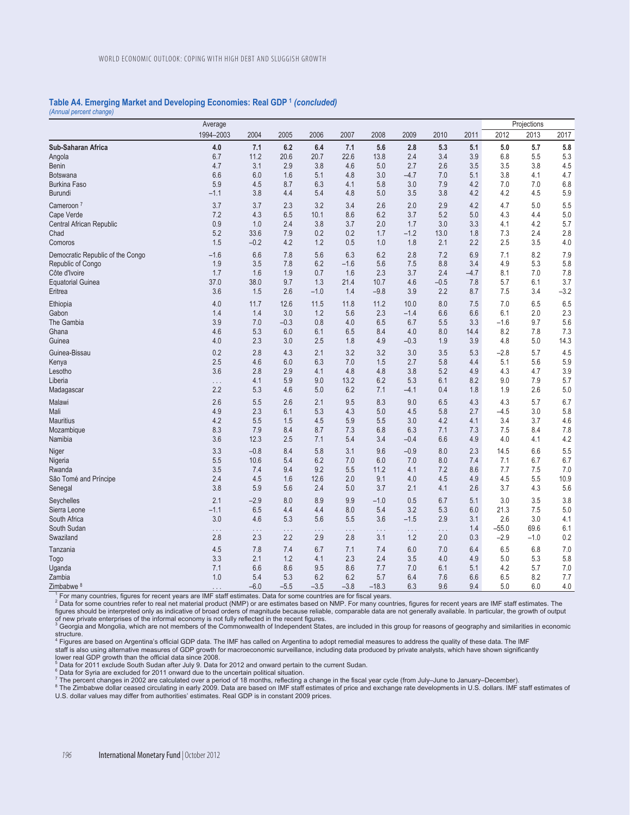#### **Table A4. Emerging Market and Developing Economies: Real GDP 1** *(concluded) (Annual percent change)*

|                                  | Average   |          |          |          |                   |          |          |          |        | Projections |        |         |  |
|----------------------------------|-----------|----------|----------|----------|-------------------|----------|----------|----------|--------|-------------|--------|---------|--|
|                                  | 1994-2003 | 2004     | 2005     | 2006     | 2007              | 2008     | 2009     | 2010     | 2011   | 2012        | 2013   | 2017    |  |
| Sub-Saharan Africa               | 4.0       | 7.1      | 6.2      | 6.4      | 7.1               | 5.6      | 2.8      | 5.3      | 5.1    | 5.0         | 5.7    | $5.8\,$ |  |
| Angola                           | 6.7       | 11.2     | 20.6     | 20.7     | 22.6              | 13.8     | 2.4      | 3.4      | 3.9    | 6.8         | 5.5    | 5.3     |  |
| <b>Benin</b>                     | 4.7       | 3.1      | 2.9      | 3.8      | 4.6               | 5.0      | 2.7      | 2.6      | 3.5    | 3.5         | 3.8    | 4.5     |  |
| Botswana                         | 6.6       | 6.0      | 1.6      | 5.1      | 4.8               | 3.0      | $-4.7$   | 7.0      | 5.1    | 3.8         | 4.1    | 4.7     |  |
| <b>Burkina Faso</b>              | 5.9       | 4.5      | 8.7      | 6.3      | 4.1               | 5.8      | 3.0      | 7.9      | 4.2    | 7.0         | 7.0    | 6.8     |  |
| Burundi                          | $-1.1$    | 3.8      | 4.4      | 5.4      | 4.8               | 5.0      | 3.5      | 3.8      | 4.2    | 4.2         | 4.5    | $5.9\,$ |  |
| Cameroon <sup>7</sup>            | 3.7       | 3.7      | 2.3      | 3.2      | 3.4               | 2.6      | 2.0      | 2.9      | 4.2    | 4.7         | 5.0    | 5.5     |  |
| Cape Verde                       | 7.2       | 4.3      | 6.5      | 10.1     | 8.6               | 6.2      | 3.7      | 5.2      | 5.0    | 4.3         | 4.4    | $5.0$   |  |
| Central African Republic         | 0.9       | 1.0      | 2.4      | 3.8      | 3.7               | 2.0      | 1.7      | 3.0      | 3.3    | 4.1         | 4.2    | 5.7     |  |
| Chad                             | 5.2       | 33.6     | 7.9      | 0.2      | 0.2               | 1.7      | $-1.2$   | 13.0     | 1.8    | 7.3         | 2.4    | 2.8     |  |
| Comoros                          | 1.5       | $-0.2$   | 4.2      | 1.2      | 0.5               | 1.0      | 1.8      | 2.1      | 2.2    | 2.5         | 3.5    | $4.0$   |  |
| Democratic Republic of the Congo | $-1.6$    | 6.6      | 7.8      | 5.6      | 6.3               | 6.2      | 2.8      | 7.2      | 6.9    | 7.1         | 8.2    | $7.9$   |  |
| Republic of Congo                | 1.9       | 3.5      | 7.8      | 6.2      | $-1.6$            | 5.6      | 7.5      | 8.8      | 3.4    | 4.9         | 5.3    | 5.8     |  |
| Côte d'Ivoire                    | 1.7       | 1.6      | 1.9      | 0.7      | 1.6               | 2.3      | 3.7      | 2.4      | $-4.7$ | 8.1         | 7.0    | 7.8     |  |
| <b>Equatorial Guinea</b>         | 37.0      | 38.0     | 9.7      | 1.3      | 21.4              | 10.7     | 4.6      | $-0.5$   | 7.8    | 5.7         | 6.1    | 3.7     |  |
| Eritrea                          | 3.6       | 1.5      | 2.6      | $-1.0$   | 1.4               | $-9.8$   | 3.9      | 2.2      | 8.7    | 7.5         | 3.4    | $-3.2$  |  |
| Ethiopia                         | 4.0       | 11.7     | 12.6     | 11.5     | 11.8              | 11.2     | 10.0     | 8.0      | 7.5    | 7.0         | 6.5    | 6.5     |  |
| Gabon                            | 1.4       | 1.4      | 3.0      | 1.2      | 5.6               | 2.3      | $-1.4$   | 6.6      | 6.6    | 6.1         | 2.0    | 2.3     |  |
| The Gambia                       | 3.9       | 7.0      | $-0.3$   | 0.8      | 4.0               | 6.5      | 6.7      | 5.5      | 3.3    | $-1.6$      | 9.7    | 5.6     |  |
| Ghana                            | 4.6       | 5.3      | 6.0      | 6.1      | 6.5               | 8.4      | 4.0      | 8.0      | 14.4   | $8.2\,$     | 7.8    | 7.3     |  |
| Guinea                           | 4.0       | 2.3      | 3.0      | 2.5      | 1.8               | 4.9      | $-0.3$   | 1.9      | 3.9    | 4.8         | 5.0    | 14.3    |  |
| Guinea-Bissau                    | 0.2       | 2.8      | 4.3      | 2.1      | 3.2               | 3.2      | 3.0      | 3.5      | 5.3    | $-2.8$      | 5.7    | 4.5     |  |
| Kenya                            | 2.5       | 4.6      | 6.0      | 6.3      | 7.0               | 1.5      | 2.7      | 5.8      | 4.4    | 5.1         | 5.6    | 5.9     |  |
| Lesotho                          | 3.6       | 2.8      | 2.9      | 4.1      | 4.8               | 4.8      | 3.8      | 5.2      | 4.9    | 4.3         | 4.7    | 3.9     |  |
| Liberia                          | .         | 4.1      | 5.9      | 9.0      | 13.2              | 6.2      | 5.3      | 6.1      | 8.2    | 9.0         | 7.9    | 5.7     |  |
| Madagascar                       | 2.2       | 5.3      | 4.6      | 5.0      | 6.2               | 7.1      | $-4.1$   | 0.4      | 1.8    | 1.9         | 2.6    | $5.0\,$ |  |
| Malawi                           | 2.6       | 5.5      | 2.6      | 2.1      | 9.5               | 8.3      | 9.0      | 6.5      | 4.3    | 4.3         | 5.7    | 6.7     |  |
| Mali                             | 4.9       | 2.3      | 6.1      | 5.3      | 4.3               | 5.0      | 4.5      | 5.8      | 2.7    | $-4.5$      | 3.0    | 5.8     |  |
| <b>Mauritius</b>                 | 4.2       | 5.5      | 1.5      | 4.5      | 5.9               | 5.5      | 3.0      | 4.2      | 4.1    | 3.4         | 3.7    | 4.6     |  |
| Mozambique                       | 8.3       | 7.9      | 8.4      | 8.7      | 7.3               | 6.8      | 6.3      | 7.1      | 7.3    | 7.5         | 8.4    | 7.8     |  |
| Namibia                          | 3.6       | 12.3     | 2.5      | 7.1      | 5.4               | 3.4      | $-0.4$   | 6.6      | 4.9    | 4.0         | 4.1    | 4.2     |  |
| Niger                            | 3.3       | $-0.8$   | 8.4      | 5.8      | 3.1               | 9.6      | $-0.9$   | 8.0      | 2.3    | 14.5        | 6.6    | 5.5     |  |
| Nigeria                          | 5.5       | 10.6     | 5.4      | 6.2      | 7.0               | 6.0      | 7.0      | 8.0      | 7.4    | 7.1         | 6.7    | 6.7     |  |
| Rwanda                           | 3.5       | 7.4      | 9.4      | 9.2      | 5.5               | 11.2     | 4.1      | 7.2      | 8.6    | 7.7         | 7.5    | 7.0     |  |
| São Tomé and Príncipe            | 2.4       | 4.5      | 1.6      | 12.6     | 2.0               | 9.1      | 4.0      | 4.5      | 4.9    | 4.5         | 5.5    | 10.9    |  |
| Senegal                          | 3.8       | 5.9      | 5.6      | 2.4      | 5.0               | 3.7      | 2.1      | 4.1      | 2.6    | 3.7         | 4.3    | 5.6     |  |
| Seychelles                       | 2.1       | $-2.9$   | 8.0      | 8.9      | 9.9               | $-1.0$   | 0.5      | 6.7      | 5.1    | 3.0         | 3.5    | 3.8     |  |
| Sierra Leone                     | $-1.1$    | 6.5      | 4.4      | 4.4      | 8.0               | 5.4      | 3.2      | 5.3      | 6.0    | 21.3        | 7.5    | $5.0\,$ |  |
| South Africa                     | 3.0       | 4.6      | 5.3      | 5.6      | 5.5               | 3.6      | $-1.5$   | 2.9      | 3.1    | 2.6         | 3.0    | 4.1     |  |
| South Sudan                      | .         | $\ldots$ | $\ldots$ | $\ldots$ | $\epsilon$ .<br>. | $\ldots$ | $\ldots$ | $\ldots$ | 1.4    | $-55.0$     | 69.6   | 6.1     |  |
| Swaziland                        | 2.8       | 2.3      | 2.2      | 2.9      | 2.8               | 3.1      | 1.2      | 2.0      | 0.3    | $-2.9$      | $-1.0$ | 0.2     |  |
| Tanzania                         | 4.5       | 7.8      | 7.4      | 6.7      | 7.1               | 7.4      | 6.0      | 7.0      | 6.4    | 6.5         | 6.8    | $7.0\,$ |  |
| Togo                             | 3.3       | 2.1      | 1.2      | 4.1      | 2.3               | 2.4      | 3.5      | 4.0      | 4.9    | 5.0         | 5.3    | 5.8     |  |
| Uganda                           | 7.1       | 6.6      | 8.6      | 9.5      | 8.6               | 7.7      | 7.0      | 6.1      | 5.1    | 4.2         | 5.7    | 7.0     |  |
| Zambia                           | 1.0       | 5.4      | 5.3      | 6.2      | 6.2               | 5.7      | 6.4      | 7.6      | 6.6    | 6.5         | 8.2    | 7.7     |  |
| Zimbabwe <sup>8</sup>            | .         | $-6.0$   | $-5.5$   | $-3.5$   | $-3.8$            | $-18.3$  | 6.3      | 9.6      | 9.4    | 5.0         | 6.0    | 4.0     |  |

1 For many countries, figures for recent years are IMF staff estimates. Data for some countries are for fiscal years.

2 Data for some countries refer to real net material product (NMP) or are estimates based on NMP. For many countries, figures for recent years are IMF staff estimates. The figures should be interpreted only as indicative of broad orders of magnitude because reliable, comparable data are not generally available. In particular, the growth of output

of new private enterprises of the informal economy is not fully reflected in the recent figures.<br><sup>3</sup> Georgia and Mongolia, which are not members of the Commonwealth of Independent States, are included in this group for rea

structure.<br><sup>4</sup> Figures are based on Argentina's official GDP data. The IMF has called on Argentina to adopt remedial measures to address the quality of these data. The IMF staff is also using alternative measures of GDP growth for macroeconomic surveillance, including data produced by private analysts, which have shown significantly lower real GDP growth than the official data since 2008.

<sup>5</sup> Data for 2011 exclude South Sudan after July 9. Data for 2012 and onward pertain to the current Sudan.

<sup>6</sup> Data for Syria are excluded for 2011 onward due to the uncertain political situation.

<sup>7</sup> The percent changes in 2002 are calculated over a period of 18 months, reflecting a change in the fiscal year cycle (from July–June to January–December).<br><sup>8</sup> The Zimbabwe dollar ceased circulating in early 2009. Data U.S. dollar values may differ from authorities' estimates. Real GDP is in constant 2009 prices.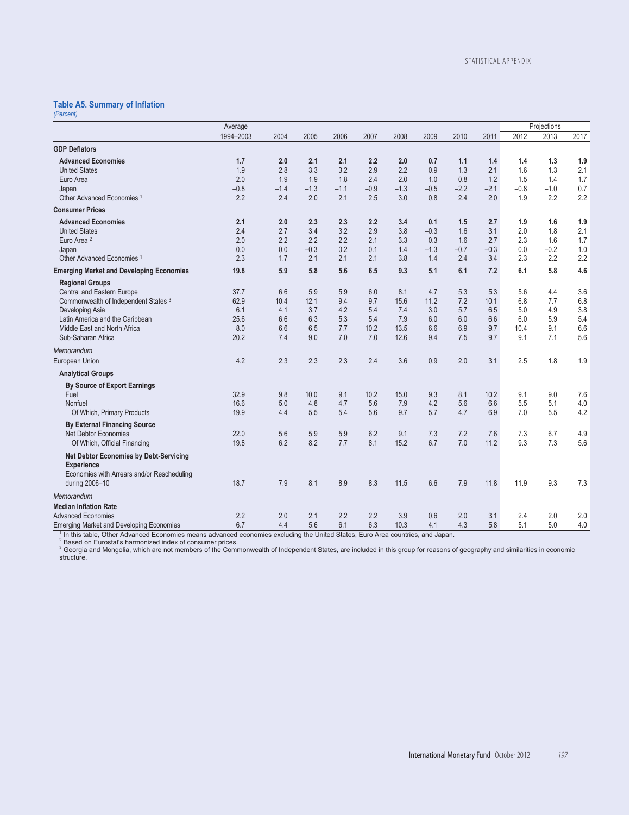# **Table A5. Summary of Inflation**

| (Percent) |  |
|-----------|--|
|           |  |

|                                                 | Average   |        |        |        |        |        |        |        |        |        | Projections |      |
|-------------------------------------------------|-----------|--------|--------|--------|--------|--------|--------|--------|--------|--------|-------------|------|
|                                                 | 1994-2003 | 2004   | 2005   | 2006   | 2007   | 2008   | 2009   | 2010   | 2011   | 2012   | 2013        | 2017 |
| <b>GDP Deflators</b>                            |           |        |        |        |        |        |        |        |        |        |             |      |
| <b>Advanced Economies</b>                       | 1.7       | 2.0    | 2.1    | 2.1    | 2.2    | 2.0    | 0.7    | 1.1    | 1.4    | 1.4    | 1.3         | 1.9  |
| <b>United States</b>                            | 1.9       | 2.8    | 3.3    | 3.2    | 2.9    | 2.2    | 0.9    | 1.3    | 2.1    | 1.6    | 1.3         | 2.1  |
| Euro Area                                       | 2.0       | 1.9    | 1.9    | 1.8    | 2.4    | 2.0    | 1.0    | 0.8    | 1.2    | 1.5    | 1.4         | 1.7  |
| Japan                                           | $-0.8$    | $-1.4$ | $-1.3$ | $-1.1$ | $-0.9$ | $-1.3$ | $-0.5$ | $-2.2$ | $-2.1$ | $-0.8$ | $-1.0$      | 0.7  |
| Other Advanced Economies <sup>1</sup>           | 2.2       | 2.4    | 2.0    | 2.1    | 2.5    | 3.0    | 0.8    | 2.4    | 2.0    | 1.9    | 2.2         | 2.2  |
| <b>Consumer Prices</b>                          |           |        |        |        |        |        |        |        |        |        |             |      |
| <b>Advanced Economies</b>                       | 2.1       | 2.0    | 2.3    | 2.3    | 2.2    | 3.4    | 0.1    | 1.5    | 2.7    | 1.9    | 1.6         | 1.9  |
| <b>United States</b>                            | 2.4       | 2.7    | 3.4    | 3.2    | 2.9    | 3.8    | $-0.3$ | 1.6    | 3.1    | 2.0    | 1.8         | 2.1  |
| Euro Area <sup>2</sup>                          | 2.0       | 2.2    | 2.2    | 2.2    | 2.1    | 3.3    | 0.3    | 1.6    | 2.7    | 2.3    | 1.6         | 1.7  |
| Japan                                           | 0.0       | 0.0    | $-0.3$ | 0.2    | 0.1    | 1.4    | $-1.3$ | $-0.7$ | $-0.3$ | 0.0    | $-0.2$      | 1.0  |
| Other Advanced Economies <sup>1</sup>           | 2.3       | 1.7    | 2.1    | 2.1    | 2.1    | 3.8    | 1.4    | 2.4    | 3.4    | 2.3    | 2.2         | 2.2  |
| <b>Emerging Market and Developing Economies</b> | 19.8      | 5.9    | 5.8    | 5.6    | 6.5    | 9.3    | 5.1    | 6.1    | 7.2    | 6.1    | 5.8         | 4.6  |
| <b>Regional Groups</b>                          |           |        |        |        |        |        |        |        |        |        |             |      |
| Central and Eastern Europe                      | 37.7      | 6.6    | 5.9    | 5.9    | 6.0    | 8.1    | 4.7    | 5.3    | 5.3    | 5.6    | 4.4         | 3.6  |
| Commonwealth of Independent States 3            | 62.9      | 10.4   | 12.1   | 9.4    | 9.7    | 15.6   | 11.2   | 7.2    | 10.1   | 6.8    | 7.7         | 6.8  |
| Developing Asia                                 | 6.1       | 4.1    | 3.7    | 4.2    | 5.4    | 7.4    | 3.0    | 5.7    | 6.5    | 5.0    | 4.9         | 3.8  |
| Latin America and the Caribbean                 | 25.6      | 6.6    | 6.3    | 5.3    | 5.4    | 7.9    | 6.0    | 6.0    | 6.6    | 6.0    | 5.9         | 5.4  |
| Middle East and North Africa                    | 8.0       | 6.6    | 6.5    | 7.7    | 10.2   | 13.5   | 6.6    | 6.9    | 9.7    | 10.4   | 9.1         | 6.6  |
| Sub-Saharan Africa                              | 20.2      | 7.4    | 9.0    | 7.0    | 7.0    | 12.6   | 9.4    | 7.5    | 9.7    | 9.1    | 7.1         | 5.6  |
| Memorandum                                      |           |        |        |        |        |        |        |        |        |        |             |      |
| European Union                                  | 4.2       | 2.3    | 2.3    | 2.3    | 2.4    | 3.6    | 0.9    | 2.0    | 3.1    | 2.5    | 1.8         | 1.9  |
| <b>Analytical Groups</b>                        |           |        |        |        |        |        |        |        |        |        |             |      |
| <b>By Source of Export Earnings</b>             |           |        |        |        |        |        |        |        |        |        |             |      |
| Fuel                                            | 32.9      | 9.8    | 10.0   | 9.1    | 10.2   | 15.0   | 9.3    | 8.1    | 10.2   | 9.1    | 9.0         | 7.6  |
| Nonfuel                                         | 16.6      | 5.0    | 4.8    | 4.7    | 5.6    | 7.9    | 4.2    | 5.6    | 6.6    | 5.5    | 5.1         | 4.0  |
| Of Which, Primary Products                      | 19.9      | 4.4    | 5.5    | 5.4    | 5.6    | 9.7    | 5.7    | 4.7    | 6.9    | 7.0    | 5.5         | 4.2  |
| <b>By External Financing Source</b>             |           |        |        |        |        |        |        |        |        |        |             |      |
| <b>Net Debtor Economies</b>                     | 22.0      | 5.6    | 5.9    | 5.9    | 6.2    | 9.1    | 7.3    | 7.2    | 7.6    | 7.3    | 6.7         | 4.9  |
| Of Which, Official Financing                    | 19.8      | 6.2    | 8.2    | 7.7    | 8.1    | 15.2   | 6.7    | 7.0    | 11.2   | 9.3    | 7.3         | 5.6  |
| <b>Net Debtor Economies by Debt-Servicing</b>   |           |        |        |        |        |        |        |        |        |        |             |      |
| <b>Experience</b>                               |           |        |        |        |        |        |        |        |        |        |             |      |
| Economies with Arrears and/or Rescheduling      |           |        |        |        |        |        |        |        |        |        |             |      |
| during 2006-10                                  | 18.7      | 7.9    | 8.1    | 8.9    | 8.3    | 11.5   | 6.6    | 7.9    | 11.8   | 11.9   | 9.3         | 7.3  |
| Memorandum                                      |           |        |        |        |        |        |        |        |        |        |             |      |
| <b>Median Inflation Rate</b>                    |           |        |        |        |        |        |        |        |        |        |             |      |
| <b>Advanced Economies</b>                       | 2.2       | 2.0    | 2.1    | 2.2    | 2.2    | 3.9    | 0.6    | 2.0    | 3.1    | 2.4    | 2.0         | 2.0  |
| <b>Emerging Market and Developing Economies</b> | 6.7       | 4.4    | 5.6    | 6.1    | 6.3    | 10.3   | 4.1    | 4.3    | 5.8    | 5.1    | 5.0         | 4.0  |

Emerging Market and Developing Economies<br>
<sup>1</sup> In this table, Other Advanced Economies means advanced economies excluding the United States, Euro Area countries, and Japan.<br>
<sup>2</sup> Based on Eurostat's harmonized index of consu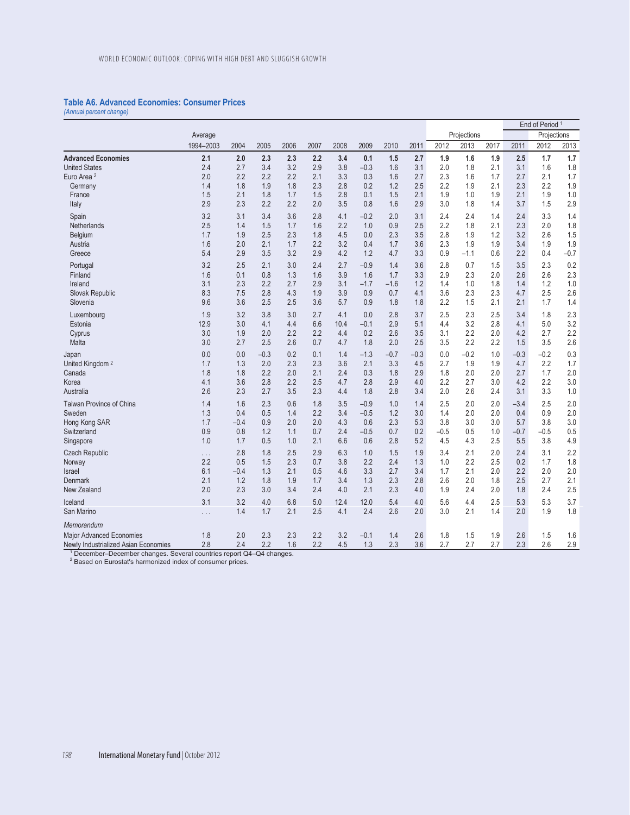## **Table A6. Advanced Economies: Consumer Prices**

*(Annual percent change)* 

|                                                                                                                                            |           |        |        |      |      |      |        |        |        |        |             | End of Period <sup>1</sup> |        |             |        |  |  |  |  |  |
|--------------------------------------------------------------------------------------------------------------------------------------------|-----------|--------|--------|------|------|------|--------|--------|--------|--------|-------------|----------------------------|--------|-------------|--------|--|--|--|--|--|
|                                                                                                                                            | Average   |        |        |      |      |      |        |        |        |        | Projections |                            |        | Projections |        |  |  |  |  |  |
|                                                                                                                                            | 1994-2003 | 2004   | 2005   | 2006 | 2007 | 2008 | 2009   | 2010   | 2011   | 2012   | 2013        | 2017                       | 2011   | 2012        | 2013   |  |  |  |  |  |
| <b>Advanced Economies</b>                                                                                                                  | 2.1       | 2.0    | 2.3    | 2.3  | 2.2  | 3.4  | 0.1    | 1.5    | 2.7    | 1.9    | 1.6         | 1.9                        | 2.5    | 1.7         | 1.7    |  |  |  |  |  |
| <b>United States</b>                                                                                                                       | 2.4       | 2.7    | 3.4    | 3.2  | 2.9  | 3.8  | $-0.3$ | 1.6    | 3.1    | 2.0    | 1.8         | 2.1                        | 3.1    | 1.6         | 1.8    |  |  |  |  |  |
| Euro Area <sup>2</sup>                                                                                                                     | 2.0       | 2.2    | 2.2    | 2.2  | 2.1  | 3.3  | 0.3    | 1.6    | 2.7    | 2.3    | 1.6         | 1.7                        | 2.7    | 2.1         | 1.7    |  |  |  |  |  |
| Germany                                                                                                                                    | 1.4       | 1.8    | 1.9    | 1.8  | 2.3  | 2.8  | 0.2    | 1.2    | 2.5    | 2.2    | 1.9         | 2.1                        | 2.3    | 2.2         | 1.9    |  |  |  |  |  |
| France                                                                                                                                     | 1.5       | 2.1    | 1.8    | 1.7  | 1.5  | 2.8  | 0.1    | 1.5    | 2.1    | 1.9    | 1.0         | 1.9                        | 2.1    | 1.9         | 1.0    |  |  |  |  |  |
| Italy                                                                                                                                      | 2.9       | 2.3    | 2.2    | 2.2  | 2.0  | 3.5  | 0.8    | 1.6    | 2.9    | 3.0    | 1.8         | 1.4                        | 3.7    | 1.5         | 2.9    |  |  |  |  |  |
| Spain                                                                                                                                      | 3.2       | 3.1    | 3.4    | 3.6  | 2.8  | 4.1  | $-0.2$ | 2.0    | 3.1    | 2.4    | 2.4         | 1.4                        | 2.4    | 3.3         | 1.4    |  |  |  |  |  |
| Netherlands                                                                                                                                | 2.5       | 1.4    | 1.5    | 1.7  | 1.6  | 2.2  | 1.0    | 0.9    | 2.5    | 2.2    | 1.8         | 2.1                        | 2.3    | 2.0         | 1.8    |  |  |  |  |  |
| Belgium                                                                                                                                    | 1.7       | 1.9    | 2.5    | 2.3  | 1.8  | 4.5  | 0.0    | 2.3    | 3.5    | 2.8    | 1.9         | 1.2                        | 3.2    | 2.6         | 1.5    |  |  |  |  |  |
| Austria                                                                                                                                    | 1.6       | 2.0    | 2.1    | 1.7  | 2.2  | 3.2  | 0.4    | 1.7    | 3.6    | 2.3    | 1.9         | 1.9                        | 3.4    | 1.9         | 1.9    |  |  |  |  |  |
| Greece                                                                                                                                     | 5.4       | 2.9    | 3.5    | 3.2  | 2.9  | 4.2  | 1.2    | 4.7    | 3.3    | 0.9    | $-1.1$      | 0.6                        | 2.2    | 0.4         | $-0.7$ |  |  |  |  |  |
| Portugal                                                                                                                                   | 3.2       | 2.5    | 2.1    | 3.0  | 2.4  | 2.7  | $-0.9$ | 1.4    | 3.6    | 2.8    | 0.7         | 1.5                        | 3.5    | 2.3         | 0.2    |  |  |  |  |  |
| Finland                                                                                                                                    | 1.6       | 0.1    | 0.8    | 1.3  | 1.6  | 3.9  | 1.6    | 1.7    | 3.3    | 2.9    | 2.3         | 2.0                        | 2.6    | 2.6         | 2.3    |  |  |  |  |  |
| Ireland                                                                                                                                    | 3.1       | 2.3    | 2.2    | 2.7  | 2.9  | 3.1  | $-1.7$ | $-1.6$ | 1.2    | 1.4    | 1.0         | 1.8                        | 1.4    | 1.2         | 1.0    |  |  |  |  |  |
| Slovak Republic                                                                                                                            | 8.3       | 7.5    | 2.8    | 4.3  | 1.9  | 3.9  | 0.9    | 0.7    | 4.1    | 3.6    | 2.3         | 2.3                        | 4.7    | 2.5         | 2.6    |  |  |  |  |  |
| Slovenia                                                                                                                                   | 9.6       | 3.6    | 2.5    | 2.5  | 3.6  | 5.7  | 0.9    | 1.8    | 1.8    | 2.2    | 1.5         | 2.1                        | 2.1    | 1.7         | 1.4    |  |  |  |  |  |
| Luxembourg                                                                                                                                 | 1.9       | 3.2    | 3.8    | 3.0  | 2.7  | 4.1  | 0.0    | 2.8    | 3.7    | 2.5    | 2.3         | 2.5                        | 3.4    | 1.8         | 2.3    |  |  |  |  |  |
| Estonia                                                                                                                                    | 12.9      | 3.0    | 4.1    | 4.4  | 6.6  | 10.4 | $-0.1$ | 2.9    | 5.1    | 4.4    | 3.2         | 2.8                        | 4.1    | 5.0         | 3.2    |  |  |  |  |  |
| Cyprus                                                                                                                                     | 3.0       | 1.9    | 2.0    | 2.2  | 2.2  | 4.4  | 0.2    | 2.6    | 3.5    | 3.1    | 2.2         | 2.0                        | 4.2    | 2.7         | 2.2    |  |  |  |  |  |
| Malta                                                                                                                                      | 3.0       | 2.7    | 2.5    | 2.6  | 0.7  | 4.7  | 1.8    | 2.0    | 2.5    | 3.5    | 2.2         | 2.2                        | 1.5    | 3.5         | 2.6    |  |  |  |  |  |
| Japan                                                                                                                                      | 0.0       | 0.0    | $-0.3$ | 0.2  | 0.1  | 1.4  | $-1.3$ | $-0.7$ | $-0.3$ | 0.0    | $-0.2$      | 1.0                        | $-0.3$ | $-0.2$      | 0.3    |  |  |  |  |  |
| United Kingdom <sup>2</sup>                                                                                                                | 1.7       | 1.3    | 2.0    | 2.3  | 2.3  | 3.6  | 2.1    | 3.3    | 4.5    | 2.7    | 1.9         | 1.9                        | 4.7    | 2.2         | 1.7    |  |  |  |  |  |
| Canada                                                                                                                                     | 1.8       | 1.8    | 2.2    | 2.0  | 2.1  | 2.4  | 0.3    | 1.8    | 2.9    | 1.8    | 2.0         | 2.0                        | 2.7    | 1.7         | 2.0    |  |  |  |  |  |
| Korea                                                                                                                                      | 4.1       | 3.6    | 2.8    | 2.2  | 2.5  | 4.7  | 2.8    | 2.9    | 4.0    | 2.2    | 2.7         | 3.0                        | 4.2    | 2.2         | 3.0    |  |  |  |  |  |
| Australia                                                                                                                                  | 2.6       | 2.3    | 2.7    | 3.5  | 2.3  | 4.4  | 1.8    | 2.8    | 3.4    | 2.0    | 2.6         | 2.4                        | 3.1    | 3.3         | 1.0    |  |  |  |  |  |
| Taiwan Province of China                                                                                                                   | 1.4       | 1.6    | 2.3    | 0.6  | 1.8  | 3.5  | $-0.9$ | 1.0    | 1.4    | 2.5    | 2.0         | 2.0                        | $-3.4$ | 2.5         | 2.0    |  |  |  |  |  |
| Sweden                                                                                                                                     | 1.3       | 0.4    | 0.5    | 1.4  | 2.2  | 3.4  | $-0.5$ | 1.2    | 3.0    | 1.4    | 2.0         | 2.0                        | 0.4    | 0.9         | 2.0    |  |  |  |  |  |
| Hong Kong SAR                                                                                                                              | 1.7       | $-0.4$ | 0.9    | 2.0  | 2.0  | 4.3  | 0.6    | 2.3    | 5.3    | 3.8    | 3.0         | 3.0                        | 5.7    | 3.8         | 3.0    |  |  |  |  |  |
| Switzerland                                                                                                                                | 0.9       | 0.8    | 1.2    | 1.1  | 0.7  | 2.4  | $-0.5$ | 0.7    | 0.2    | $-0.5$ | 0.5         | 1.0                        | $-0.7$ | $-0.5$      | 0.5    |  |  |  |  |  |
| Singapore                                                                                                                                  | 1.0       | 1.7    | 0.5    | 1.0  | 2.1  | 6.6  | 0.6    | 2.8    | 5.2    | 4.5    | 4.3         | 2.5                        | 5.5    | 3.8         | 4.9    |  |  |  |  |  |
| <b>Czech Republic</b>                                                                                                                      | $\cdots$  | 2.8    | 1.8    | 2.5  | 2.9  | 6.3  | 1.0    | 1.5    | 1.9    | 3.4    | 2.1         | 2.0                        | 2.4    | 3.1         | 2.2    |  |  |  |  |  |
| Norway                                                                                                                                     | 2.2       | 0.5    | 1.5    | 2.3  | 0.7  | 3.8  | 2.2    | 2.4    | 1.3    | 1.0    | 2.2         | 2.5                        | 0.2    | 1.7         | 1.8    |  |  |  |  |  |
| <b>Israel</b>                                                                                                                              | 6.1       | $-0.4$ | 1.3    | 2.1  | 0.5  | 4.6  | 3.3    | 2.7    | 3.4    | 1.7    | 2.1         | 2.0                        | 2.2    | 2.0         | 2.0    |  |  |  |  |  |
| Denmark                                                                                                                                    | 2.1       | 1.2    | 1.8    | 1.9  | 1.7  | 3.4  | 1.3    | 2.3    | 2.8    | 2.6    | 2.0         | 1.8                        | 2.5    | 2.7         | 2.1    |  |  |  |  |  |
| New Zealand                                                                                                                                | 2.0       | 2.3    | 3.0    | 3.4  | 2.4  | 4.0  | 2.1    | 2.3    | 4.0    | 1.9    | 2.4         | 2.0                        | 1.8    | 2.4         | 2.5    |  |  |  |  |  |
| Iceland                                                                                                                                    | 3.1       | 3.2    | 4.0    | 6.8  | 5.0  | 12.4 | 12.0   | 5.4    | 4.0    | 5.6    | 4.4         | 2.5                        | 5.3    | 5.3         | 3.7    |  |  |  |  |  |
| San Marino                                                                                                                                 | $\cdots$  | 1.4    | 1.7    | 2.1  | 2.5  | 4.1  | 2.4    | 2.6    | 2.0    | 3.0    | 2.1         | 1.4                        | 2.0    | 1.9         | 1.8    |  |  |  |  |  |
| Memorandum                                                                                                                                 |           |        |        |      |      |      |        |        |        |        |             |                            |        |             |        |  |  |  |  |  |
| Major Advanced Economies                                                                                                                   | 1.8       | 2.0    | 2.3    | 2.3  | 2.2  | 3.2  | $-0.1$ | 1.4    | 2.6    | 1.8    | 1.5         | 1.9                        | 2.6    | 1.5         | 1.6    |  |  |  |  |  |
| Newly Industrialized Asian Economies                                                                                                       | 2.8       | 2.4    | 2.2    | 1.6  | 2.2  | 4.5  | 1.3    | 2.3    | 3.6    | 2.7    | 2.7         | 2.7                        | 2.3    | 2.6         | 2.9    |  |  |  |  |  |
| December-December changes. Several countries report Q4-Q4 changes.<br><sup>2</sup> Based on Eurostat's harmonized index of consumer prices |           |        |        |      |      |      |        |        |        |        |             |                            |        |             |        |  |  |  |  |  |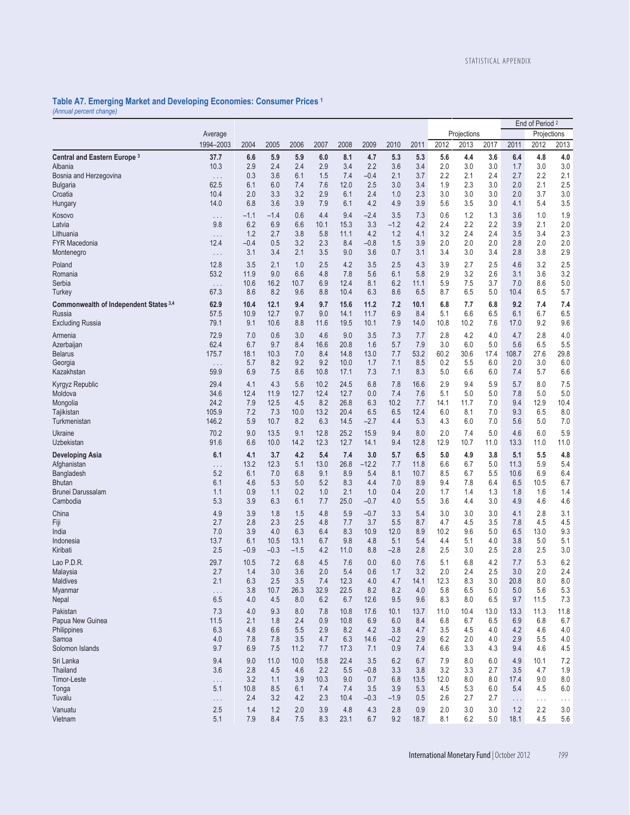#### **Table A7. Emerging Market and Developing Economies: Consumer Prices 1** *(Annual percent change)*

|                                         |                    |               |                |                |              |              |               |               |             |             |             |             | End of Period <sup>2</sup> |             |             |
|-----------------------------------------|--------------------|---------------|----------------|----------------|--------------|--------------|---------------|---------------|-------------|-------------|-------------|-------------|----------------------------|-------------|-------------|
|                                         | Average            |               |                |                |              |              |               |               |             |             | Projections |             |                            | Projections |             |
|                                         | 1994-2003          | 2004          | 2005           | 2006           | 2007         | 2008         | 2009          | 2010          | 2011        | 2012        | 2013        | 2017        | 2011                       | 2012        | 2013        |
| Central and Eastern Europe <sup>3</sup> | 37.7               | 6.6           | 5.9            | 5.9            | 6.0          | 8.1          | 4.7           | 5.3           | 5.3         | 5.6         | 4.4         | 3.6         | 6.4                        | 4.8         | 4.0         |
| Albania<br>Bosnia and Herzegovina       | 10.3               | 2.9<br>0.3    | 2.4<br>3.6     | 2.4<br>6.1     | 2.9<br>1.5   | 3.4<br>7.4   | 2.2<br>$-0.4$ | 3.6<br>2.1    | 3.4<br>3.7  | 2.0<br>2.2  | 3.0<br>2.1  | 3.0<br>2.4  | 1.7<br>2.7                 | 3.0<br>2.2  | 3.0<br>2.1  |
| <b>Bulgaria</b>                         | $\ldots$ .<br>62.5 | 6.1           | 6.0            | 7.4            | 7.6          | 12.0         | 2.5           | 3.0           | 3.4         | 1.9         | 2.3         | 3.0         | 2.0                        | 2.1         | 2.5         |
| Croatia                                 | 10.4               | 2.0           | 3.3            | 3.2            | 2.9          | 6.1          | 2.4           | 1.0           | 2.3         | 3.0         | 3.0         | 3.0         | 2.0                        | 3.7         | 3.0         |
| Hungary                                 | 14.0               | 6.8           | 3.6            | 3.9            | 7.9          | 6.1          | 4.2           | 4.9           | 3.9         | 5.6         | 3.5         | 3.0         | 4.1                        | 5.4         | 3.5         |
| Kosovo                                  | .                  | $-1.1$        | $-1.4$         | 0.6            | 4.4          | 9.4          | $-2.4$        | 3.5           | 7.3         | 0.6         | 1.2         | 1.3         | 3.6                        | 1.0         | 1.9         |
| Latvia                                  | 9.8                | 6.2           | 6.9            | 6.6            | 10.1         | 15.3         | 3.3           | $-1.2$        | 4.2         | 2.4         | 2.2         | 2.2         | 3.9                        | 2.1         | 2.0         |
| Lithuania<br><b>FYR Macedonia</b>       | $\cdots$<br>12.4   | 1.2<br>$-0.4$ | 2.7<br>0.5     | 3.8<br>3.2     | 5.8<br>2.3   | 11.1<br>8.4  | 4.2<br>$-0.8$ | 1.2<br>1.5    | 4.1<br>3.9  | 3.2<br>2.0  | 2.4<br>2.0  | 2.4<br>2.0  | 3.5<br>2.8                 | 3.4<br>2.0  | 2.3<br>2.0  |
| Montenegro                              | $\cdots$           | 3.1           | 3.4            | 2.1            | 3.5          | 9.0          | 3.6           | 0.7           | 3.1         | 3.4         | 3.0         | 3.4         | 2.8                        | 3.8         | 2.9         |
| Poland                                  | 12.8               | 3.5           | 2.1            | 1.0            | 2.5          | 4.2          | 3.5           | 2.5           | 4.3         | 3.9         | 2.7         | 2.5         | 4.6                        | 3.2         | 2.5         |
| Romania                                 | 53.2               | 11.9          | 9.0            | 6.6            | 4.8          | 7.8          | 5.6           | 6.1           | 5.8         | 2.9         | 3.2         | 2.6         | 3.1                        | 3.6         | 3.2         |
| Serbia                                  | $\cdots$           | 10.6          | 16.2           | 10.7           | 6.9          | 12.4         | 8.1           | 6.2           | 11.1        | 5.9         | 7.5         | 3.7         | 7.0                        | 8.6         | 5.0         |
| Turkey                                  | 67.3               | 8.6           | 8.2            | 9.6            | 8.8          | 10.4         | 6.3           | 8.6           | 6.5         | 8.7         | 6.5         | 5.0         | 10.4                       | 6.5         | 5.7         |
| Commonwealth of Independent States 3,4  | 62.9               | 10.4          | 12.1           | 9.4            | 9.7          | 15.6         | 11.2          | 7.2           | 10.1        | 6.8         | 7.7         | 6.8         | 9.2                        | 7.4         | 7.4         |
| Russia<br><b>Excluding Russia</b>       | 57.5<br>79.1       | 10.9<br>9.1   | 12.7<br>10.6   | 9.7<br>8.8     | 9.0<br>11.6  | 14.1<br>19.5 | 11.7<br>10.1  | 6.9<br>7.9    | 8.4<br>14.0 | 5.1<br>10.8 | 6.6<br>10.2 | 6.5<br>7.6  | 6.1<br>17.0                | 6.7<br>9.2  | 6.5<br>9.6  |
| Armenia                                 | 72.9               | 7.0           | 0.6            | 3.0            | 4.6          | 9.0          | 3.5           |               | 7.7         | 2.8         | 4.2         | 4.0         | 4.7                        | 2.8         | 4.0         |
| Azerbaijan                              | 62.4               | 6.7           | 9.7            | 8.4            | 16.6         | 20.8         | 1.6           | 7.3<br>5.7    | 7.9         | 3.0         | 6.0         | 5.0         | 5.6                        | 6.5         | 5.5         |
| <b>Belarus</b>                          | 175.7              | 18.1          | 10.3           | 7.0            | 8.4          | 14.8         | 13.0          | 7.7           | 53.2        | 60.2        | 30.6        | 17.4        | 108.7                      | 27.6        | 29.8        |
| Georgia                                 | $\ldots$           | 5.7           | 8.2            | 9.2            | 9.2          | 10.0         | 1.7           | 7.1           | 8.5         | 0.2         | 5.5         | 6.0         | 2.0                        | 3.0         | 6.0         |
| Kazakhstan                              | 59.9               | 6.9           | 7.5            | 8.6            | 10.8         | 17.1         | 7.3           | 7.1           | 8.3         | 5.0         | 6.6         | 6.0         | 7.4                        | 5.7         | 6.6         |
| Kyrgyz Republic                         | 29.4               | 4.1           | 4.3            | 5.6            | 10.2         | 24.5         | 6.8           | 7.8           | 16.6        | 2.9         | 9.4         | 5.9         | 5.7                        | 8.0         | 7.5         |
| Moldova<br>Mongolia                     | 34.6<br>24.2       | 12.4<br>7.9   | 11.9<br>12.5   | 12.7<br>4.5    | 12.4<br>8.2  | 12.7<br>26.8 | 0.0<br>6.3    | 7.4<br>10.2   | 7.6<br>7.7  | 5.1<br>14.1 | 5.0<br>11.7 | 5.0<br>7.0  | 7.8<br>9.4                 | 5.0<br>12.9 | 5.0<br>10.4 |
| Tajikistan                              | 105.9              | 7.2           | 7.3            | 10.0           | 13.2         | 20.4         | 6.5           | 6.5           | 12.4        | 6.0         | 8.1         | 7.0         | 9.3                        | 6.5         | 8.0         |
| Turkmenistan                            | 146.2              | 5.9           | 10.7           | 8.2            | 6.3          | 14.5         | $-2.7$        | 4.4           | 5.3         | 4.3         | 6.0         | 7.0         | 5.6                        | 5.0         | 7.0         |
| Ukraine<br>Uzbekistan                   | 70.2<br>91.6       | 9.0<br>6.6    | 13.5<br>10.0   | 9.1<br>14.2    | 12.8<br>12.3 | 25.2<br>12.7 | 15.9<br>14.1  | 9.4<br>9.4    | 8.0<br>12.8 | 2.0<br>12.9 | 7.4<br>10.7 | 5.0<br>11.0 | 4.6<br>13.3                | 6.0<br>11.0 | 5.9<br>11.0 |
| <b>Developing Asia</b>                  | 6.1                | 4.1           | 3.7            | 4.2            | 5.4          | 7.4          | 3.0           | 5.7           | 6.5         | 5.0         | 4.9         | 3.8         | 5.1                        | 5.5         | 4.8         |
| Afghanistan                             | .                  | 13.2          | 12.3           | 5.1            | 13.0         | 26.8         | $-12.2$       | 7.7           | 11.8        | 6.6         | 6.7         | 5.0         | 11.3                       | 5.9         | 5.4         |
| Bangladesh                              | 5.2                | 6.1           | 7.0            | 6.8            | 9.1          | 8.9          | 5.4           | 8.1           | 10.7        | 8.5         | 6.7         | 5.5         | 10.6                       | 6.9         | 6.4         |
| <b>Bhutan</b><br>Brunei Darussalam      | 6.1<br>1.1         | 4.6<br>0.9    | 5.3<br>1.1     | 5.0<br>0.2     | 5.2<br>1.0   | 8.3<br>2.1   | 4.4<br>1.0    | 7.0<br>0.4    | 8.9<br>2.0  | 9.4<br>1.7  | 7.8<br>1.4  | 6.4<br>1.3  | 6.5<br>1.8                 | 10.5<br>1.6 | 6.7         |
| Cambodia                                | 5.3                | 3.9           | 6.3            | 6.1            | 7.7          | 25.0         | $-0.7$        | 4.0           | 5.5         | 3.6         | 4.4         | 3.0         | 4.9                        | 4.6         | 1.4<br>4.6  |
| China                                   | 4.9                | 3.9           | 1.8            | 1.5            | 4.8          | 5.9          | $-0.7$        | 3.3           | 5.4         | 3.0         | 3.0         | 3.0         | 4.1                        | 2.8         | 3.1         |
| Fiji                                    | 2.7                | 2.8           | 2.3            | 2.5            | 4.8          | 7.7          | 3.7           | 5.5           | 8.7         | 4.7         | 4.5         | 3.5         | 7.8                        | 4.5         | 4.5         |
| India                                   | 7.0                | 3.9           | 4.0            | 6.3            | 6.4          | 8.3          | 10.9          | 12.0          | 8.9         | 10.2        | 9.6         | 5.0         | 6.5                        | 13.0        | 9.3         |
| Indonesia<br>Kiribati                   | 13.7<br>2.5        | 6.1<br>$-0.9$ | 10.5<br>$-0.3$ | 13.1<br>$-1.5$ | 6.7<br>4.2   | 9.8<br>11.0  | 4.8<br>8.8    | 5.1<br>$-2.8$ | 5.4<br>2.8  | 4.4<br>2.5  | 5.1<br>3.0  | 4.0<br>2.5  | 3.8<br>2.8                 | 5.0<br>2.5  | 5.1<br>3.0  |
| Lao P.D.R.                              | 29.7               | 10.5          | 7.2            | 6.8            | 4.5          | 7.6          | 0.0           | 6.0           | 7.6         | 5.1         | 6.8         | 4.2         | 7.7                        | 5.3         | 6.2         |
| Malaysia                                | 2.7                | 1.4           | 3.0            | 3.6            | 2.0          | 5.4          | 0.6           | 1.7           | 3.2         | 2.0         | 2.4         | 2.5         | 3.0                        | 2.0         | 2.4         |
| Maldives                                | 2.1                | 6.3           | 2.5            | 3.5            | 7.4          | 12.3         | 4.0           | 4.7           | 14.1        | 12.3        | 8.3         | 3.0         | 20.8                       | 8.0         | 8.0         |
| Myanmar                                 | .                  | 3.8           | 10.7           | 26.3           | 32.9         | 22.5         | 8.2           | 8.2           | 4.0         | 5.8         | 6.5         | 5.0         | 5.0                        | 5.6         | 5.3         |
| Nepal                                   | 6.5                | 4.0           | 4.5            | 8.0            | 6.2          | 6.7          | 12.6          | 9.5           | 9.6         | 8.3         | 8.0         | 6.5         | 9.7                        | 11.5        | 7.3         |
| Pakistan                                | 7.3                | 4.0           | 9.3            | 8.0            | 7.8          | 10.8         | 17.6          | 10.1          | 13.7        | 11.0        | 10.4        | 13.0        | 13.3                       | 11.3        | 11.8        |
| Papua New Guinea<br>Philippines         | 11.5<br>6.3        | 2.1<br>4.8    | 1.8<br>6.6     | 2.4<br>5.5     | 0.9<br>2.9   | 10.8<br>8.2  | 6.9<br>4.2    | 6.0<br>3.8    | 8.4<br>4.7  | 6.8<br>3.5  | 6.7<br>4.5  | 6.5<br>4.0  | 6.9<br>4.2                 | 6.8<br>4.6  | 6.7<br>4.0  |
| Samoa                                   | 4.0                | 7.8           | 7.8            | 3.5            | 4.7          | 6.3          | 14.6          | $-0.2$        | 2.9         | 6.2         | 2.0         | 4.0         | 2.9                        | 5.5         | 4.0         |
| Solomon Islands                         | 9.7                | 6.9           | 7.5            | 11.2           | 7.7          | 17.3         | 7.1           | 0.9           | 7.4         | 6.6         | 3.3         | 4.3         | 9.4                        | 4.6         | 4.5         |
| Sri Lanka                               | 9.4                | 9.0           | 11.0           | 10.0           | 15.8         | 22.4         | 3.5           | 6.2           | 6.7         | 7.9         | 8.0         | 6.0         | 4.9                        | 10.1        | 7.2         |
| Thailand                                | 3.6                | 2.8           | 4.5            | 4.6            | 2.2          | 5.5          | $-0.8$        | 3.3           | 3.8         | 3.2         | 3.3         | 2.7         | 3.5                        | 4.7         | 1.9         |
| Timor-Leste<br>Tonga                    | .<br>5.1           | 3.2<br>10.8   | 1.1<br>8.5     | 3.9<br>6.1     | 10.3<br>7.4  | 9.0<br>7.4   | 0.7<br>3.5    | 6.8<br>3.9    | 13.5<br>5.3 | 12.0<br>4.5 | 8.0<br>5.3  | 8.0<br>6.0  | 17.4<br>5.4                | 9.0<br>4.5  | 8.0<br>6.0  |
| Tuvalu                                  | $\ldots$           | 2.4           | 3.2            | 4.2            | 2.3          | 10.4         | $-0.3$        | $-1.9$        | 0.5         | 2.6         | 2.7         | 2.7         | $\ldots$                   | $\cdots$    | $\cdots$    |
| Vanuatu                                 | 2.5                | 1.4           | 1.2            | 2.0            | 3.9          | 4.8          | 4.3           | 2.8           | 0.9         | 2.0         | 3.0         | 3.0         | 1.2                        | 2.2         | 3.0         |
| Vietnam                                 | 5.1                | 7.9           | 8.4            | 7.5            | 8.3          | 23.1         | 6.7           | 9.2           | 18.7        | 8.1         | 6.2         | 5.0         | 18.1                       | 4.5         | 5.6         |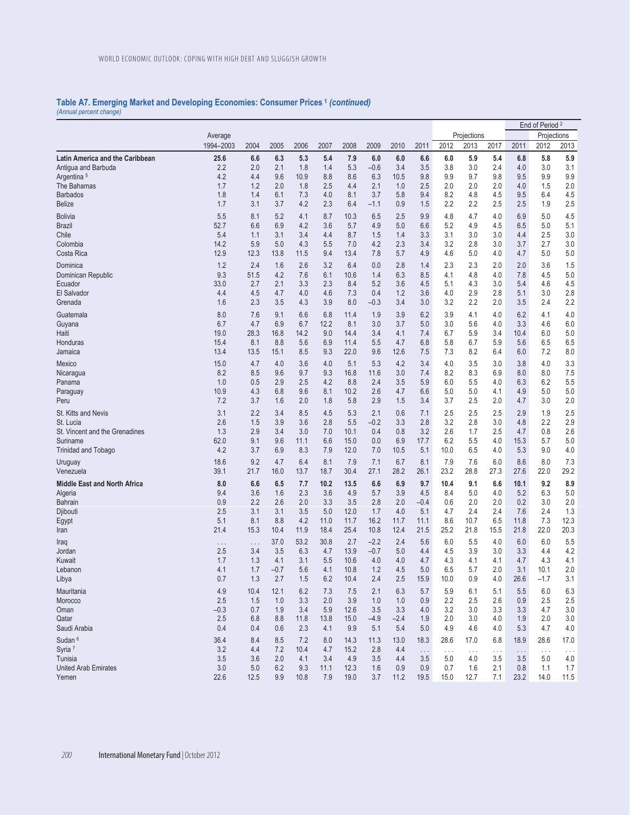#### **Table A7. Emerging Market and Developing Economies: Consumer Prices 1** *(continued) (Annual percent change)*

End of Period 2 Average Projections Projections 1994–2003 2004 2005 2006 2007 2008 2009 2010 2011 2012 2013 2017 2011 2012 2013 **Latin America and the Caribbean 25.6 6.6 6.3 5.3 5.4 7.9 6.0 6.0 6.6 6.0 5.9 5.4 6.8 5.8 5.9** Antigua and Barbuda 2.2 2.0 2.1 1.8 1.4 5.3 –0.6 3.4 3.5 3.8 3.0 2.4 4.0 3.0 3.1 Argentina 5 4.2 4.4 9.6 10.9 8.8 8.6 6.3 10.5 9.8 9.9 9.7 9.8 9.5 9.9 9.9 The Bahamas 1.7 1.2 2.0 1.8 2.5 4.4 2.1 1.0 2.5 2.0 2.0 2.0 4.0 1.5 2.0 Barbados 1.8 1.4 6.1 7.3 4.0 8.1 3.7 5.8 9.4 8.2 4.8 4.5 9.5 6.4 4.5 Belize 1.7 3.1 3.7 4.2 2.3 6.4 –1.1 0.9 1.5 2.2 2.2 2.5 2.5 1.9 2.5 Bolivia 5.5 8.1 5.2 4.1 8.7 10.3 6.5 2.5 9.9 4.8 4.7 4.0 6.9 5.0 4.5 Brazil 52.7 6.6 6.9 4.2 3.6 5.7 4.9 5.0 6.6 5.2 4.9 4.5 6.5 5.0 5.1 Chile 5.4 1.1 3.1 3.4 4.4 8.7 1.5 1.4 3.3 3.1 3.0 3.0 4.4 2.5 3.0 Colombia 14.2 5.9 5.0 4.3 5.5 7.0 4.2 2.3 3.4 3.2 2.8 3.0 3.7 2.7 3.0 Costa Rica 12.9 12.3 13.8 11.5 9.4 13.4 7.8 5.7 4.9 4.6 5.0 4.0 4.7 5.0 5.0 Dominica 1.2 2.4 1.6 2.6 3.2 6.4 0.0 2.8 1.4 2.3 2.3 2.0 2.0 3.6 1.5 Dominican Republic 9.3 51.5 4.2 7.6 6.1 10.6 1.4 6.3 8.5 4.1 4.8 4.0 7.8 4.5 5.0 Ecuador 33.0 2.7 2.1 3.3 2.3 8.4 5.2 3.6 4.5 5.1 4.3 3.0 5.4 4.6 4.5 El Salvador 4.4 4.5 4.7 4.0 4.6 7.3 0.4 1.2 3.6 4.0 2.9 2.8 5.1 3.0 2.8 Grenada 1.6 2.3 3.5 4.3 3.9 8.0 –0.3 3.4 3.0 3.2 2.2 2.0 3.5 2.4 2.2 Guatemala 8.0 7.6 9.1 6.6 6.8 11.4 1.9 3.9 6.2 3.9 4.1 4.0 6.2 4.1 4.0 Guyana 6.7 4.7 6.9 6.7 12.2 8.1 3.0 3.7 5.0 3.0 5.6 4.0 3.3 4.6 6.0 Haiti 19.0 28.3 16.8 14.2 9.0 14.4 3.4 4.1 7.4 6.7 5.9 3.4 10.4 6.0 5.0 Honduras 15.4 8.1 8.8 5.6 6.9 11.4 5.5 4.7 6.8 5.8 6.7 5.9 5.6 6.5 6.5 Jamaica 13.4 13.5 15.1 8.5 9.3 22.0 9.6 12.6 7.5 7.3 8.2 6.4 6.0 7.2 8.0 Mexico 15.0 4.7 4.0 3.6 4.0 5.1 5.3 4.2 3.4 4.0 3.5 3.0 3.8 4.0 3.3 Nicaragua 8.2 8.5 9.6 9.7 9.3 16.8 11.6 3.0 7.4 8.2 8.3 6.9 8.0 8.0 7.5 Panama 1.0 0.5 2.9 2.5 4.2 8.8 2.4 3.5 5.9 6.0 5.5 4.0 6.3 6.2 5.5 Paraguay 10.9 4.3 6.8 9.6 8.1 10.2 2.6 4.7 6.6 5.0 5.0 4.1 4.9 5.0 5.0 Peru 7.2 3.7 1.6 2.0 1.8 5.8 2.9 1.5 3.4 3.7 2.5 2.0 4.7 3.0 2.0 St. Kitts and Nevis 3.1 2.2 3.4 8.5 4.5 5.3 2.1 0.6 7.1 2.5 2.5 2.5 2.9 1.9 2.5 St. Lucia 2.6 1.5 3.9 3.6 2.8 5.5 –0.2 3.3 2.8 3.2 2.8 3.0 4.8 2.2 2.9 St. Vincent and the Grenadines 1.3 2.9 3.4 3.0 7.0 10.1 0.4 0.8 3.2 2.6 1.7 2.5 4.7 0.8 2.6<br>Suriname 1.5 3 5.7 5.0 5.1 9.6 11.1 6.6 15.0 0.0 6.9 17.7 6.2 5.5 4.0 15.3 5.7 5.0 Suriname 62.0 62.0 9.1 9.6 11.1 6.6 15.0 0.0 6.9 17.7 6.2 5.5 4.0 15.3 5.7 5.0 Trinidad and Tobago 4.2 3.7 6.9 8.3 7.9 12.0 7.0 10.5 5.1 10.0 6.5 4.0 5.3 9.0 4.0 Uruguay 18.6 9.2 4.7 6.4 8.1 7.9 7.1 6.7 8.1 7.9 7.6 6.0 8.6 8.0 7.3 Venezuela 39.1 21.7 16.0 13.7 18.7 30.4 27.1 28.2 26.1 23.2 28.8 27.3 27.6 22.0 29.2 **Middle East and North Africa 8.0 6.6 6.5 7.7 10.2 13.5 6.6 6.9 9.7 10.4 9.1 6.6 10.1 9.2 8.9** Algeria 9.4 3.6 1.6 2.3 3.6 4.9 5.7 3.9 4.5 8.4 5.0 4.0 5.2 6.3 5.0 Bahrain 0.9 2.2 2.6 2.0 3.3 3.5 2.8 2.0 –0.4 0.6 2.0 2.0 0.2 3.0 2.0 Djibouti 2.5 3.1 3.1 3.5 5.0 12.0 1.7 4.0 5.1 4.7 2.4 2.4 7.6 2.4 1.3 Egypt 5.1 8.1 8.8 4.2 11.0 11.7 16.2 11.7 11.1 8.6 10.7 6.5 11.8 7.3 12.3 Iran 21.4 15.3 10.4 11.9 18.4 25.4 10.8 12.4 21.5 25.2 21.8 15.5 21.8 22.0 20.3 Iraq . . . . . . 37.0 53.2 30.8 2.7 –2.2 2.4 5.6 6.0 5.5 4.0 6.0 6.0 5.5 Jordan 2.5 3.4 3.5 6.3 4.7 13.9 –0.7 5.0 4.4 4.5 3.9 3.0 3.3 4.4 4.2 Kuwait 1.7 1.3 4.1 3.1 5.5 10.6 4.0 4.0 4.7 4.3 4.1 4.1 4.7 4.3 4.1 Lebanon 4.1 1.7 –0.7 5.6 4.1 10.8 1.2 4.5 5.0 6.5 5.7 2.0 3.1 10.1 2.0 Libya 0.7 1.3 2.7 1.5 6.2 10.4 2.4 2.5 15.9 10.0 0.9 4.0 26.6 –1.7 3.1 Mauritania 4.9 10.4 12.1 6.2 7.3 7.5 2.1 6.3 5.7 5.9 6.1 5.1 5.5 6.0 6.3 Morocco 2.5 1.5 1.0 3.3 2.0 3.9 1.0 1.0 0.9 2.2 2.5 2.6 0.9 2.5 2.5 Oman –0.3 0.7 1.9 3.4 5.9 12.6 3.5 3.3 4.0 3.2 3.0 3.3 3.3 4.7 3.0 Qatar 2.5 6.8 8.8 11.8 13.8 15.0 –4.9 –2.4 1.9 2.0 3.0 4.0 1.9 2.0 3.0 Saudi Arabia 0.4 0.4 0.6 2.3 4.1 9.9 5.1 5.4 5.0 4.9 4.6 4.0 5.3 4.7 4.0 Sudan 6 36.4 8.4 8.5 7.2 8.0 14.3 11.3 13.0 18.3 28.6 17.0 6.8 18.9 28.6 17.0 Syria 7 3.2 4.4 7.2 10.4 4.7 15.2 2.8 4.4 . . . . . . . . . . . . . . . . . . . . . Tunisia 3.5 3.6 2.0 4.1 3.4 4.9 3.5 4.4 3.5 5.0 4.0 3.5 3.5 5.0 4.0 United Arab Emirates **3.0** 5.0 6.2 9.3 11.1 12.3 1.6 0.9 0.9 0.7 1.6 2.1 0.8 1.1 1.7<br>1.5 9.9 10.8 7.9 19.0 3.7 11.2 19.5 15.0 12.7 7.1 23.2 14.0 11.5 Yemen 22.6 12.5 9.9 10.8 7.9 19.0 3.7 11.2 19.5 15.0 12.7 7.1 23.2 14.0 11.5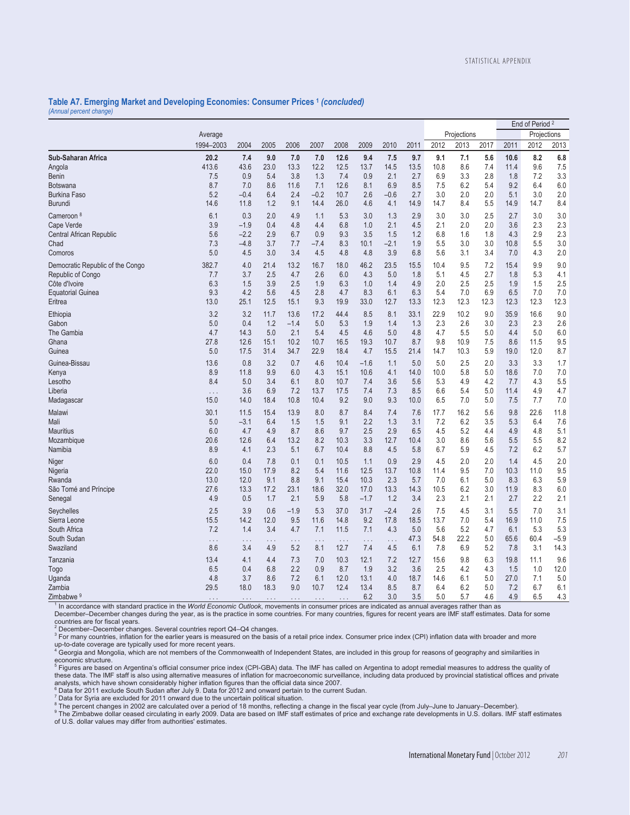## **Table A7. Emerging Market and Developing Economies: Consumer Prices 1** *(concluded) (Annual percent change)*

|                                  |                  |             |             |             |                      |                      |                      |             |             |             |             |      |             | End of Period <sup>2</sup> |            |
|----------------------------------|------------------|-------------|-------------|-------------|----------------------|----------------------|----------------------|-------------|-------------|-------------|-------------|------|-------------|----------------------------|------------|
|                                  | Average          |             |             |             |                      |                      |                      |             |             |             | Projections |      |             | Projections                |            |
|                                  | 1994-2003        | 2004        | 2005        | 2006        | 2007                 | 2008                 | 2009                 | 2010        | 2011        | 2012        | 2013        | 2017 | 2011        | 2012                       | 2013       |
| Sub-Saharan Africa               | 20.2             | 7.4         | 9.0         | 7.0         | 7.0                  | 12.6                 | 9.4                  | 7.5         | 9.7         | 9.1         | 7.1         | 5.6  | 10.6        | 8.2                        | 6.8        |
| Angola                           | 413.6            | 43.6        | 23.0        | 13.3        | 12.2                 | 12.5                 | 13.7                 | 14.5        | 13.5        | 10.8        | 8.6         | 7.4  | 11.4        | 9.6                        | 7.5        |
| <b>Benin</b>                     | 7.5              | 0.9         | 5.4         | 3.8         | 1.3                  | 7.4                  | 0.9                  | 2.1         | 2.7         | 6.9         | 3.3         | 2.8  | 1.8         | 7.2                        | 3.3        |
| Botswana                         | 8.7              | 7.0         | 8.6         | 11.6        | 7.1                  | 12.6                 | 8.1                  | 6.9         | 8.5         | 7.5         | 6.2         | 5.4  | 9.2         | 6.4                        | 6.0        |
| <b>Burkina Faso</b>              | 5.2              | $-0.4$      | 6.4         | 2.4         | $-0.2$               | 10.7                 | 2.6                  | $-0.6$      | 2.7         | 3.0         | 2.0         | 2.0  | 5.1         | 3.0                        | $2.0\,$    |
| Burundi                          | 14.6             | 11.8        | 1.2         | 9.1         | 14.4                 | 26.0                 | 4.6                  | 4.1         | 14.9        | 14.7        | 8.4         | 5.5  | 14.9        | 14.7                       | 8.4        |
| Cameroon <sup>8</sup>            | 6.1              | 0.3         | 2.0         | 4.9         | 1.1                  | 5.3                  | 3.0                  | 1.3         | 2.9         | 3.0         | 3.0         | 2.5  | 2.7         | 3.0                        | 3.0        |
| Cape Verde                       | 3.9              | $-1.9$      | 0.4         | 4.8         | 4.4                  | 6.8                  | 1.0                  | 2.1         | 4.5         | 2.1         | 2.0         | 2.0  | 3.6         | 2.3                        | 2.3        |
| Central African Republic         | 5.6              | $-2.2$      | 2.9         | 6.7         | 0.9                  | 9.3                  | 3.5                  | 1.5         | 1.2         | 6.8         | 1.6         | 1.8  | 4.3         | 2.9                        | 2.3        |
| Chad                             | 7.3              | $-4.8$      | 3.7         | 7.7         | $-7.4$               | 8.3                  | 10.1                 | $-2.1$      | 1.9         | 5.5         | 3.0         | 3.0  | 10.8        | 5.5                        | 3.0        |
| Comoros                          | 5.0              | 4.5         | 3.0         | 3.4         | 4.5                  | 4.8                  | 4.8                  | 3.9         | 6.8         | 5.6         | 3.1         | 3.4  | 7.0         | 4.3                        | 2.0        |
| Democratic Republic of the Congo | 382.7            | 4.0         | 21.4        | 13.2        | 16.7                 | 18.0                 | 46.2                 | 23.5        | 15.5        | 10.4        | 9.5         | 7.2  | 15.4        | 9.9                        | 9.0        |
| Republic of Congo                | 7.7              | 3.7         | 2.5         | 4.7         | 2.6                  | 6.0                  | 4.3                  | 5.0         | 1.8         | 5.1         | 4.5         | 2.7  | 1.8         | 5.3                        | 4.1        |
| Côte d'Ivoire                    | 6.3              | 1.5         | 3.9         | 2.5         | 1.9                  | 6.3                  | 1.0                  | 1.4         | 4.9         | 2.0         | 2.5         | 2.5  | 1.9         | 1.5                        | 2.5        |
| <b>Equatorial Guinea</b>         | 9.3              | 4.2         | 5.6         | 4.5         | 2.8                  | 4.7                  | 8.3                  | 6.1         | 6.3         | 5.4         | 7.0         | 6.9  | 6.5         | 7.0                        | 7.0        |
| Eritrea                          | 13.0             | 25.1        | 12.5        | 15.1        | 9.3                  | 19.9                 | 33.0                 | 12.7        | 13.3        | 12.3        | 12.3        | 12.3 | 12.3        | 12.3                       | 12.3       |
| Ethiopia                         | 3.2              | 3.2         | 11.7        | 13.6        | 17.2                 | 44.4                 | 8.5                  | 8.1         | 33.1        | 22.9        | 10.2        | 9.0  | 35.9        | 16.6                       | 9.0        |
| Gabon                            | 5.0              | 0.4         | 1.2         | $-1.4$      | 5.0                  | 5.3                  | 1.9                  | 1.4         | 1.3         | 2.3         | 2.6         | 3.0  | 2.3         | 2.3                        | 2.6        |
| The Gambia                       | 4.7              | 14.3        | 5.0         | 2.1         | 5.4                  | 4.5                  | 4.6                  | 5.0         | 4.8         | 4.7         | 5.5         | 5.0  | 4.4         | 5.0                        | 6.0        |
| Ghana                            | 27.8             | 12.6        | 15.1        | 10.2        | 10.7                 | 16.5                 | 19.3                 | 10.7        | 8.7         | 9.8         | 10.9        | 7.5  | 8.6         | 11.5                       | 9.5        |
| Guinea                           | 5.0              | 17.5        | 31.4        | 34.7        | 22.9                 | 18.4                 | 4.7                  | 15.5        | 21.4        | 14.7        | 10.3        | 5.9  | 19.0        | 12.0                       | 8.7        |
| Guinea-Bissau                    | 13.6             | 0.8         | 3.2         | 0.7         | 4.6                  | 10.4                 | $-1.6$               | 1.1         | 5.0         | 5.0         | 2.5         | 2.0  | 3.3         | 3.3                        | 1.7        |
|                                  | 8.9              | 11.8        | 9.9         | 6.0         | 4.3                  | 15.1                 | 10.6                 | 4.1         | 14.0        | 10.0        | 5.8         | 5.0  | 18.6        | 7.0                        | 7.0        |
| Kenya<br>Lesotho                 | 8.4              | 5.0         | 3.4         | 6.1         | 8.0                  | 10.7                 | 7.4                  | 3.6         | 5.6         | 5.3         | 4.9         | 4.2  | 7.7         | 4.3                        | 5.5        |
| Liberia                          |                  | 3.6         | 6.9         | 7.2         | 13.7                 | 17.5                 | 7.4                  | 7.3         | 8.5         | 6.6         | 5.4         | 5.0  | 11.4        | 4.9                        | 4.7        |
| Madagascar                       | $\cdots$<br>15.0 | 14.0        | 18.4        | 10.8        | 10.4                 | 9.2                  | 9.0                  | 9.3         | 10.0        | 6.5         | 7.0         | 5.0  | 7.5         | 7.7                        | 7.0        |
| Malawi                           | 30.1             | 11.5        |             | 13.9        | 8.0                  | 8.7                  | 8.4                  |             |             |             | 16.2        | 5.6  | 9.8         | 22.6                       | 11.8       |
| Mali                             | 5.0              | $-3.1$      | 15.4<br>6.4 | 1.5         | 1.5                  | 9.1                  | 2.2                  | 7.4<br>1.3  | 7.6<br>3.1  | 17.7<br>7.2 | 6.2         | 3.5  | 5.3         | 6.4                        | 7.6        |
| <b>Mauritius</b>                 | 6.0              | 4.7         | 4.9         | 8.7         | 8.6                  | 9.7                  | 2.5                  | 2.9         | 6.5         | 4.5         | 5.2         | 4.4  | 4.9         | 4.8                        | 5.1        |
| Mozambique                       | 20.6             | 12.6        | 6.4         | 13.2        | 8.2                  | 10.3                 | 3.3                  | 12.7        | 10.4        | 3.0         | 8.6         | 5.6  | 5.5         | 5.5                        | 8.2        |
| Namibia                          | 8.9              | 4.1         | 2.3         | 5.1         | 6.7                  | 10.4                 | 8.8                  | 4.5         | 5.8         | 6.7         | 5.9         | 4.5  | 7.2         | 6.2                        | 5.7        |
|                                  |                  |             |             |             |                      |                      |                      |             |             |             |             |      |             |                            |            |
| Niger                            | 6.0              | 0.4         | 7.8         | 0.1         | 0.1                  | 10.5                 | 1.1                  | 0.9         | 2.9         | 4.5         | 2.0         | 2.0  | 1.4         | 4.5                        | 2.0        |
| Nigeria                          | 22.0             | 15.0        | 17.9        | 8.2         | 5.4                  | 11.6                 | 12.5                 | 13.7        | 10.8        | 11.4        | 9.5         | 7.0  | 10.3        | 11.0                       | 9.5        |
| Rwanda                           | 13.0<br>27.6     | 12.0        | 9.1         | 8.8         | 9.1                  | 15.4                 | 10.3                 | 2.3         | 5.7         | 7.0         | 6.1         | 5.0  | 8.3         | 6.3                        | 5.9        |
| São Tomé and Príncipe            | 4.9              | 13.3<br>0.5 | 17.2        | 23.1<br>2.1 | 18.6<br>5.9          | 32.0                 | 17.0                 | 13.3<br>1.2 | 14.3<br>3.4 | 10.5<br>2.3 | 6.2<br>2.1  | 3.0  | 11.9<br>2.7 | 8.3<br>2.2                 | 6.0<br>2.1 |
| Senegal                          |                  |             | 1.7         |             |                      | 5.8                  | $-1.7$               |             |             |             |             | 2.1  |             |                            |            |
| Seychelles                       | 2.5              | 3.9         | 0.6         | $-1.9$      | 5.3                  | 37.0                 | 31.7                 | $-2.4$      | 2.6         | 7.5         | 4.5         | 3.1  | 5.5         | 7.0                        | 3.1        |
| Sierra Leone                     | 15.5             | 14.2        | 12.0        | 9.5         | 11.6                 | 14.8                 | 9.2                  | 17.8        | 18.5        | 13.7        | 7.0         | 5.4  | 16.9        | 11.0                       | 7.5        |
| South Africa                     | 7.2              | 1.4         | 3.4         | 4.7         | 7.1                  | 11.5                 | 7.1                  | 4.3         | 5.0         | 5.6         | 5.2         | 4.7  | 6.1         | 5.3                        | 5.3        |
| South Sudan                      | $\cdots$         | $\cdots$    | $\cdots$    | $\cdots$    | $\cdots$             | $\sim$ $\sim$ $\sim$ | $\sim$ $\sim$ $\sim$ | $\ldots$    | 47.3        | 54.8        | 22.2        | 5.0  | 65.6        | 60.4                       | $-5.9$     |
| Swaziland                        | 8.6              | 3.4         | 4.9         | 5.2         | 8.1                  | 12.7                 | 7.4                  | 4.5         | 6.1         | 7.8         | 6.9         | 5.2  | 7.8         | 3.1                        | 14.3       |
| Tanzania                         | 13.4             | 4.1         | 4.4         | 7.3         | 7.0                  | 10.3                 | 12.1                 | 7.2         | 12.7        | 15.6        | 9.8         | 6.3  | 19.8        | 11.1                       | 9.6        |
| Togo                             | 6.5              | 0.4         | 6.8         | 2.2         | 0.9                  | 8.7                  | 1.9                  | 3.2         | 3.6         | 2.5         | 4.2         | 4.3  | 1.5         | 1.0                        | 12.0       |
| Uganda                           | 4.8              | 3.7         | 8.6         | 7.2         | 6.1                  | 12.0                 | 13.1                 | 4.0         | 18.7        | 14.6        | 6.1         | 5.0  | 27.0        | 7.1                        | 5.0        |
| Zambia                           | 29.5             | 18.0        | 18.3        | 9.0         | 10.7                 | 12.4                 | 13.4                 | 8.5         | 8.7         | 6.4         | 6.2         | 5.0  | 7.2         | 6.7                        | 6.1        |
| Zimbabwe 9                       | $\cdots$         | $\ldots$ .  | $\cdots$    | $\cdots$    | $\sim$ $\sim$ $\sim$ | $\cdots$             | 6.2                  | 3.0         | 3.5         | 5.0         | 5.7         | 4.6  | 4.9         | 6.5                        | 4.3        |

1 In accordance with standard practice in the *World Economic Outlook*, movements in consumer prices are indicated as annual averages rather than as

December–December changes during the year, as is the practice in some countries. For many countries, figures for recent years are IMF staff estimates. Data for some countries are for fiscal years.<br><sup>2</sup> December–December changes. Several countries report Q4–Q4 changes.

<sup>3</sup> For many countries, inflation for the earlier years is measured on the basis of a retail price index. Consumer price index (CPI) inflation data with broader and more<br>up-to-date coverage are typically used for more rece

economic structure.<br><sup>5</sup> Figures are based on Argentina's official consumer price index (CPI-GBA) data. The IMF has called on Argentina to adopt remedial measures to address the quality of these data. The IMF staff is also using alternative measures of inflation for macroeconomic surveillance, including data produced by provincial statistical offices and private<br>analysts, which have shown considerably higher

 $<sup>7</sup>$  Data for Syria are excluded for 2011 onward due to the uncertain political situation.</sup>

<sup>8</sup> The percent changes in 2002 are calculated over a period of 18 months, reflecting a change in the fiscal year cycle (from July-June to January-December).

° The percent changes in 2002 are calculated over a period of 18 months, reflecting a change in the fiscal year cycle (from July–June to January–December).<br><sup>9</sup> The Zimbabwe dollar ceased circulating in early 2009. Data are of U.S. dollar values may differ from authorities' estimates.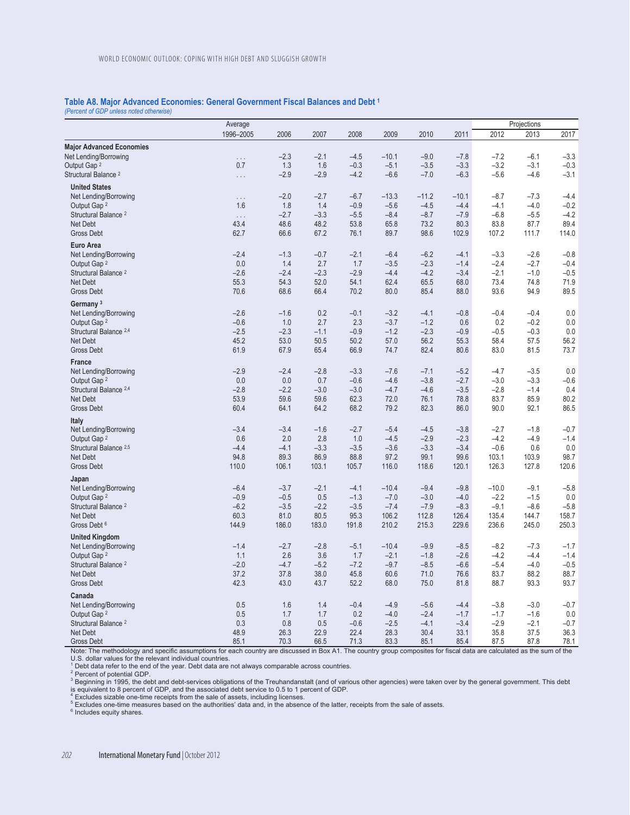## **Table A8. Major Advanced Economies: General Government Fiscal Balances and Debt 1**

*(Percent of GDP unless noted otherwise)* 

|                                                              | Average          |               |               |                  |                  |                  |                  |                  | Projections      |            |
|--------------------------------------------------------------|------------------|---------------|---------------|------------------|------------------|------------------|------------------|------------------|------------------|------------|
|                                                              | 1996-2005        | 2006          | 2007          | 2008             | 2009             | 2010             | 2011             | 2012             | 2013             | 2017       |
| <b>Major Advanced Economies</b>                              |                  |               |               |                  |                  |                  |                  |                  |                  |            |
| Net Lending/Borrowing                                        | .                | $-2.3$        | $-2.1$        | $-4.5$           | $-10.1$          | $-9.0$           | $-7.8$           | $-7.2$           | $-6.1$           | $-3.3$     |
| Output Gap <sup>2</sup>                                      | 0.7              | 1.3           | 1.6           | $-0.3$           | $-5.1$           | $-3.5$           | $-3.3$           | $-3.2$           | $-3.1$           | $-0.3$     |
| Structural Balance <sup>2</sup>                              | .                | $-2.9$        | $-2.9$        | $-4.2$           | $-6.6$           | $-7.0$           | $-6.3$           | $-5.6$           | $-4.6$           | $-3.1$     |
| <b>United States</b>                                         |                  |               |               |                  |                  |                  |                  |                  |                  |            |
| Net Lending/Borrowing                                        | $\ldots$         | $-2.0$        | $-2.7$        | $-6.7$           | $-13.3$          | $-11.2$          | $-10.1$          | $-8.7$           | $-7.3$           | $-4.4$     |
| Output Gap <sup>2</sup>                                      | 1.6              | 1.8           | 1.4           | $-0.9$           | $-5.6$           | $-4.5$           | $-4.4$           | $-4.1$           | $-4.0$           | $-0.2$     |
| Structural Balance <sup>2</sup>                              | $\cdots$         | $-2.7$        | $-3.3$        | $-5.5$           | $-8.4$           | $-8.7$           | $-7.9$           | $-6.8$           | $-5.5$           | $-4.2$     |
| Net Debt                                                     | 43.4             | 48.6          | 48.2          | 53.8             | 65.8             | 73.2             | 80.3             | 83.8             | 87.7             | 89.4       |
| <b>Gross Debt</b>                                            | 62.7             | 66.6          | 67.2          | 76.1             | 89.7             | 98.6             | 102.9            | 107.2            | 111.7            | 114.0      |
| <b>Euro Area</b>                                             |                  |               |               |                  |                  |                  |                  |                  |                  |            |
| Net Lending/Borrowing                                        | $-2.4$           | $-1.3$        | $-0.7$        | $-2.1$           | $-6.4$           | $-6.2$           | $-4.1$           | $-3.3$           | $-2.6$           | $-0.8$     |
| Output Gap <sup>2</sup>                                      | 0.0              | 1.4           | 2.7           | 1.7              | $-3.5$           | $-2.3$           | $-1.4$           | $-2.4$           | $-2.7$           | $-0.4$     |
| Structural Balance <sup>2</sup>                              | $-2.6$           | $-2.4$        | $-2.3$        | $-2.9$           | $-4.4$           | $-4.2$           | $-3.4$           | $-2.1$           | $-1.0$           | $-0.5$     |
| Net Debt                                                     | 55.3             | 54.3          | 52.0          | 54.1             | 62.4             | 65.5             | 68.0             | 73.4             | 74.8             | 71.9       |
| Gross Debt                                                   | 70.6             | 68.6          | 66.4          | 70.2             | 80.0             | 85.4             | 88.0             | 93.6             | 94.9             | 89.5       |
| Germany <sup>3</sup>                                         |                  |               |               |                  |                  |                  |                  |                  |                  |            |
| Net Lending/Borrowing                                        | $-2.6$           | $-1.6$        | 0.2           | $-0.1$           | $-3.2$           | $-4.1$           | $-0.8$           | $-0.4$           | $-0.4$           | 0.0        |
| Output Gap <sup>2</sup><br>Structural Balance <sup>2,4</sup> | $-0.6$<br>$-2.5$ | 1.0<br>$-2.3$ | 2.7<br>$-1.1$ | 2.3<br>$-0.9$    | $-3.7$<br>$-1.2$ | $-1.2$<br>$-2.3$ | 0.6<br>$-0.9$    | 0.2<br>$-0.5$    | $-0.2$<br>$-0.3$ | 0.0<br>0.0 |
| Net Debt                                                     | 45.2             | 53.0          | 50.5          | 50.2             | 57.0             | 56.2             | 55.3             | 58.4             | 57.5             | 56.2       |
| <b>Gross Debt</b>                                            | 61.9             | 67.9          | 65.4          | 66.9             | 74.7             | 82.4             | 80.6             | 83.0             | 81.5             | 73.7       |
|                                                              |                  |               |               |                  |                  |                  |                  |                  |                  |            |
| <b>France</b>                                                |                  |               |               |                  | $-7.6$           |                  |                  |                  |                  | 0.0        |
| Net Lending/Borrowing<br>Output Gap <sup>2</sup>             | $-2.9$<br>0.0    | $-2.4$<br>0.0 | $-2.8$<br>0.7 | $-3.3$<br>$-0.6$ | $-4.6$           | $-7.1$<br>$-3.8$ | $-5.2$<br>$-2.7$ | $-4.7$<br>$-3.0$ | $-3.5$<br>$-3.3$ | $-0.6$     |
| Structural Balance <sup>2,4</sup>                            | $-2.8$           | $-2.2$        | $-3.0$        | $-3.0$           | $-4.7$           | $-4.6$           | $-3.5$           | $-2.8$           | $-1.4$           | 0.4        |
| Net Debt                                                     | 53.9             | 59.6          | 59.6          | 62.3             | 72.0             | 76.1             | 78.8             | 83.7             | 85.9             | 80.2       |
| <b>Gross Debt</b>                                            | 60.4             | 64.1          | 64.2          | 68.2             | 79.2             | 82.3             | 86.0             | 90.0             | 92.1             | 86.5       |
| <b>Italy</b>                                                 |                  |               |               |                  |                  |                  |                  |                  |                  |            |
| Net Lending/Borrowing                                        | $-3.4$           | $-3.4$        | $-1.6$        | $-2.7$           | $-5.4$           | $-4.5$           | $-3.8$           | $-2.7$           | $-1.8$           | $-0.7$     |
| Output Gap <sup>2</sup>                                      | 0.6              | 2.0           | 2.8           | 1.0              | $-4.5$           | $-2.9$           | $-2.3$           | $-4.2$           | $-4.9$           | $-1.4$     |
| Structural Balance <sup>2,5</sup>                            | $-4.4$           | $-4.1$        | $-3.3$        | $-3.5$           | $-3.6$           | $-3.3$           | $-3.4$           | $-0.6$           | 0.6              | 0.0        |
| Net Debt                                                     | 94.8             | 89.3          | 86.9          | 88.8             | 97.2             | 99.1             | 99.6             | 103.1            | 103.9            | 98.7       |
| <b>Gross Debt</b>                                            | 110.0            | 106.1         | 103.1         | 105.7            | 116.0            | 118.6            | 120.1            | 126.3            | 127.8            | 120.6      |
| Japan                                                        |                  |               |               |                  |                  |                  |                  |                  |                  |            |
| Net Lending/Borrowing                                        | $-6.4$           | $-3.7$        | $-2.1$        | $-4.1$           | $-10.4$          | $-9.4$           | $-9.8$           | $-10.0$          | $-9.1$           | $-5.8$     |
| Output Gap <sup>2</sup>                                      | $-0.9$           | $-0.5$        | 0.5           | $-1.3$           | $-7.0$           | $-3.0$           | $-4.0$           | $-2.2$           | $-1.5$           | 0.0        |
| Structural Balance <sup>2</sup>                              | $-6.2$           | $-3.5$        | $-2.2$        | $-3.5$           | $-7.4$           | $-7.9$           | $-8.3$           | $-9.1$           | $-8.6$           | $-5.8$     |
| <b>Net Debt</b>                                              | 60.3             | 81.0          | 80.5          | 95.3             | 106.2            | 112.8            | 126.4            | 135.4            | 144.7            | 158.7      |
| Gross Debt <sup>6</sup>                                      | 144.9            | 186.0         | 183.0         | 191.8            | 210.2            | 215.3            | 229.6            | 236.6            | 245.0            | 250.3      |
| <b>United Kingdom</b>                                        |                  |               |               |                  |                  |                  |                  |                  |                  |            |
| Net Lending/Borrowing                                        | $-1.4$           | $-2.7$        | $-2.8$        | $-5.1$           | $-10.4$          | $-9.9$           | $-8.5$           | $-8.2$           | $-7.3$           | $-1.7$     |
| Output Gap 2                                                 | 1.1              | 2.6           | 3.6           | 1.7              | $-2.1$           | $-1.8$           | $-2.6$           | $-4.2$           | $-4.4$           | $-1.4$     |
| Structural Balance <sup>2</sup>                              | $-2.0$           | $-4.7$        | $-5.2$        | $-7.2$           | $-9.7$           | $-8.5$           | $-6.6$           | $-5.4$           | $-4.0$           | $-0.5$     |
| <b>Net Debt</b>                                              | 37.2             | 37.8          | 38.0          | 45.8             | 60.6             | 71.0             | 76.6             | 83.7             | 88.2             | 88.7       |
| <b>Gross Debt</b>                                            | 42.3             | 43.0          | 43.7          | 52.2             | 68.0             | 75.0             | 81.8             | 88.7             | 93.3             | 93.7       |
| Canada                                                       |                  |               |               |                  |                  |                  |                  |                  |                  |            |
| Net Lending/Borrowing                                        | 0.5              | 1.6           | 1.4           | $-0.4$           | $-4.9$           | $-5.6$           | $-4.4$           | $-3.8$           | $-3.0$           | $-0.7$     |
| Output Gap <sup>2</sup>                                      | 0.5              | 1.7           | 1.7           | 0.2              | $-4.0$           | $-2.4$           | $-1.7$           | $-1.7$           | $-1.6$           | 0.0        |
| Structural Balance <sup>2</sup>                              | 0.3              | 0.8           | 0.5           | $-0.6$           | $-2.5$           | $-4.1$           | $-3.4$           | $-2.9$           | $-2.1$           | $-0.7$     |
| Net Debt                                                     | 48.9             | 26.3          | 22.9          | 22.4             | 28.3             | 30.4             | 33.1             | 35.8             | 37.5             | 36.3       |
| <b>Gross Debt</b>                                            | 85.1             | 70.3          | 66.5          | 71.3             | 83.3             | 85.1             | 85.4             | 87.5             | 87.8             | 78.1       |

Note: The methodology and specific assumptions for each country are discussed in Box A1. The country group composites for fiscal data are calculated as the sum of the U.S. dollar values for the relevant individual countries. 1 Debt data refer to the end of the year. Debt data are not always comparable across countries.

<sup>2</sup> Percent of potential GDP.<br><sup>3</sup> Beginning in 1995, the debt and debt-services obligations of the Treuhandanstalt (and of various other agencies) were taken over by the general government. This debt

is equivalent to 8 percent of GDP, and the associated debt service to 0.5 to 1 percent of GDP.<br><sup>4</sup> Excludes sizable one-time receipts from the sale of assets, including licenses.<br><sup>5</sup> Excludes one-time measures based on the

<sup>6</sup> Includes equity shares.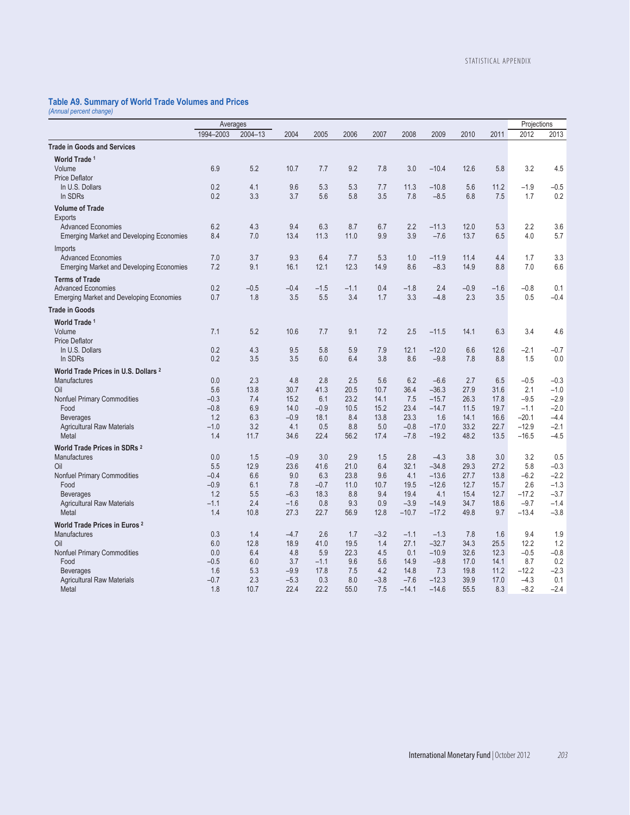## **Table A9. Summary of World Trade Volumes and Prices**

*(Annual percent change)* 

|                                                 | Averages   |             |             |             |              |             |             |                    |              |              | Projections    |                  |
|-------------------------------------------------|------------|-------------|-------------|-------------|--------------|-------------|-------------|--------------------|--------------|--------------|----------------|------------------|
|                                                 | 1994-2003  | 2004-13     | 2004        | 2005        | 2006         | 2007        | 2008        | 2009               | 2010         | 2011         | 2012           | 2013             |
| <b>Trade in Goods and Services</b>              |            |             |             |             |              |             |             |                    |              |              |                |                  |
| World Trade <sup>1</sup>                        |            |             |             |             |              |             |             |                    |              |              |                |                  |
| Volume                                          | 6.9        | 5.2         | 10.7        | 7.7         | 9.2          | 7.8         | 3.0         | $-10.4$            | 12.6         | 5.8          | 3.2            | 4.5              |
| <b>Price Deflator</b>                           |            |             |             |             |              |             |             |                    |              |              |                |                  |
| In U.S. Dollars                                 | 0.2        | 4.1         | 9.6         | 5.3         | 5.3          | 7.7         | 11.3        | $-10.8$            | 5.6          | 11.2         | $-1.9$         | $-0.5$           |
| In SDRs                                         | 0.2        | 3.3         | 3.7         | 5.6         | 5.8          | 3.5         | 7.8         | $-8.5$             | 6.8          | 7.5          | 1.7            | 0.2              |
| <b>Volume of Trade</b>                          |            |             |             |             |              |             |             |                    |              |              |                |                  |
| Exports                                         |            |             |             |             |              |             |             |                    |              |              |                |                  |
| <b>Advanced Economies</b>                       | 6.2        | 4.3         | 9.4         | 6.3         | 8.7          | 6.7         | 2.2         | $-11.3$            | 12.0         | 5.3          | 2.2            | 3.6              |
| <b>Emerging Market and Developing Economies</b> | 8.4        | 7.0         | 13.4        | 11.3        | 11.0         | 9.9         | 3.9         | $-7.6$             | 13.7         | 6.5          | 4.0            | 5.7              |
| Imports                                         |            |             |             |             |              |             |             |                    |              |              |                |                  |
| <b>Advanced Economies</b>                       | 7.0        | 3.7<br>9.1  | 9.3         | 6.4         | 7.7<br>12.3  | 5.3         | 1.0         | $-11.9$            | 11.4         | 4.4          | 1.7            | 3.3              |
| <b>Emerging Market and Developing Economies</b> | 7.2        |             | 16.1        | 12.1        |              | 14.9        | 8.6         | $-8.3$             | 14.9         | 8.8          | 7.0            | 6.6              |
| <b>Terms of Trade</b>                           |            |             |             |             |              |             |             |                    |              |              |                |                  |
| <b>Advanced Economies</b>                       | 0.2        | $-0.5$      | $-0.4$      | $-1.5$      | $-1.1$       | 0.4         | $-1.8$      | 2.4                | $-0.9$       | $-1.6$       | $-0.8$         | 0.1              |
| <b>Emerging Market and Developing Economies</b> | 0.7        | 1.8         | 3.5         | 5.5         | 3.4          | 1.7         | 3.3         | $-4.8$             | 2.3          | 3.5          | 0.5            | $-0.4$           |
| <b>Trade in Goods</b>                           |            |             |             |             |              |             |             |                    |              |              |                |                  |
| World Trade 1                                   |            |             |             |             |              |             |             |                    |              |              |                |                  |
| Volume                                          | 7.1        | 5.2         | 10.6        | 7.7         | 9.1          | 7.2         | 2.5         | $-11.5$            | 14.1         | 6.3          | 3.4            | 4.6              |
| <b>Price Deflator</b>                           |            |             |             |             |              |             |             |                    |              |              |                |                  |
| In U.S. Dollars                                 | 0.2<br>0.2 | 4.3<br>3.5  | 9.5<br>3.5  | 5.8<br>6.0  | 5.9<br>6.4   | 7.9<br>3.8  | 12.1<br>8.6 | $-12.0$            | 6.6<br>7.8   | 12.6<br>8.8  | $-2.1$         | $-0.7$           |
| In SDRs                                         |            |             |             |             |              |             |             | $-9.8$             |              |              | 1.5            | 0.0              |
| World Trade Prices in U.S. Dollars <sup>2</sup> |            |             |             |             |              |             |             |                    |              |              |                |                  |
| <b>Manufactures</b><br>Oil                      | 0.0<br>5.6 | 2.3<br>13.8 | 4.8<br>30.7 | 2.8<br>41.3 | 2.5<br>20.5  | 5.6<br>10.7 | 6.2<br>36.4 | $-6.6$<br>$-36.3$  | 2.7<br>27.9  | 6.5<br>31.6  | $-0.5$<br>2.1  | $-0.3$<br>$-1.0$ |
| Nonfuel Primary Commodities                     | $-0.3$     | 7.4         | 15.2        | 6.1         | 23.2         | 14.1        | 7.5         | $-15.7$            | 26.3         | 17.8         | $-9.5$         | $-2.9$           |
| Food                                            | $-0.8$     | 6.9         | 14.0        | $-0.9$      | 10.5         | 15.2        | 23.4        | $-14.7$            | 11.5         | 19.7         | $-1.1$         | $-2.0$           |
| <b>Beverages</b>                                | 1.2        | 6.3         | $-0.9$      | 18.1        | 8.4          | 13.8        | 23.3        | 1.6                | 14.1         | 16.6         | $-20.1$        | $-4.4$           |
| <b>Agricultural Raw Materials</b>               | $-1.0$     | 3.2         | 4.1         | 0.5         | 8.8          | 5.0         | $-0.8$      | $-17.0$            | 33.2         | 22.7         | $-12.9$        | $-2.1$           |
| Metal                                           | 1.4        | 11.7        | 34.6        | 22.4        | 56.2         | 17.4        | $-7.8$      | $-19.2$            | 48.2         | 13.5         | $-16.5$        | $-4.5$           |
| World Trade Prices in SDRs 2                    |            |             |             |             |              |             |             |                    |              |              |                |                  |
| <b>Manufactures</b>                             | 0.0        | 1.5         | $-0.9$      | 3.0         | 2.9          | 1.5         | 2.8         | $-4.3$             | 3.8          | 3.0          | 3.2            | 0.5              |
| Oil                                             | 5.5        | 12.9        | 23.6        | 41.6        | 21.0         | 6.4         | 32.1        | $-34.8$            | 29.3         | 27.2         | 5.8            | $-0.3$           |
| Nonfuel Primary Commodities                     | $-0.4$     | 6.6         | 9.0         | 6.3         | 23.8         | 9.6         | 4.1         | $-13.6$            | 27.7         | 13.8         | $-6.2$         | $-2.2$           |
| Food                                            | $-0.9$     | 6.1         | 7.8         | $-0.7$      | 11.0         | 10.7        | 19.5        | $-12.6$            | 12.7         | 15.7         | 2.6            | $-1.3$           |
| <b>Beverages</b>                                | 1.2        | 5.5         | $-6.3$      | 18.3        | 8.8          | 9.4         | 19.4        | 4.1                | 15.4         | 12.7         | $-17.2$        | $-3.7$           |
| <b>Agricultural Raw Materials</b>               | $-1.1$     | 2.4         | $-1.6$      | 0.8         | 9.3          | 0.9         | $-3.9$      | $-14.9$            | 34.7         | 18.6         | $-9.7$         | $-1.4$           |
| Metal                                           | 1.4        | 10.8        | 27.3        | 22.7        | 56.9         | 12.8        | $-10.7$     | $-17.2$            | 49.8         | 9.7          | $-13.4$        | $-3.8$           |
| World Trade Prices in Euros <sup>2</sup>        |            |             |             |             |              |             |             |                    |              |              |                |                  |
| <b>Manufactures</b>                             | 0.3        | 1.4         | $-4.7$      | 2.6         | 1.7          | $-3.2$      | $-1.1$      | $-1.3$             | 7.8          | 1.6          | 9.4            | 1.9              |
| Oil<br>Nonfuel Primary Commodities              | 6.0<br>0.0 | 12.8<br>6.4 | 18.9<br>4.8 | 41.0<br>5.9 | 19.5<br>22.3 | 1.4<br>4.5  | 27.1<br>0.1 | $-32.7$<br>$-10.9$ | 34.3<br>32.6 | 25.5<br>12.3 | 12.2<br>$-0.5$ | 1.2<br>$-0.8$    |
| Food                                            | $-0.5$     | 6.0         | 3.7         | $-1.1$      | 9.6          | 5.6         | 14.9        | $-9.8$             | 17.0         | 14.1         | 8.7            | 0.2              |
| <b>Beverages</b>                                | 1.6        | 5.3         | $-9.9$      | 17.8        | 7.5          | 4.2         | 14.8        | 7.3                | 19.8         | 11.2         | $-12.2$        | $-2.3$           |
| <b>Agricultural Raw Materials</b>               | $-0.7$     | 2.3         | $-5.3$      | 0.3         | 8.0          | $-3.8$      | $-7.6$      | $-12.3$            | 39.9         | 17.0         | $-4.3$         | 0.1              |
| Metal                                           | 1.8        | 10.7        | 22.4        | 22.2        | 55.0         | 7.5         | $-14.1$     | $-14.6$            | 55.5         | 8.3          | $-8.2$         | $-2.4$           |
|                                                 |            |             |             |             |              |             |             |                    |              |              |                |                  |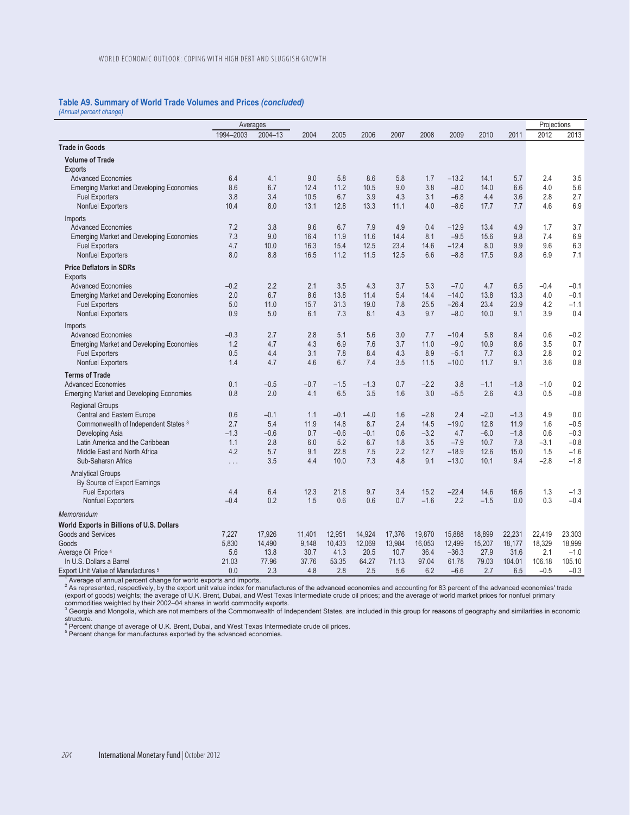## **Table A9. Summary of World Trade Volumes and Prices** *(concluded)*

*(Annual percent change)* 

|                                                                 | Averages     |               |               |               |               |               |               |                   |               | Projections    |               |                  |
|-----------------------------------------------------------------|--------------|---------------|---------------|---------------|---------------|---------------|---------------|-------------------|---------------|----------------|---------------|------------------|
|                                                                 | 1994-2003    | 2004-13       | 2004          | 2005          | 2006          | 2007          | 2008          | 2009              | 2010          | 2011           | 2012          | 2013             |
| <b>Trade in Goods</b>                                           |              |               |               |               |               |               |               |                   |               |                |               |                  |
| <b>Volume of Trade</b>                                          |              |               |               |               |               |               |               |                   |               |                |               |                  |
| <b>Exports</b>                                                  |              |               |               |               |               |               |               |                   |               |                |               |                  |
| <b>Advanced Economies</b>                                       | 6.4          | 4.1           | 9.0           | 5.8           | 8.6           | 5.8           | 1.7           | $-13.2$           | 14.1          | 5.7            | 2.4           | 3.5              |
| <b>Emerging Market and Developing Economies</b>                 | 8.6          | 6.7           | 12.4          | 11.2          | 10.5          | 9.0           | 3.8           | $-8.0$            | 14.0          | 6.6            | 4.0           | 5.6              |
| <b>Fuel Exporters</b>                                           | 3.8          | 3.4           | 10.5          | 6.7           | 3.9           | 4.3           | 3.1           | $-6.8$            | 4.4           | 3.6            | 2.8           | 2.7              |
| <b>Nonfuel Exporters</b>                                        | 10.4         | 8.0           | 13.1          | 12.8          | 13.3          | 11.1          | 4.0           | $-8.6$            | 17.7          | 7.7            | 4.6           | 6.9              |
| Imports                                                         |              |               |               |               |               |               |               |                   |               |                |               |                  |
| <b>Advanced Economies</b>                                       | 7.2          | 3.8           | 9.6           | 6.7           | 7.9           | 4.9           | 0.4           | $-12.9$           | 13.4          | 4.9            | 1.7           | 3.7              |
| <b>Emerging Market and Developing Economies</b>                 | 7.3          | 9.0           | 16.4          | 11.9          | 11.6          | 14.4          | 8.1           | $-9.5$            | 15.6          | 9.8            | 7.4           | 6.9              |
| <b>Fuel Exporters</b>                                           | 4.7          | 10.0          | 16.3          | 15.4          | 12.5          | 23.4          | 14.6          | $-12.4$           | 8.0           | 9.9            | 9.6           | 6.3              |
| <b>Nonfuel Exporters</b>                                        | 8.0          | 8.8           | 16.5          | 11.2          | 11.5          | 12.5          | 6.6           | $-8.8$            | 17.5          | 9.8            | 6.9           | 7.1              |
| <b>Price Deflators in SDRs</b>                                  |              |               |               |               |               |               |               |                   |               |                |               |                  |
| <b>Exports</b>                                                  |              |               |               |               |               |               |               |                   |               |                |               |                  |
| <b>Advanced Economies</b>                                       | $-0.2$       | 2.2           | 2.1           | 3.5           | 4.3           | 3.7           | 5.3           | $-7.0$            | 4.7           | 6.5            | $-0.4$        | $-0.1$           |
| <b>Emerging Market and Developing Economies</b>                 | 2.0          | 6.7           | 8.6           | 13.8          | 11.4          | 5.4           | 14.4          | $-14.0$           | 13.8          | 13.3           | 4.0           | $-0.1$           |
| <b>Fuel Exporters</b>                                           | 5.0          | 11.0          | 15.7          | 31.3          | 19.0          | 7.8           | 25.5          | $-26.4$           | 23.4          | 23.9           | 4.2           | $-1.1$           |
| <b>Nonfuel Exporters</b>                                        | 0.9          | 5.0           | 6.1           | 7.3           | 8.1           | 4.3           | 9.7           | $-8.0$            | 10.0          | 9.1            | 3.9           | 0.4              |
| Imports                                                         |              |               |               |               |               |               |               |                   |               |                |               |                  |
| <b>Advanced Economies</b>                                       | $-0.3$       | 2.7           | 2.8           | 5.1           | 5.6           | 3.0           | 7.7           | $-10.4$           | 5.8           | 8.4            | 0.6           | $-0.2$           |
| <b>Emerging Market and Developing Economies</b>                 | 1.2          | 4.7           | 4.3           | 6.9           | 7.6           | 3.7           | 11.0          | $-9.0$            | 10.9          | 8.6            | 3.5           | 0.7              |
| <b>Fuel Exporters</b>                                           | 0.5          | 4.4           | 3.1           | 7.8           | 8.4           | 4.3           | 8.9           | $-5.1$            | 7.7           | 6.3            | 2.8           | 0.2              |
| <b>Nonfuel Exporters</b>                                        | 1.4          | 4.7           | 4.6           | 6.7           | 7.4           | 3.5           | 11.5          | $-10.0$           | 11.7          | 9.1            | 3.6           | 0.8              |
| <b>Terms of Trade</b>                                           |              |               |               |               |               |               |               |                   |               |                |               |                  |
| <b>Advanced Economies</b>                                       | 0.1          | $-0.5$        | $-0.7$        | $-1.5$        | $-1.3$        | 0.7           | $-2.2$        | 3.8               | $-1.1$        | $-1.8$         | $-1.0$        | 0.2              |
| <b>Emerging Market and Developing Economies</b>                 | 0.8          | 2.0           | 4.1           | 6.5           | 3.5           | 1.6           | 3.0           | $-5.5$            | 2.6           | 4.3            | 0.5           | $-0.8$           |
| <b>Regional Groups</b>                                          |              |               |               |               |               |               |               |                   |               |                |               |                  |
| Central and Eastern Europe                                      | 0.6          | $-0.1$        | 1.1           | $-0.1$        | $-4.0$        | 1.6           | $-2.8$        | 2.4               | $-2.0$        | $-1.3$         | 4.9           | 0.0              |
| Commonwealth of Independent States 3                            | 2.7          | 5.4           | 11.9          | 14.8          | 8.7           | 2.4           | 14.5          | $-19.0$           | 12.8          | 11.9           | 1.6           | $-0.5$           |
| Developing Asia                                                 | $-1.3$       | $-0.6$        | 0.7           | $-0.6$        | $-0.1$        | 0.6           | $-3.2$        | 4.7               | $-6.0$        | $-1.8$         | 0.6           | $-0.3$           |
| Latin America and the Caribbean<br>Middle East and North Africa | 1.1<br>4.2   | 2.8<br>5.7    | 6.0<br>9.1    | 5.2<br>22.8   | 6.7<br>7.5    | 1.8<br>2.2    | 3.5<br>12.7   | $-7.9$<br>$-18.9$ | 10.7<br>12.6  | 7.8<br>15.0    | $-3.1$<br>1.5 | $-0.8$<br>$-1.6$ |
| Sub-Saharan Africa                                              |              | 3.5           | 4.4           | 10.0          | 7.3           | 4.8           | 9.1           | $-13.0$           | 10.1          | 9.4            | $-2.8$        | $-1.8$           |
|                                                                 | $\ldots$     |               |               |               |               |               |               |                   |               |                |               |                  |
| <b>Analytical Groups</b>                                        |              |               |               |               |               |               |               |                   |               |                |               |                  |
| By Source of Export Earnings<br><b>Fuel Exporters</b>           | 4.4          | 6.4           | 12.3          | 21.8          | 9.7           | 3.4           | 15.2          | $-22.4$           | 14.6          | 16.6           | 1.3           | $-1.3$           |
| <b>Nonfuel Exporters</b>                                        | $-0.4$       | 0.2           | 1.5           | 0.6           | 0.6           | 0.7           | $-1.6$        | 2.2               | $-1.5$        | 0.0            | 0.3           | $-0.4$           |
|                                                                 |              |               |               |               |               |               |               |                   |               |                |               |                  |
| Memorandum                                                      |              |               |               |               |               |               |               |                   |               |                |               |                  |
| World Exports in Billions of U.S. Dollars                       |              |               |               |               |               |               |               |                   |               |                |               |                  |
| <b>Goods and Services</b>                                       | 7.227        | 17,926        | 11,401        | 12,951        | 14.924        | 17.376        | 19.870        | 15.888            | 18.899        | 22,231         | 22,419        | 23,303           |
| Goods                                                           | 5,830        | 14,490        | 9,148         | 10,433        | 12,069        | 13,984        | 16,053        | 12,499            | 15,207        | 18,177         | 18,329        | 18,999           |
| Average Oil Price 4<br>In U.S. Dollars a Barrel                 | 5.6<br>21.03 | 13.8<br>77.96 | 30.7<br>37.76 | 41.3<br>53.35 | 20.5<br>64.27 | 10.7<br>71.13 | 36.4<br>97.04 | $-36.3$<br>61.78  | 27.9<br>79.03 | 31.6<br>104.01 | 2.1<br>106.18 | $-1.0$<br>105.10 |
| Export Unit Value of Manufactures <sup>5</sup>                  | 0.0          | 2.3           | 4.8           | 2.8           | 2.5           | 5.6           | 6.2           | $-6.6$            | 2.7           | 6.5            | $-0.5$        | $-0.3$           |
|                                                                 |              |               |               |               |               |               |               |                   |               |                |               |                  |

Export Unit Value of Manufactures 5<br>
<sup>1</sup> Average of annual percent change for world exports and imports.<br>
<sup>2</sup> As represented, respectively, by the export unit value index for manufactures of the advanced economies and acc

structure.<br><sup>4</sup> Percent change of average of U.K. Brent, Dubai, and West Texas Intermediate crude oil prices.<br><sup>5</sup> Percent change for manufactures exported by the advanced economies.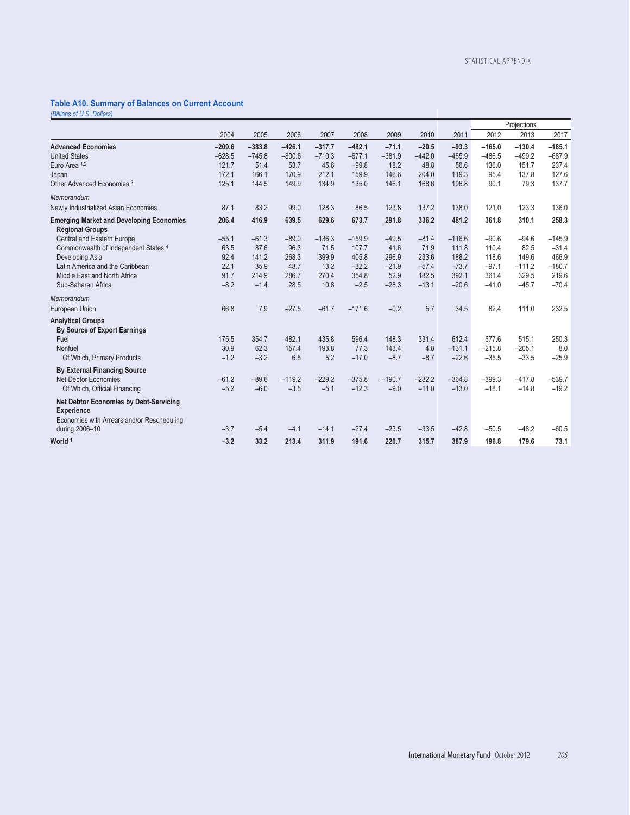## **Table A10. Summary of Balances on Current Account**

*(Billions of U.S. Dollars)* 

|                                                                           |          |          |          |          |          |          |          |          |          | Projections |          |
|---------------------------------------------------------------------------|----------|----------|----------|----------|----------|----------|----------|----------|----------|-------------|----------|
|                                                                           | 2004     | 2005     | 2006     | 2007     | 2008     | 2009     | 2010     | 2011     | 2012     | 2013        | 2017     |
| <b>Advanced Economies</b>                                                 | $-209.6$ | $-383.8$ | $-426.1$ | $-317.7$ | $-482.1$ | $-71.1$  | $-20.5$  | $-93.3$  | $-165.0$ | $-130.4$    | $-185.1$ |
| <b>United States</b>                                                      | $-628.5$ | $-745.8$ | $-800.6$ | $-710.3$ | $-677.1$ | $-381.9$ | $-442.0$ | $-465.9$ | $-486.5$ | $-499.2$    | $-687.9$ |
| Euro Area 1,2                                                             | 121.7    | 51.4     | 53.7     | 45.6     | $-99.8$  | 18.2     | 48.8     | 56.6     | 136.0    | 151.7       | 237.4    |
| Japan                                                                     | 172.1    | 166.1    | 170.9    | 212.1    | 159.9    | 146.6    | 204.0    | 119.3    | 95.4     | 137.8       | 127.6    |
| Other Advanced Economies <sup>3</sup>                                     | 125.1    | 144.5    | 149.9    | 134.9    | 135.0    | 146.1    | 168.6    | 196.8    | 90.1     | 79.3        | 137.7    |
| Memorandum                                                                |          |          |          |          |          |          |          |          |          |             |          |
| Newly Industrialized Asian Economies                                      | 87.1     | 83.2     | 99.0     | 128.3    | 86.5     | 123.8    | 137.2    | 138.0    | 121.0    | 123.3       | 136.0    |
| <b>Emerging Market and Developing Economies</b><br><b>Regional Groups</b> | 206.4    | 416.9    | 639.5    | 629.6    | 673.7    | 291.8    | 336.2    | 481.2    | 361.8    | 310.1       | 258.3    |
| Central and Eastern Europe                                                | $-55.1$  | $-61.3$  | $-89.0$  | $-136.3$ | $-159.9$ | $-49.5$  | $-81.4$  | $-116.6$ | $-90.6$  | $-94.6$     | $-145.9$ |
| Commonwealth of Independent States 4                                      | 63.5     | 87.6     | 96.3     | 71.5     | 107.7    | 41.6     | 71.9     | 111.8    | 110.4    | 82.5        | $-31.4$  |
| Developing Asia                                                           | 92.4     | 141.2    | 268.3    | 399.9    | 405.8    | 296.9    | 233.6    | 188.2    | 118.6    | 149.6       | 466.9    |
| Latin America and the Caribbean                                           | 22.1     | 35.9     | 48.7     | 13.2     | $-32.2$  | $-21.9$  | $-57.4$  | $-73.7$  | $-97.1$  | $-111.2$    | $-180.7$ |
| Middle East and North Africa                                              | 91.7     | 214.9    | 286.7    | 270.4    | 354.8    | 52.9     | 182.5    | 392.1    | 361.4    | 329.5       | 219.6    |
| Sub-Saharan Africa                                                        | $-8.2$   | $-1.4$   | 28.5     | 10.8     | $-2.5$   | $-28.3$  | $-13.1$  | $-20.6$  | $-41.0$  | $-45.7$     | $-70.4$  |
| Memorandum                                                                |          |          |          |          |          |          |          |          |          |             |          |
| European Union                                                            | 66.8     | 7.9      | $-27.5$  | $-61.7$  | $-171.6$ | $-0.2$   | 5.7      | 34.5     | 82.4     | 111.0       | 232.5    |
| <b>Analytical Groups</b><br>By Source of Export Earnings                  |          |          |          |          |          |          |          |          |          |             |          |
| Fuel                                                                      | 175.5    | 354.7    | 482.1    | 435.8    | 596.4    | 148.3    | 331.4    | 612.4    | 577.6    | 515.1       | 250.3    |
| Nonfuel                                                                   | 30.9     | 62.3     | 157.4    | 193.8    | 77.3     | 143.4    | 4.8      | $-131.1$ | $-215.8$ | $-205.1$    | 8.0      |
| Of Which, Primary Products                                                | $-1.2$   | $-3.2$   | 6.5      | 5.2      | $-17.0$  | $-8.7$   | $-8.7$   | $-22.6$  | $-35.5$  | $-33.5$     | $-25.9$  |
| <b>By External Financing Source</b>                                       |          |          |          |          |          |          |          |          |          |             |          |
| Net Debtor Economies                                                      | $-61.2$  | $-89.6$  | $-119.2$ | $-229.2$ | $-375.8$ | $-190.7$ | $-282.2$ | $-364.8$ | $-399.3$ | $-417.8$    | $-539.7$ |
| Of Which, Official Financing                                              | $-5.2$   | $-6.0$   | $-3.5$   | $-5.1$   | $-12.3$  | $-9.0$   | $-11.0$  | $-13.0$  | $-18.1$  | $-14.8$     | $-19.2$  |
| <b>Net Debtor Economies by Debt-Servicing</b><br><b>Experience</b>        |          |          |          |          |          |          |          |          |          |             |          |
| Economies with Arrears and/or Rescheduling                                | $-3.7$   | $-5.4$   | $-4.1$   | $-14.1$  | $-27.4$  | $-23.5$  | $-33.5$  | $-42.8$  | $-50.5$  | $-48.2$     | $-60.5$  |
| during 2006-10                                                            |          |          |          |          |          |          |          |          |          |             |          |
| World <sup>1</sup>                                                        | $-3.2$   | 33.2     | 213.4    | 311.9    | 191.6    | 220.7    | 315.7    | 387.9    | 196.8    | 179.6       | 73.1     |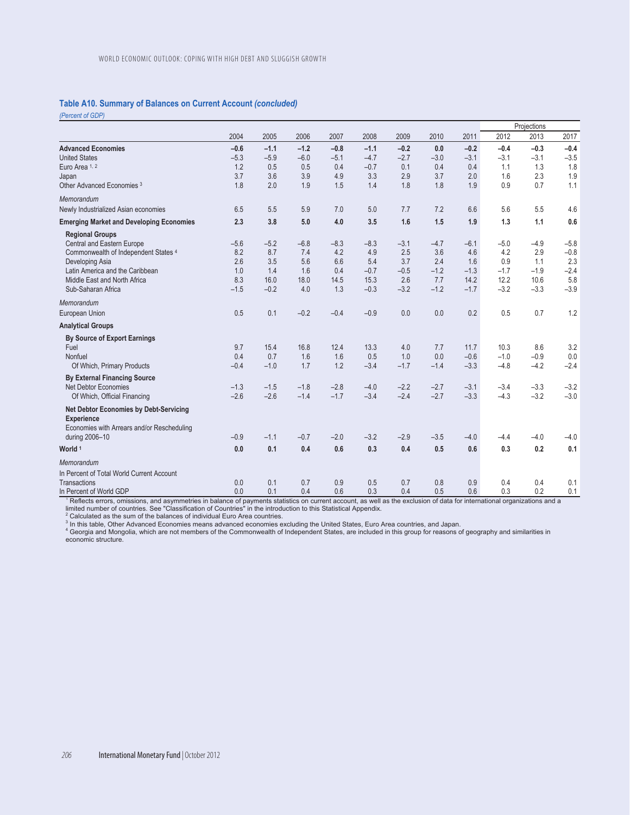## **Table A10. Summary of Balances on Current Account** *(concluded)*

*(Percent of GDP)* 

|                                                 |        |        |        |        |        |        |        |        |        | Projections |        |
|-------------------------------------------------|--------|--------|--------|--------|--------|--------|--------|--------|--------|-------------|--------|
|                                                 | 2004   | 2005   | 2006   | 2007   | 2008   | 2009   | 2010   | 2011   | 2012   | 2013        | 2017   |
| <b>Advanced Economies</b>                       | $-0.6$ | $-1.1$ | $-1.2$ | $-0.8$ | $-1.1$ | $-0.2$ | 0.0    | $-0.2$ | $-0.4$ | $-0.3$      | $-0.4$ |
| <b>United States</b>                            | $-5.3$ | $-5.9$ | $-6.0$ | $-5.1$ | $-4.7$ | $-2.7$ | $-3.0$ | $-3.1$ | $-3.1$ | $-3.1$      | $-3.5$ |
| Euro Area 1, 2                                  | 1.2    | 0.5    | 0.5    | 0.4    | $-0.7$ | 0.1    | 0.4    | 0.4    | 1.1    | 1.3         | 1.8    |
| Japan                                           | 3.7    | 3.6    | 3.9    | 4.9    | 3.3    | 2.9    | 3.7    | 2.0    | 1.6    | 2.3         | 1.9    |
| Other Advanced Economies <sup>3</sup>           | 1.8    | 2.0    | 1.9    | 1.5    | 1.4    | 1.8    | 1.8    | 1.9    | 0.9    | 0.7         | 1.1    |
| Memorandum                                      |        |        |        |        |        |        |        |        |        |             |        |
| Newly Industrialized Asian economies            | 6.5    | 5.5    | 5.9    | 7.0    | 5.0    | 7.7    | 7.2    | 6.6    | 5.6    | 5.5         | 4.6    |
| <b>Emerging Market and Developing Economies</b> | 2.3    | 3.8    | 5.0    | 4.0    | 3.5    | 1.6    | 1.5    | 1.9    | 1.3    | 1.1         | 0.6    |
| <b>Regional Groups</b>                          |        |        |        |        |        |        |        |        |        |             |        |
| Central and Eastern Europe                      | $-5.6$ | $-5.2$ | $-6.8$ | $-8.3$ | $-8.3$ | $-3.1$ | $-4.7$ | $-6.1$ | $-5.0$ | $-4.9$      | $-5.8$ |
| Commonwealth of Independent States 4            | 8.2    | 8.7    | 7.4    | 4.2    | 4.9    | 2.5    | 3.6    | 4.6    | 4.2    | 2.9         | $-0.8$ |
| Developing Asia                                 | 2.6    | 3.5    | 5.6    | 6.6    | 5.4    | 3.7    | 2.4    | 1.6    | 0.9    | 1.1         | 2.3    |
| Latin America and the Caribbean                 | 1.0    | 1.4    | 1.6    | 0.4    | $-0.7$ | $-0.5$ | $-1.2$ | $-1.3$ | $-1.7$ | $-1.9$      | $-2.4$ |
| Middle East and North Africa                    | 8.3    | 16.0   | 18.0   | 14.5   | 15.3   | 2.6    | 7.7    | 14.2   | 12.2   | 10.6        | 5.8    |
| Sub-Saharan Africa                              | $-1.5$ | $-0.2$ | 4.0    | 1.3    | $-0.3$ | $-3.2$ | $-1.2$ | $-1.7$ | $-3.2$ | $-3.3$      | $-3.9$ |
| Memorandum                                      |        |        |        |        |        |        |        |        |        |             |        |
| European Union                                  | 0.5    | 0.1    | $-0.2$ | $-0.4$ | $-0.9$ | 0.0    | 0.0    | 0.2    | 0.5    | 0.7         | 1.2    |
| <b>Analytical Groups</b>                        |        |        |        |        |        |        |        |        |        |             |        |
| <b>By Source of Export Earnings</b>             |        |        |        |        |        |        |        |        |        |             |        |
| Fuel                                            | 9.7    | 15.4   | 16.8   | 12.4   | 13.3   | 4.0    | 7.7    | 11.7   | 10.3   | 8.6         | 3.2    |
| Nonfuel                                         | 0.4    | 0.7    | 1.6    | 1.6    | 0.5    | 1.0    | 0.0    | $-0.6$ | $-1.0$ | $-0.9$      | 0.0    |
| Of Which, Primary Products                      | $-0.4$ | $-1.0$ | 1.7    | 1.2    | $-3.4$ | $-1.7$ | $-1.4$ | $-3.3$ | $-4.8$ | $-4.2$      | $-2.4$ |
| <b>By External Financing Source</b>             |        |        |        |        |        |        |        |        |        |             |        |
| Net Debtor Economies                            | $-1.3$ | $-1.5$ | $-1.8$ | $-2.8$ | $-4.0$ | $-2.2$ | $-2.7$ | $-3.1$ | $-3.4$ | $-3.3$      | $-3.2$ |
| Of Which, Official Financing                    | $-2.6$ | $-2.6$ | $-1.4$ | $-1.7$ | $-3.4$ | $-2.4$ | $-2.7$ | $-3.3$ | $-4.3$ | $-3.2$      | $-3.0$ |
| <b>Net Debtor Economies by Debt-Servicing</b>   |        |        |        |        |        |        |        |        |        |             |        |
| <b>Experience</b>                               |        |        |        |        |        |        |        |        |        |             |        |
| Economies with Arrears and/or Rescheduling      |        |        |        |        |        |        |        |        |        |             |        |
| during 2006-10                                  | $-0.9$ | $-1.1$ | $-0.7$ | $-2.0$ | $-3.2$ | $-2.9$ | $-3.5$ | $-4.0$ | $-4.4$ | $-4.0$      | $-4.0$ |
| World <sup>1</sup>                              | 0.0    | 0.1    | 0.4    | 0.6    | 0.3    | 0.4    | 0.5    | 0.6    | 0.3    | 0.2         | 0.1    |
| Memorandum                                      |        |        |        |        |        |        |        |        |        |             |        |
| In Percent of Total World Current Account       |        |        |        |        |        |        |        |        |        |             |        |
| Transactions                                    | 0.0    | 0.1    | 0.7    | 0.9    | 0.5    | 0.7    | 0.8    | 0.9    | 0.4    | 0.4         | 0.1    |
| In Percent of World GDP                         | 0.0    | 0.1    | 0.4    | 0.6    | 0.3    | 0.4    | 0.5    | 0.6    | 0.3    | 0.2         | 0.1    |

In Percent of World GDP<br><sup>1</sup> Reflects errors, omissions, and asymmetries in balance of payments statistics on current account, as well as the exclusion of data for international organizations and a<br><sup>1</sup> Reflects errors, omi

<sup>3</sup> In this table, Other Advanced Economies means advanced economies excluding the United States, Euro Area countries, and Japan.<br><sup>4</sup> Georgia and Mongolia, which are not members of the Commonwealth of Independent States, a economic structure.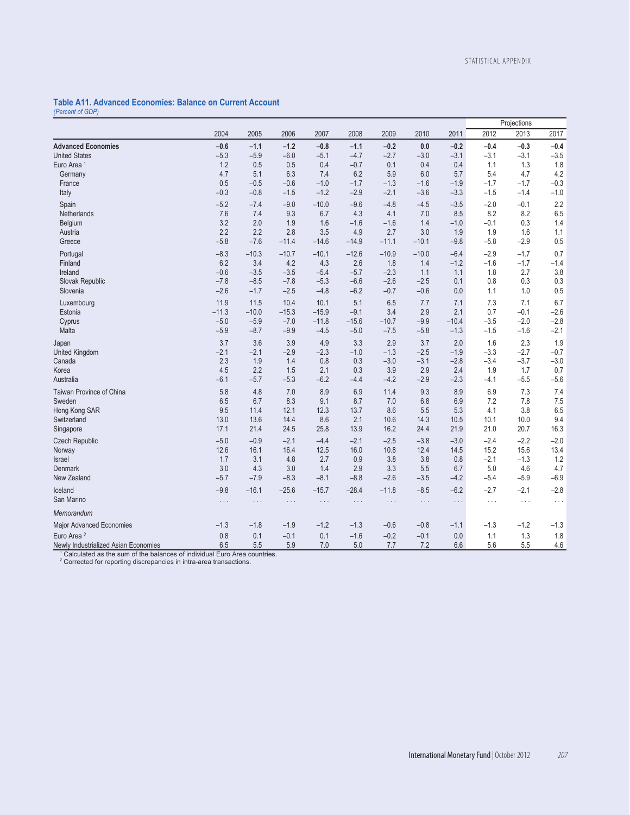#### **Table A11. Advanced Economies: Balance on Current Account**  *(Percent of GDP)*

**Projections** 2004 2005 2006 2007 2008 2009 2010 2011 2012 2013 2017 **Advanced Economies –0.6 –1.1 –1.2 –0.8 –1.1 –0.2 0.0 –0.2 –0.4 –0.3 –0.4** United States –5.3 –5.9 –6.0 –5.1 –4.7 –2.7 –3.0 –3.1 –3.1 –3.1 –3.5 Euro Area 1 1.2 0.5 0.5 0.4 –0.7 0.1 0.4 0.4 1.1 1.3 1.8 Germany 4.7 5.1 6.3 7.4 6.2 5.9 6.0 5.7 5.4 4.7 4.2 France 0.5 –0.5 –0.6 –1.0 –1.7 –1.3 –1.6 –1.9 –1.7 –1.7 –0.3 Italy –0.3 –0.8 –1.5 –1.2 –2.9 –2.1 –3.6 –3.3 –1.5 –1.4 –1.0 Spain –5.2 –7.4 –9.0 –10.0 –9.6 –4.8 –4.5 –3.5 –2.0 –0.1 2.2 Netherlands 7.6 7.4 9.3 6.7 4.3 4.1 7.0 8.5 8.2 8.2 6.5 Belgium 3.2 2.0 1.9 1.6 –1.6 –1.6 1.4 –1.0 –0.1 0.3 1.4 Austria 2.2 2.2 2.8 3.5 4.9 2.7 3.0 1.9 1.9 1.6 1.1 Greece –5.8 –7.6 –11.4 –14.6 –14.9 –11.1 –10.1 –9.8 –5.8 –2.9 0.5 Portugal –8.3 –10.3 –10.7 –10.1 –12.6 –10.9 –10.0 –6.4 –2.9 –1.7 0.7 Finland 6.2 3.4 4.2 4.3 2.6 1.8 1.4 –1.2 –1.6 –1.7 –1.4 Ireland –0.6 –3.5 –3.5 –5.4 –5.7 –2.3 1.1 1.1 1.8 2.7 3.8 Slovak Republic –7.8 –8.5 –7.8 –5.3 –6.6 –2.6 –2.5 0.1 0.8 0.3 0.3 Slovenia –2.6 –1.7 –2.5 –4.8 –6.2 –0.7 –0.6 0.0 1.1 1.0 0.5 Luxembourg 11.9 11.5 10.4 10.1 5.1 6.5 7.7 7.1 7.3 7.1 6.7 Estonia –11.3 –10.0 –15.3 –15.9 –9.1 3.4 2.9 2.1 0.7 –0.1 –2.6 Cyprus –5.0 –5.9 –7.0 –11.8 –15.6 –10.7 –9.9 –10.4 –3.5 –2.0 –2.8 Malta –5.9 –8.7 –9.9 –4.5 –5.0 –7.5 –5.8 –1.3 –1.5 –1.6 –2.1 Japan 3.7 3.6 3.9 4.9 3.3 2.9 3.7 2.0 1.6 2.3 1.9 United Kingdom –2.1 –2.1 –2.9 –2.3 –1.0 –1.3 –2.5 –1.9 –3.3 –2.7 –0.7 Canada 2.3 1.9 1.4 0.8 0.3 –3.0 –3.1 –2.8 –3.4 –3.7 –3.0 Korea 4.5 2.2 1.5 2.1 0.3 3.9 2.9 2.4 1.9 1.7 0.7 Australia –6.1 –5.7 –5.3 –6.2 –4.4 –4.2 –2.9 –2.3 –4.1 –5.5 –5.6 Taiwan Province of China 5.8 4.8 7.0 8.9 6.9 11.4 9.3 8.9 6.9 7.3 7.4 Sweden 6.5 6.7 8.3 9.1 8.7 7.0 6.8 6.9 7.2 7.8 7.5 Hong Kong SAR 9.5 11.4 12.1 12.3 13.7 8.6 5.5 5.3 4.1 3.8 6.5 Switzerland 13.0 13.6 14.4 8.6 2.1 10.6 14.3 10.5 10.1 10.0 9.4 Singapore 17.1 21.4 24.5 25.8 13.9 16.2 24.4 21.9 21.0 20.7 16.3 21.4 21.9 21.0 20.7 20.3 Czech Republic –5.0 –0.9 –2.1 –4.4 –2.1 –2.5 –3.8 –3.0 –2.4 –2.2 –2.0 Norway 12.6 16.1 16.4 12.5 16.0 10.8 12.4 14.5 15.2 15.6 13.4 Israel 1.7 3.1 4.8 2.7 0.9 3.8 3.8 0.8 –2.1 –1.3 1.2 Denmark 3.0 4.3 3.0 1.4 2.9 3.3 5.5 6.7 5.0 4.6 4.7 New Zealand –5.7 –7.9 –8.3 –8.1 –8.8 –2.6 –3.5 –4.2 –5.4 –5.9 –6.9 Iceland –9.8 –16.1 –25.6 –15.7 –28.4 –11.8 –8.5 –6.2 –2.7 –2.1 –2.8 San Marino . . . . . . . . . . . . . . . . . . . . . . . . . . . . . . . . . *Memorandum*  Major Advanced Economies –1.3 –1.3 –1.8 –1.9 –1.2 –1.3 –0.6 –0.8 –1.1 –1.3 –1.2 –1.3 Euro Area 2 0.8 0.1 –0.1 0.1 –1.6 –0.2 –0.1 0.0 1.1 1.3 1.8 Newly Industrialized Asian Economies 6.5 5.5 5.9 7.0 5.0 7.7 7.2 6.6 5.6 5.5 4.6

1 Calculated as the sum of the balances of individual Euro Area countries.

<sup>2</sup> Corrected for reporting discrepancies in intra-area transactions.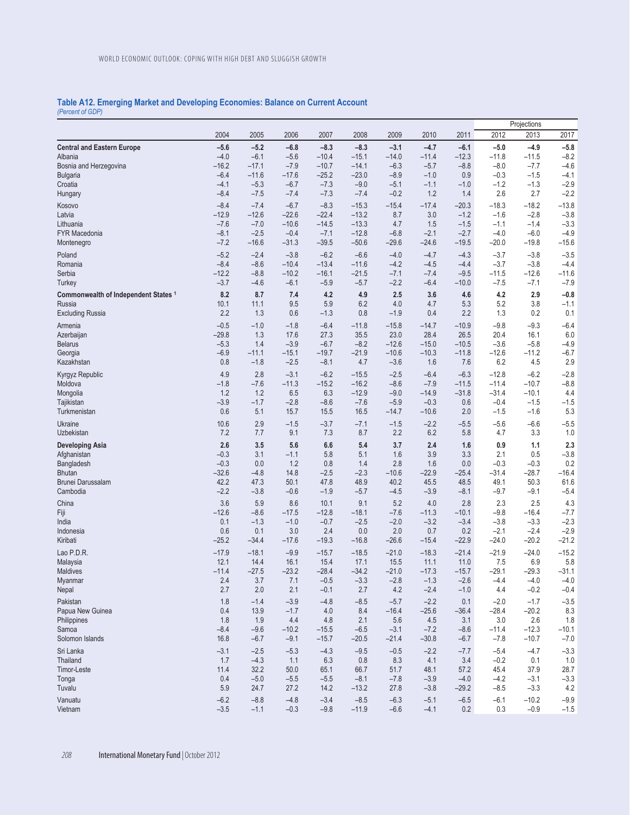### **Table A12. Emerging Market and Developing Economies: Balance on Current Account**  *(Percent of GDP)*

| Projections                                                                                                                                                                                                                                          |                   |
|------------------------------------------------------------------------------------------------------------------------------------------------------------------------------------------------------------------------------------------------------|-------------------|
| 2013<br>2012<br>2004<br>2005<br>2006<br>2007<br>2008<br>2009<br>2010<br>2011                                                                                                                                                                         | 2017              |
| $-5.6$<br>$-5.2$<br>$-6.8$<br>$-8.3$<br>$-8.3$<br>$-4.7$<br>$-6.1$<br>$-4.9$<br><b>Central and Eastern Europe</b><br>$-3.1$<br>$-5.0$                                                                                                                | $-5.8$            |
| $-4.0$<br>$-6.1$<br>$-5.6$<br>$-10.4$<br>$-14.0$<br>$-11.4$<br>$-12.3$<br>$-11.8$<br>$-11.5$<br>$-15.1$<br>Albania                                                                                                                                   | $-8.2$            |
| $-16.2$<br>$-7.9$<br>$-8.0$<br>Bosnia and Herzegovina<br>$-17.1$<br>$-10.7$<br>$-14.1$<br>$-6.3$<br>$-5.7$<br>$-8.8$<br>$-7.7$                                                                                                                       | $-4.6$            |
| $-6.4$<br>$-25.2$<br>$-23.0$<br>$-11.6$<br>$-17.6$<br>$-8.9$<br>$-1.0$<br>0.9<br>$-0.3$<br>$-1.5$<br><b>Bulgaria</b>                                                                                                                                 | $-4.1$            |
| Croatia<br>$-4.1$<br>$-5.3$<br>$-6.7$<br>$-7.3$<br>$-9.0$<br>$-5.1$<br>$-1.1$<br>$-1.0$<br>$-1.2$<br>$-1.3$                                                                                                                                          | $-2.9$            |
| $-8.4$<br>1.2<br>2.6<br>2.7<br>$-7.5$<br>$-7.4$<br>$-7.3$<br>$-7.4$<br>$-0.2$<br>1.4<br>Hungary                                                                                                                                                      | $-2.2$            |
| $-8.4$<br>$-7.4$<br>$-8.3$<br>$-6.7$<br>$-15.3$<br>$-15.4$<br>$-17.4$<br>$-20.3$<br>$-18.3$<br>$-18.2$<br>Kosovo                                                                                                                                     | $-13.8$           |
| $-12.9$<br>$-22.4$<br>$-13.2$<br>3.0<br>Latvia<br>$-12.6$<br>$-22.6$<br>8.7<br>$-1.2$<br>$-1.6$<br>$-2.8$                                                                                                                                            | $-3.8$            |
| $-7.6$<br>$-13.3$<br>$-7.0$<br>$-10.6$<br>$-14.5$<br>4.7<br>1.5<br>$-1.5$<br>$-1.1$<br>$-1.4$<br>Lithuania                                                                                                                                           | $-3.3$            |
| <b>FYR Macedonia</b><br>$-8.1$<br>$-12.8$<br>$-4.0$<br>$-2.5$<br>$-0.4$<br>$-7.1$<br>$-6.8$<br>$-2.1$<br>$-2.7$<br>$-6.0$<br>$-7.2$<br>$-16.6$<br>$-31.3$<br>$-39.5$<br>$-50.6$<br>$-29.6$<br>$-24.6$<br>$-19.5$<br>$-20.0$<br>$-19.8$<br>Montenegro | $-4.9$<br>$-15.6$ |
|                                                                                                                                                                                                                                                      |                   |
| $-5.2$<br>$-2.4$<br>$-3.8$<br>$-6.2$<br>$-6.6$<br>$-4.0$<br>$-4.7$<br>Poland<br>$-4.3$<br>$-3.7$<br>$-3.8$<br>$-8.4$<br>Romania<br>$-8.6$<br>$-10.4$<br>$-13.4$<br>$-11.6$<br>$-4.2$<br>$-4.5$<br>$-4.4$<br>$-3.7$                                   | $-3.5$<br>$-4.4$  |
| $-3.8$<br>Serbia<br>$-12.2$<br>$-10.2$<br>$-16.1$<br>$-21.5$<br>$-7.1$<br>$-8.8$<br>$-7.4$<br>$-9.5$<br>$-11.5$<br>$-12.6$                                                                                                                           | $-11.6$           |
| $-3.7$<br>$-6.1$<br>$-2.2$<br>$-6.4$<br>$-7.5$<br>$-4.6$<br>$-5.9$<br>$-5.7$<br>$-10.0$<br>$-7.1$<br><b>Turkey</b>                                                                                                                                   | $-7.9$            |
| 8.2<br>8.7<br>4.2<br>4.9<br>4.2<br>2.9<br>Commonwealth of Independent States 1<br>7.4<br>2.5<br>3.6<br>4.6                                                                                                                                           | $-0.8$            |
| 9.5<br>5.9<br>6.2<br>4.0<br>4.7<br>5.3<br>5.2<br>3.8<br>Russia<br>10.1<br>11.1                                                                                                                                                                       | $-1.1$            |
| 2.2<br>1.3<br>0.6<br>$-1.3$<br>0.8<br>0.4<br>2.2<br>1.3<br>0.2<br><b>Excluding Russia</b><br>$-1.9$                                                                                                                                                  | 0.1               |
| $-0.5$<br>$-1.0$<br>$-1.8$<br>$-11.8$<br>$-9.8$<br>$-6.4$<br>$-15.8$<br>$-14.7$<br>$-10.9$<br>$-9.3$                                                                                                                                                 | $-6.4$            |
| Armenia<br>28.4<br>$-29.8$<br>1.3<br>17.6<br>27.3<br>35.5<br>23.0<br>26.5<br>20.4<br>16.1<br>Azerbaijan                                                                                                                                              | 6.0               |
| $-6.7$<br>$-8.2$<br>$-12.6$<br>$-15.0$<br>$-10.5$<br><b>Belarus</b><br>$-5.3$<br>1.4<br>$-3.9$<br>$-3.6$<br>$-5.8$                                                                                                                                   | $-4.9$            |
| $-6.9$<br>$-21.9$<br>$-10.3$<br>$-12.6$<br>$-11.1$<br>$-15.1$<br>$-19.7$<br>$-10.6$<br>$-11.8$<br>$-11.2$<br>Georgia                                                                                                                                 | $-6.7$            |
| 0.8<br>$-2.5$<br>6.2<br>Kazakhstan<br>$-1.8$<br>$-8.1$<br>4.7<br>$-3.6$<br>1.6<br>7.6<br>4.5                                                                                                                                                         | 2.9               |
| Kyrgyz Republic<br>4.9<br>2.8<br>$-3.1$<br>$-6.2$<br>$-15.5$<br>$-2.5$<br>$-6.4$<br>$-6.3$<br>$-12.8$<br>$-6.2$                                                                                                                                      | $-2.8$            |
| $-1.8$<br>$-7.6$<br>$-11.3$<br>$-15.2$<br>$-16.2$<br>$-8.6$<br>$-7.9$<br>$-11.5$<br>$-11.4$<br>$-10.7$<br>Moldova                                                                                                                                    | $-8.8$            |
| Mongolia<br>1.2<br>1.2<br>6.5<br>6.3<br>$-12.9$<br>$-9.0$<br>$-14.9$<br>$-31.4$<br>$-10.1$<br>$-31.8$                                                                                                                                                | 4.4               |
| $-3.9$<br>$-1.7$<br>$-2.8$<br>$-7.6$<br>$-0.3$<br>0.6<br>$-0.4$<br>Tajikistan<br>$-8.6$<br>$-5.9$<br>$-1.5$                                                                                                                                          | $-1.5$            |
| Turkmenistan<br>0.6<br>5.1<br>15.7<br>15.5<br>16.5<br>$-14.7$<br>$-10.6$<br>2.0<br>$-1.5$<br>$-1.6$                                                                                                                                                  | 5.3               |
| Ukraine<br>10.6<br>2.9<br>$-3.7$<br>$-7.1$<br>$-2.2$<br>$-5.6$<br>$-6.6$<br>$-1.5$<br>$-1.5$<br>$-5.5$                                                                                                                                               | $-5.5$            |
| 7.2<br>9.1<br>7.3<br>8.7<br>2.2<br>6.2<br>3.3<br>Uzbekistan<br>7.7<br>5.8<br>4.7                                                                                                                                                                     | 1.0               |
| 2.6<br>3.5<br>5.6<br>6.6<br>5.4<br>3.7<br>2.4<br>1.6<br>0.9<br>1.1<br><b>Developing Asia</b>                                                                                                                                                         | 2.3               |
| $-0.3$<br>3.1<br>$-1.1$<br>3.9<br>3.3<br>2.1<br>Afghanistan<br>5.8<br>5.1<br>1.6<br>0.5                                                                                                                                                              | $-3.8$            |
| $-0.3$<br>0.0<br>1.2<br>0.8<br>2.8<br>1.6<br>0.0<br>$-0.3$<br>$-0.3$<br>Bangladesh<br>1.4                                                                                                                                                            | 0.2               |
| $-32.6$<br>14.8<br>$-2.5$<br>$-2.3$<br>$-22.9$<br>$-28.7$<br><b>Bhutan</b><br>$-4.8$<br>$-10.6$<br>$-25.4$<br>$-31.4$                                                                                                                                | $-16.4$           |
| 42.2<br>48.5<br>Brunei Darussalam<br>47.3<br>50.1<br>47.8<br>48.9<br>40.2<br>45.5<br>49.1<br>50.3<br>$-2.2$<br>Cambodia<br>$-3.8$<br>$-0.6$<br>$-1.9$<br>$-5.7$<br>$-4.5$<br>$-3.9$<br>$-8.1$<br>$-9.7$<br>$-9.1$                                    | 61.6<br>$-5.4$    |
|                                                                                                                                                                                                                                                      |                   |
| 3.6<br>5.9<br>8.6<br>9.1<br>5.2<br>4.0<br>2.8<br>2.3<br>2.5<br>China<br>10.1                                                                                                                                                                         | 4.3               |
| $-12.6$<br>$-8.6$<br>Fiji<br>$-17.5$<br>$-12.8$<br>$-18.1$<br>$-7.6$<br>$-11.3$<br>$-10.1$<br>$-9.8$<br>$-16.4$<br>India<br>0.1<br>$-1.3$<br>$-1.0$<br>$-0.7$<br>$-2.5$<br>$-2.0$<br>$-3.2$<br>$-3.4$<br>$-3.8$<br>$-3.3$                            | $-7.7$<br>$-2.3$  |
| 0.6<br>$-2.4$<br>Indonesia<br>0.1<br>3.0<br>2.4<br>0.0<br>2.0<br>0.7<br>0.2<br>$-2.1$                                                                                                                                                                | $-2.9$            |
| Kiribati<br>$-25.2$<br>$-34.4$<br>$-17.6$<br>$-19.3$<br>$-16.8$<br>$-26.6$<br>$-15.4$<br>$-22.9$<br>$-24.0$<br>$-20.2$                                                                                                                               | $-21.2$           |
| Lao P.D.R.<br>$-21.0$<br>$-18.3$<br>$-21.4$<br>$-24.0$<br>$-17.9$<br>$-18.1$<br>$-9.9$<br>$-15.7$<br>$-18.5$<br>$-21.9$                                                                                                                              | $-15.2$           |
| 12.1<br>14.4<br>16.1<br>15.4<br>17.1<br>15.5<br>11.1<br>11.0<br>7.5<br>6.9<br>Malaysia                                                                                                                                                               | 5.8               |
| $-29.1$<br>$-11.4$<br>$-27.5$<br>$-23.2$<br>$-28.4$<br>$-34.2$<br>$-21.0$<br>$-17.3$<br>$-15.7$<br>$-29.3$<br><b>Maldives</b>                                                                                                                        | $-31.1$           |
| $-2.6$<br>2.4<br>3.7<br>$-0.5$<br>$-3.3$<br>$-2.8$<br>7.1<br>$-1.3$<br>$-4.4$<br>$-4.0$<br>Myanmar                                                                                                                                                   | $-4.0$            |
| 2.7<br>2.1<br>2.7<br>$-0.2$<br>Nepal<br>2.0<br>$-0.1$<br>4.2<br>$-2.4$<br>$-1.0$<br>4.4                                                                                                                                                              | $-0.4$            |
| 1.8<br>$-1.4$<br>$-3.9$<br>$-4.8$<br>$-8.5$<br>$-2.2$<br>$-2.0$<br>$-1.7$<br>Pakistan<br>$-5.7$<br>0.1                                                                                                                                               | $-3.5$            |
| Papua New Guinea<br>0.4<br>13.9<br>$-1.7$<br>4.0<br>$-16.4$<br>$-28.4$<br>$-20.2$<br>8.4<br>$-25.6$<br>$-36.4$                                                                                                                                       | 8.3               |
| 1.8<br>4.4<br>3.0<br>Philippines<br>1.9<br>4.8<br>2.1<br>5.6<br>4.5<br>3.1<br>2.6                                                                                                                                                                    | 1.8               |
| $-8.4$<br>$-9.6$<br>$-10.2$<br>$-12.3$<br>Samoa<br>$-15.5$<br>$-6.5$<br>$-3.1$<br>$-7.2$<br>$-11.4$<br>$-8.6$                                                                                                                                        |                   |
| Solomon Islands<br>16.8<br>$-6.7$<br>$-9.1$<br>$-15.7$<br>$-30.8$<br>$-7.8$<br>$-10.7$<br>$-20.5$<br>$-21.4$<br>$-6.7$                                                                                                                               | $-10.1$           |
| Sri Lanka<br>$-3.1$<br>$-4.3$<br>$-2.2$<br>$-2.5$<br>$-5.3$<br>$-9.5$<br>$-0.5$<br>$-7.7$<br>$-5.4$<br>$-4.7$                                                                                                                                        | $-7.0$            |
|                                                                                                                                                                                                                                                      | $-3.3$            |
| 1.7<br>$-4.3$<br>6.3<br>0.8<br>8.3<br>4.1<br>$-0.2$<br>Thailand<br>1.1<br>3.4<br>0.1                                                                                                                                                                 | 1.0               |
| 11.4<br>32.2<br>Timor-Leste<br>50.0<br>65.1<br>66.7<br>51.7<br>48.1<br>57.2<br>45.4<br>37.9                                                                                                                                                          | 28.7              |
| 0.4<br>$-5.0$<br>$-4.2$<br>Tonga<br>$-5.5$<br>$-5.5$<br>$-8.1$<br>$-7.8$<br>$-3.9$<br>$-4.0$<br>$-3.1$                                                                                                                                               | $-3.3$            |
| 5.9<br>Tuvalu<br>24.7<br>27.2<br>14.2<br>$-13.2$<br>27.8<br>$-3.8$<br>$-29.2$<br>$-8.5$<br>$-3.3$<br>Vanuatu<br>$-6.2$<br>$-4.8$<br>$-3.4$<br>$-8.5$<br>$-6.5$<br>$-6.1$<br>$-8.8$<br>$-6.3$<br>$-5.1$<br>$-10.2$                                    | 4.2<br>$-9.9$     |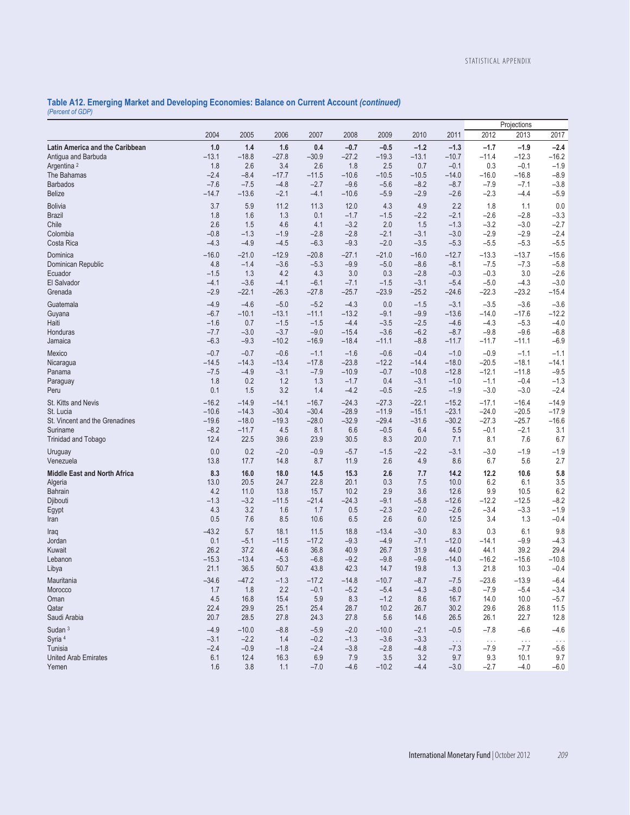### **Table A12. Emerging Market and Developing Economies: Balance on Current Account** *(continued) (Percent of GDP)*

|                                     |         |         |         |         |         |         |         |          |          | Projections |               |
|-------------------------------------|---------|---------|---------|---------|---------|---------|---------|----------|----------|-------------|---------------|
|                                     | 2004    | 2005    | 2006    | 2007    | 2008    | 2009    | 2010    | 2011     | 2012     | 2013        | 2017          |
| Latin America and the Caribbean     | 1.0     | 1.4     | 1.6     | 0.4     | $-0.7$  | $-0.5$  | $-1.2$  | $-1.3$   | $-1.7$   | $-1.9$      | $-2.4$        |
| Antigua and Barbuda                 | $-13.1$ | $-18.8$ | $-27.8$ | $-30.9$ | $-27.2$ | $-19.3$ | $-13.1$ | $-10.7$  | $-11.4$  | $-12.3$     | $-16.2$       |
| Argentina <sup>2</sup>              | 1.8     | 2.6     | 3.4     | 2.6     | 1.8     | 2.5     | 0.7     | $-0.1$   | 0.3      | $-0.1$      | $-1.9$        |
| The Bahamas                         | $-2.4$  | $-8.4$  | $-17.7$ | $-11.5$ | $-10.6$ | $-10.5$ | $-10.5$ | $-14.0$  | $-16.0$  | $-16.8$     | $-8.9$        |
| <b>Barbados</b>                     | $-7.6$  | $-7.5$  | $-4.8$  | $-2.7$  | $-9.6$  | $-5.6$  | $-8.2$  | $-8.7$   | $-7.9$   | $-7.1$      | $-3.8$        |
| <b>Belize</b>                       | $-14.7$ | $-13.6$ | $-2.1$  | $-4.1$  | $-10.6$ | $-5.9$  | $-2.9$  | $-2.6$   | $-2.3$   | $-4.4$      | $-5.9$        |
| <b>Bolivia</b>                      | 3.7     | 5.9     | 11.2    | 11.3    | 12.0    | 4.3     | 4.9     | 2.2      | 1.8      | 1.1         | $0.0$         |
| <b>Brazil</b>                       | 1.8     | 1.6     | 1.3     | 0.1     | $-1.7$  | $-1.5$  | $-2.2$  | $-2.1$   | $-2.6$   | $-2.8$      | $-3.3$        |
| Chile                               | 2.6     | 1.5     | 4.6     | 4.1     | $-3.2$  | 2.0     | 1.5     | $-1.3$   | $-3.2$   | $-3.0$      | $-2.7$        |
| Colombia                            | $-0.8$  | $-1.3$  | $-1.9$  | $-2.8$  | $-2.8$  | $-2.1$  | $-3.1$  | $-3.0$   | $-2.9$   | $-2.9$      | $-2.4$        |
| Costa Rica                          | $-4.3$  | $-4.9$  | $-4.5$  | $-6.3$  | $-9.3$  | $-2.0$  | $-3.5$  | $-5.3$   | $-5.5$   | $-5.3$      | $-5.5$        |
| Dominica                            | $-16.0$ | $-21.0$ | $-12.9$ | $-20.8$ | $-27.1$ | $-21.0$ | $-16.0$ | $-12.7$  | $-13.3$  | $-13.7$     | $-15.6$       |
| Dominican Republic                  | 4.8     | $-1.4$  | $-3.6$  | $-5.3$  | $-9.9$  | $-5.0$  | $-8.6$  | $-8.1$   | $-7.5$   | $-7.3$      | $-5.8$        |
| Ecuador                             | $-1.5$  | 1.3     | 4.2     | 4.3     | 3.0     | 0.3     | $-2.8$  | $-0.3$   | $-0.3$   | 3.0         | $-2.6$        |
| El Salvador                         | $-4.1$  | $-3.6$  | $-4.1$  | $-6.1$  | $-7.1$  | $-1.5$  | $-3.1$  | $-5.4$   | $-5.0$   | $-4.3$      | $-3.0$        |
| Grenada                             | $-2.9$  | $-22.1$ | $-26.3$ | $-27.8$ | $-25.7$ | $-23.9$ | $-25.2$ | $-24.6$  | $-22.3$  | $-23.2$     | $-15.4$       |
| Guatemala                           | $-4.9$  | $-4.6$  | $-5.0$  | $-5.2$  | $-4.3$  | 0.0     | $-1.5$  | $-3.1$   | $-3.5$   | $-3.6$      | $-3.6$        |
| Guyana                              | $-6.7$  | $-10.1$ | $-13.1$ | $-11.1$ | $-13.2$ | $-9.1$  | $-9.9$  | $-13.6$  | $-14.0$  | $-17.6$     | $-12.2$       |
| Haiti                               | $-1.6$  | 0.7     | $-1.5$  | $-1.5$  | $-4.4$  | $-3.5$  | $-2.5$  | $-4.6$   | $-4.3$   | $-5.3$      | $-4.0$        |
| Honduras                            | $-7.7$  | $-3.0$  | $-3.7$  | $-9.0$  | $-15.4$ | $-3.6$  | $-6.2$  | $-8.7$   | $-9.8$   | $-9.6$      | $-6.8$        |
| Jamaica                             | $-6.3$  | $-9.3$  | $-10.2$ | $-16.9$ | $-18.4$ | $-11.1$ | $-8.8$  | $-11.7$  | $-11.7$  | $-11.1$     | $-6.9$        |
| Mexico                              | $-0.7$  | $-0.7$  | $-0.6$  | $-1.1$  | $-1.6$  | $-0.6$  | $-0.4$  | $-1.0$   | $-0.9$   | $-1.1$      | $-1.1$        |
| Nicaragua                           | $-14.5$ | $-14.3$ | $-13.4$ | $-17.8$ | $-23.8$ | $-12.2$ | $-14.4$ | $-18.0$  | $-20.5$  | $-18.1$     | $-14.1$       |
| Panama                              | $-7.5$  | $-4.9$  | $-3.1$  | $-7.9$  | $-10.9$ | $-0.7$  | $-10.8$ | $-12.8$  | $-12.1$  | $-11.8$     | $-9.5$        |
| Paraguay                            | 1.8     | 0.2     | 1.2     | 1.3     | $-1.7$  | 0.4     | $-3.1$  | $-1.0$   | $-1.1$   | $-0.4$      | $-1.3$        |
| Peru                                | 0.1     | 1.5     | 3.2     | 1.4     | $-4.2$  | $-0.5$  | $-2.5$  | $-1.9$   | $-3.0$   | $-3.0$      | $-2.4$        |
| St. Kitts and Nevis                 | $-16.2$ | $-14.9$ | $-14.1$ | $-16.7$ | $-24.3$ | $-27.3$ | $-22.1$ | $-15.2$  | $-17.1$  | $-16.4$     | $-14.9$       |
| St. Lucia                           | $-10.6$ | $-14.3$ | $-30.4$ | $-30.4$ | $-28.9$ | $-11.9$ | $-15.1$ | $-23.1$  | $-24.0$  | $-20.5$     | $-17.9$       |
| St. Vincent and the Grenadines      | $-19.6$ | $-18.0$ | $-19.3$ | $-28.0$ | $-32.9$ | $-29.4$ | $-31.6$ | $-30.2$  | $-27.3$  | $-25.7$     | $-16.6$       |
| Suriname                            | $-8.2$  | $-11.7$ | 4.5     | 8.1     | 6.6     | $-0.5$  | 6.4     | 5.5      | $-0.1$   | $-2.1$      | 3.1           |
| Trinidad and Tobago                 | 12.4    | 22.5    | 39.6    | 23.9    | 30.5    | 8.3     | 20.0    | 7.1      | 8.1      | 7.6         | 6.7           |
| Uruguay                             | 0.0     | 0.2     | $-2.0$  | $-0.9$  | $-5.7$  | $-1.5$  | $-2.2$  | $-3.1$   | $-3.0$   | $-1.9$      | $-1.9$        |
| Venezuela                           | 13.8    | 17.7    | 14.8    | 8.7     | 11.9    | 2.6     | 4.9     | 8.6      | 6.7      | 5.6         | 2.7           |
| <b>Middle East and North Africa</b> | 8.3     | 16.0    | 18.0    | 14.5    | 15.3    | 2.6     | 7.7     | 14.2     | 12.2     | 10.6        | 5.8           |
| Algeria                             | 13.0    | 20.5    | 24.7    | 22.8    | 20.1    | 0.3     | 7.5     | 10.0     | 6.2      | 6.1         | 3.5           |
| Bahrain                             | 4.2     | 11.0    | 13.8    | 15.7    | 10.2    | 2.9     | 3.6     | 12.6     | 9.9      | 10.5        | 6.2           |
| Djibouti                            | $-1.3$  | $-3.2$  | $-11.5$ | $-21.4$ | $-24.3$ | $-9.1$  | $-5.8$  | $-12.6$  | $-12.2$  | $-12.5$     | $-8.2$        |
| Egypt                               | 4.3     | 3.2     | 1.6     | 1.7     | 0.5     | $-2.3$  | $-2.0$  | $-2.6$   | $-3.4$   | $-3.3$      | $-1.9$        |
| Iran                                | 0.5     | 7.6     | 8.5     | 10.6    | 6.5     | 2.6     | 6.0     | 12.5     | 3.4      | 1.3         | $-0.4$        |
| Iraq                                | $-43.2$ | 5.7     | 18.1    | 11.5    | 18.8    | $-13.4$ | $-3.0$  | 8.3      | 0.3      | 6.1         | 9.8           |
| Jordan                              | 0.1     | $-5.1$  | $-11.5$ | $-17.2$ | $-9.3$  | $-4.9$  | $-7.1$  | $-12.0$  | $-14.1$  | $-9.9$      | $-4.3$        |
| Kuwait                              | 26.2    | 37.2    | 44.6    | 36.8    | 40.9    | 26.7    | 31.9    | 44.0     | 44.1     | 39.2        | 29.4          |
| Lebanon                             | $-15.3$ | $-13.4$ | $-5.3$  | $-6.8$  | $-9.2$  | $-9.8$  | $-9.6$  | $-14.0$  | $-16.2$  | $-15.6$     | $-10.8$       |
| Libya                               | 21.1    | 36.5    | 50.7    | 43.8    | 42.3    | 14.7    | 19.8    | 1.3      | 21.8     | 10.3        | $-0.4$        |
| Mauritania                          | $-34.6$ | $-47.2$ | $-1.3$  | $-17.2$ | $-14.8$ | $-10.7$ | $-8.7$  | $-7.5$   | $-23.6$  | $-13.9$     | $-6.4$        |
| Morocco                             | 1.7     | 1.8     | 2.2     | $-0.1$  | $-5.2$  | $-5.4$  | $-4.3$  | $-8.0$   | $-7.9$   | $-5.4$      | $-3.4$        |
| Oman                                | 4.5     | 16.8    | 15.4    | 5.9     | 8.3     | $-1.2$  | 8.6     | 16.7     | 14.0     | 10.0        | $-5.7$        |
| Qatar                               | 22.4    | 29.9    | 25.1    | 25.4    | 28.7    | 10.2    | 26.7    | 30.2     | 29.6     | 26.8        | 11.5          |
| Saudi Arabia                        | 20.7    | 28.5    | 27.8    | 24.3    | 27.8    | 5.6     | 14.6    | 26.5     | 26.1     | 22.7        | 12.8          |
| Sudan <sup>3</sup>                  | $-4.9$  | $-10.0$ | $-8.8$  | $-5.9$  | $-2.0$  | $-10.0$ | $-2.1$  | $-0.5$   | $-7.8$   | $-6.6$      | $-4.6$        |
| Syria <sup>4</sup>                  | $-3.1$  | $-2.2$  | 1.4     | $-0.2$  | $-1.3$  | $-3.6$  | $-3.3$  | $\ldots$ | $\sim$ . | $\ldots$    | $\sim$ $\sim$ |
| Tunisia                             | $-2.4$  | $-0.9$  | $-1.8$  | $-2.4$  | $-3.8$  | $-2.8$  | $-4.8$  | $-7.3$   | $-7.9$   | $-7.7$      | $-5.6$        |
| United Arab Emirates                | 6.1     | 12.4    | 16.3    | 6.9     | 7.9     | 3.5     | 3.2     | 9.7      | 9.3      | 10.1        | 9.7           |
| Yemen                               | 1.6     | 3.8     | 1.1     | $-7.0$  | $-4.6$  | $-10.2$ | $-4.4$  | $-3.0$   | $-2.7$   | $-4.0$      | $-6.0$        |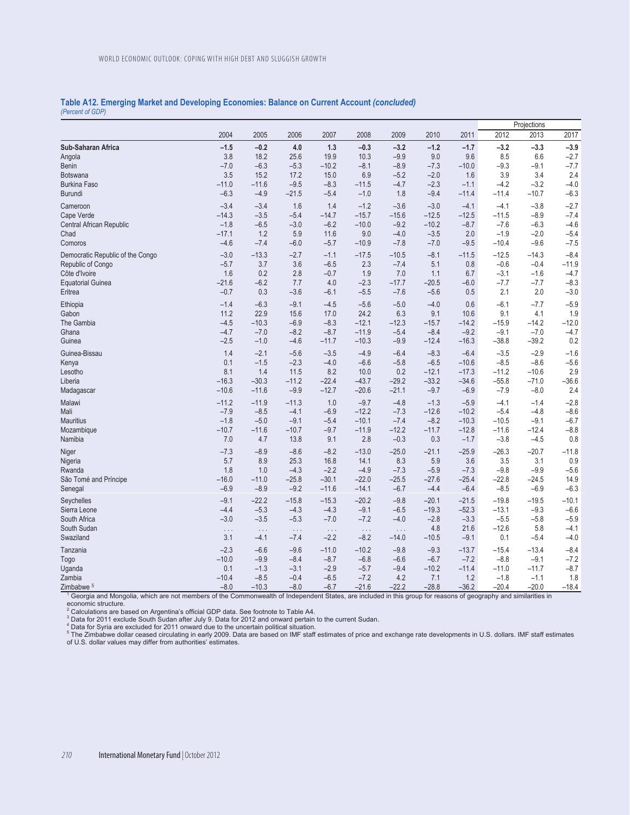## **Table A12. Emerging Market and Developing Economies: Balance on Current Account** *(concluded) (Percent of GDP)*

|                                  |          |           |           |          |          |          |         |         |         | Projections |         |
|----------------------------------|----------|-----------|-----------|----------|----------|----------|---------|---------|---------|-------------|---------|
|                                  | 2004     | 2005      | 2006      | 2007     | 2008     | 2009     | 2010    | 2011    | 2012    | 2013        | 2017    |
| Sub-Saharan Africa               | $-1.5$   | $-0.2$    | 4.0       | 1.3      | $-0.3$   | $-3.2$   | $-1.2$  | $-1.7$  | $-3.2$  | $-3.3$      | $-3.9$  |
| Angola                           | 3.8      | 18.2      | 25.6      | 19.9     | 10.3     | $-9.9$   | 9.0     | 9.6     | 8.5     | 6.6         | $-2.7$  |
| Benin                            | $-7.0$   | $-6.3$    | $-5.3$    | $-10.2$  | $-8.1$   | $-8.9$   | $-7.3$  | $-10.0$ | $-9.3$  | $-9.1$      | $-7.7$  |
| <b>Botswana</b>                  | 3.5      | 15.2      | 17.2      | 15.0     | 6.9      | $-5.2$   | $-2.0$  | 1.6     | 3.9     | 3.4         | 2.4     |
| <b>Burkina Faso</b>              | $-11.0$  | $-11.6$   | $-9.5$    | $-8.3$   | $-11.5$  | $-4.7$   | $-2.3$  | $-1.1$  | $-4.2$  | $-3.2$      | $-4.0$  |
| Burundi                          | $-6.3$   | $-4.9$    | $-21.5$   | $-5.4$   | $-1.0$   | 1.8      | $-9.4$  | $-11.4$ | $-11.4$ | $-10.7$     | $-6.3$  |
| Cameroon                         | $-3.4$   | $-3.4$    | 1.6       | 1.4      | $-1.2$   | $-3.6$   | $-3.0$  | $-4.1$  | $-4.1$  | $-3.8$      | $-2.7$  |
| Cape Verde                       | $-14.3$  | $-3.5$    | $-5.4$    | $-14.7$  | $-15.7$  | $-15.6$  | $-12.5$ | $-12.5$ | $-11.5$ | $-8.9$      | $-7.4$  |
| Central African Republic         | $-1.8$   | $-6.5$    | $-3.0$    | $-6.2$   | $-10.0$  | $-9.2$   | $-10.2$ | $-8.7$  | $-7.6$  | $-6.3$      | $-4.6$  |
| Chad                             | $-17.1$  | 1.2       | 5.9       | 11.6     | 9.0      | $-4.0$   | $-3.5$  | 2.0     | $-1.9$  | $-2.0$      | $-5.4$  |
| Comoros                          | $-4.6$   | $-7.4$    | $-6.0$    | $-5.7$   | $-10.9$  | $-7.8$   | $-7.0$  | $-9.5$  | $-10.4$ | $-9.6$      | $-7.5$  |
| Democratic Republic of the Congo | $-3.0$   | $-13.3$   | $-2.7$    | $-1.1$   | $-17.5$  | $-10.5$  | $-8.1$  | $-11.5$ | $-12.5$ | $-14.3$     | $-8.4$  |
| Republic of Congo                | $-5.7$   | 3.7       | 3.6       | $-6.5$   | 2.3      | $-7.4$   | 5.1     | 0.8     | $-0.6$  | $-0.4$      | $-11.9$ |
| Côte d'Ivoire                    | 1.6      | 0.2       | 2.8       | $-0.7$   | 1.9      | 7.0      | 1.1     | 6.7     | $-3.1$  | $-1.6$      | $-4.7$  |
| <b>Equatorial Guinea</b>         | $-21.6$  | $-6.2$    | 7.7       | 4.0      | $-2.3$   | $-17.7$  | $-20.5$ | $-6.0$  | $-7.7$  | $-7.7$      | $-8.3$  |
| Eritrea                          | $-0.7$   | 0.3       | $-3.6$    | $-6.1$   | $-5.5$   | $-7.6$   | $-5.6$  | 0.5     | 2.1     | 2.0         | $-3.0$  |
| Ethiopia                         | $-1.4$   | $-6.3$    | $-9.1$    | $-4.5$   | $-5.6$   | $-5.0$   | $-4.0$  | 0.6     | $-6.1$  | $-7.7$      | $-5.9$  |
| Gabon                            | 11.2     | 22.9      | 15.6      | 17.0     | 24.2     | 6.3      | 9.1     | 10.6    | 9.1     | 4.1         | 1.9     |
| The Gambia                       | $-4.5$   | $-10.3$   | $-6.9$    | $-8.3$   | $-12.1$  | $-12.3$  | $-15.7$ | $-14.2$ | $-15.9$ | $-14.2$     | $-12.0$ |
| Ghana                            | $-4.7$   | $-7.0$    | $-8.2$    | $-8.7$   | $-11.9$  | $-5.4$   | $-8.4$  | $-9.2$  | $-9.1$  | $-7.0$      | $-4.7$  |
| Guinea                           | $-2.5$   | $-1.0$    | $-4.6$    | $-11.7$  | $-10.3$  | $-9.9$   | $-12.4$ | $-16.3$ | $-38.8$ | $-39.2$     | 0.2     |
| Guinea-Bissau                    | 1.4      | $-2.1$    | $-5.6$    | $-3.5$   | $-4.9$   | $-6.4$   | $-8.3$  | $-6.4$  | $-3.5$  | $-2.9$      | $-1.6$  |
| Kenya                            | 0.1      | $-1.5$    | $-2.3$    | $-4.0$   | $-6.6$   | $-5.8$   | $-6.5$  | $-10.6$ | $-8.5$  | $-8.6$      | $-5.6$  |
| Lesotho                          | 8.1      | 1.4       | 11.5      | 8.2      | 10.0     | 0.2      | $-12.1$ | $-17.3$ | $-11.2$ | $-10.6$     | 2.9     |
| Liberia                          | $-16.3$  | $-30.3$   | $-11.2$   | $-22.4$  | $-43.7$  | $-29.2$  | $-33.2$ | $-34.6$ | $-55.8$ | $-71.0$     | $-36.6$ |
| Madagascar                       | $-10.6$  | $-11.6$   | $-9.9$    | $-12.7$  | $-20.6$  | $-21.1$  | $-9.7$  | $-6.9$  | $-7.9$  | $-8.0$      | 2.4     |
| Malawi                           | $-11.2$  | $-11.9$   | $-11.3$   | 1.0      | $-9.7$   | $-4.8$   | $-1.3$  | $-5.9$  | $-4.1$  | $-1.4$      | $-2.8$  |
| Mali                             | $-7.9$   | $-8.5$    | $-4.1$    | $-6.9$   | $-12.2$  | $-7.3$   | $-12.6$ | $-10.2$ | $-5.4$  | $-4.8$      | $-8.6$  |
| <b>Mauritius</b>                 | $-1.8$   | $-5.0$    | $-9.1$    | $-5.4$   | $-10.1$  | $-7.4$   | $-8.2$  | $-10.3$ | $-10.5$ | $-9.1$      | $-6.7$  |
| Mozambique                       | $-10.7$  | $-11.6$   | $-10.7$   | $-9.7$   | $-11.9$  | $-12.2$  | $-11.7$ | $-12.8$ | $-11.6$ | $-12.4$     | $-8.8$  |
| Namibia                          | 7.0      | 4.7       | 13.8      | 9.1      | 2.8      | $-0.3$   | 0.3     | $-1.7$  | $-3.8$  | $-4.5$      | 0.8     |
| Niger                            | $-7.3$   | $-8.9$    | $-8.6$    | $-8.2$   | $-13.0$  | $-25.0$  | $-21.1$ | $-25.9$ | $-26.3$ | $-20.7$     | $-11.8$ |
| Nigeria                          | 5.7      | 8.9       | 25.3      | 16.8     | 14.1     | 8.3      | 5.9     | 3.6     | 3.5     | 3.1         | 0.9     |
| Rwanda                           | 1.8      | 1.0       | $-4.3$    | $-2.2$   | $-4.9$   | $-7.3$   | $-5.9$  | $-7.3$  | $-9.8$  | $-9.9$      | $-5.6$  |
| São Tomé and Príncipe            | $-16.0$  | $-11.0$   | $-25.8$   | $-30.1$  | $-22.0$  | $-25.5$  | $-27.6$ | $-25.4$ | $-22.8$ | $-24.5$     | 14.9    |
| Senegal                          | $-6.9$   | $-8.9$    | $-9.2$    | $-11.6$  | $-14.1$  | $-6.7$   | $-4.4$  | $-6.4$  | $-8.5$  | $-6.9$      | $-6.3$  |
| Seychelles                       | $-9.1$   | $-22.2$   | $-15.8$   | $-15.3$  | $-20.2$  | $-9.8$   | $-20.1$ | $-21.5$ | $-19.8$ | $-19.5$     | $-10.1$ |
| Sierra Leone                     | $-4.4$   | $-5.3$    | $-4.3$    | $-4.3$   | $-9.1$   | $-6.5$   | $-19.3$ | $-52.3$ | $-13.1$ | $-9.3$      | $-6.6$  |
| South Africa                     | $-3.0$   | $-3.5$    | $-5.3$    | $-7.0$   | $-7.2$   | $-4.0$   | $-2.8$  | $-3.3$  | $-5.5$  | $-5.8$      | $-5.9$  |
| South Sudan                      | $\ldots$ | $\sim 10$ | $\sim 10$ | $\ldots$ | $\ldots$ | $\ldots$ | 4.8     | 21.6    | $-12.6$ | 5.8         | $-4.1$  |
| Swaziland                        | 3.1      | $-4.1$    | $-7.4$    | $-2.2$   | $-8.2$   | $-14.0$  | $-10.5$ | $-9.1$  | 0.1     | $-5.4$      | $-4.0$  |
| Tanzania                         | $-2.3$   | $-6.6$    | $-9.6$    | $-11.0$  | $-10.2$  | $-9.8$   | $-9.3$  | $-13.7$ | $-15.4$ | $-13.4$     | $-8.4$  |
| Togo                             | $-10.0$  | $-9.9$    | $-8.4$    | $-8.7$   | $-6.8$   | $-6.6$   | $-6.7$  | $-7.2$  | $-8.8$  | $-9.1$      | $-7.2$  |
| Uganda                           | 0.1      | $-1.3$    | $-3.1$    | $-2.9$   | $-5.7$   | $-9.4$   | $-10.2$ | $-11.4$ | $-11.0$ | $-11.7$     | $-8.7$  |
| Zambia                           | $-10.4$  | $-8.5$    | $-0.4$    | $-6.5$   | $-7.2$   | 4.2      | 7.1     | 1.2     | $-1.8$  | $-1.1$      | 1.8     |
| 7imbabwe 5                       | $-8.0$   | $-10.3$   | $-8.0$    | $-67$    | $-216$   | $-222$   | $-288$  | $-362$  | $-20.4$ | $-200$      | $-184$  |

 $\frac{2 \text{imbabwe}}{1}$  =  $\frac{20.0}{20.0}$  =  $\frac{10.3}{10.3}$  =  $\frac{30}{10.3}$  =  $\frac{30}{10.3}$  =  $\frac{30.0}{10.3}$  =  $\frac{30.0}{10.3}$  =  $\frac{30.0}{10.3}$  =  $\frac{30.0}{10.3}$  =  $\frac{30.0}{10.3}$  =  $\frac{30.0}{10.3}$  =  $\frac{30.0}{10.3}$  =  $\frac{30.$ 

economic structure.<br><sup>2</sup> Calculations are based on Argentina's official GDP data. See footnote to Table A4.<br><sup>2</sup> Data for 2011 exclude South Sudan after July 9. Data for 2012 and onward pertain to the current Sudan.<br><sup>4</sup> Data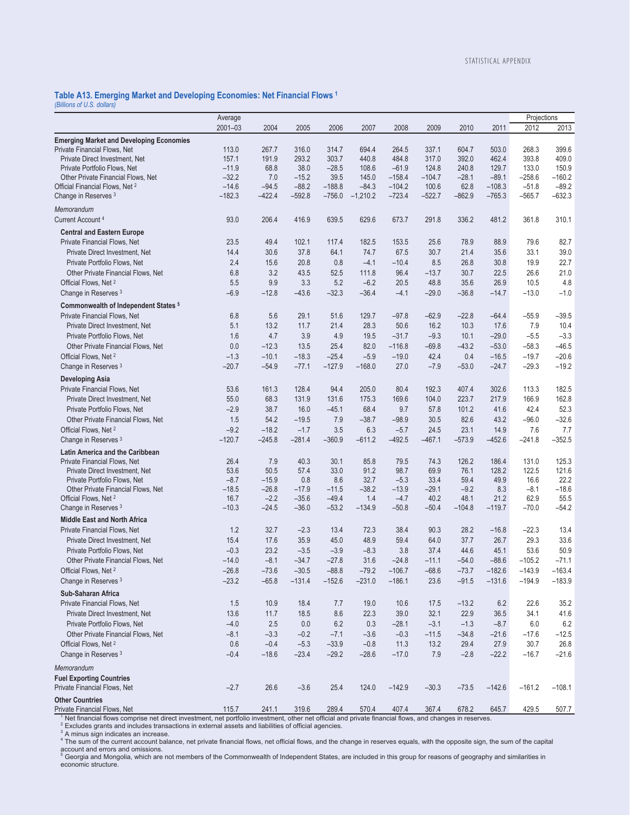## **Table A13. Emerging Market and Developing Economies: Net Financial Flows 1**

*(Billions of U.S. dollars)* 

|                                                                                                                                                                                                                                                                                                                                                       | Average         |                   |                    |                    |                |                   |                 |                |             | Projections    |                 |
|-------------------------------------------------------------------------------------------------------------------------------------------------------------------------------------------------------------------------------------------------------------------------------------------------------------------------------------------------------|-----------------|-------------------|--------------------|--------------------|----------------|-------------------|-----------------|----------------|-------------|----------------|-----------------|
|                                                                                                                                                                                                                                                                                                                                                       | $2001 - 03$     | 2004              | 2005               | 2006               | 2007           | 2008              | 2009            | 2010           | 2011        | 2012           | 2013            |
| <b>Emerging Market and Developing Economies</b>                                                                                                                                                                                                                                                                                                       |                 |                   |                    |                    |                |                   |                 |                |             |                |                 |
| Private Financial Flows, Net                                                                                                                                                                                                                                                                                                                          | 113.0           | 267.7             | 316.0              | 314.7              | 694.4          | 264.5             | 337.1           | 604.7          | 503.0       | 268.3          | 399.6           |
| Private Direct Investment, Net                                                                                                                                                                                                                                                                                                                        | 157.1           | 191.9             | 293.2              | 303.7              | 440.8          | 484.8             | 317.0           | 392.0          | 462.4       | 393.8          | 409.0           |
| Private Portfolio Flows, Net                                                                                                                                                                                                                                                                                                                          | $-11.9$         | 68.8              | 38.0               | $-28.5$            | 108.6          | $-61.9$           | 124.8           | 240.8          | 129.7       | 133.0          | 150.9           |
| Other Private Financial Flows, Net                                                                                                                                                                                                                                                                                                                    | $-32.2$         | 7.0               | $-15.2$            | 39.5               | 145.0          | $-158.4$          | $-104.7$        | $-28.1$        | $-89.1$     | $-258.6$       | $-160.2$        |
| Official Financial Flows, Net <sup>2</sup>                                                                                                                                                                                                                                                                                                            | $-14.6$         | $-94.5$           | $-88.2$            | $-188.8$           | $-84.3$        | $-104.2$          | 100.6           | 62.8           | $-108.3$    | $-51.8$        | $-89.2$         |
| Change in Reserves <sup>3</sup>                                                                                                                                                                                                                                                                                                                       | $-182.3$        | $-422.4$          | $-592.8$           | $-756.0$           | $-1,210.2$     | $-723.4$          | $-522.7$        | $-862.9$       | $-765.3$    | $-565.7$       | $-632.3$        |
| Memorandum                                                                                                                                                                                                                                                                                                                                            |                 |                   |                    |                    |                |                   |                 |                |             |                |                 |
| Current Account <sup>4</sup>                                                                                                                                                                                                                                                                                                                          | 93.0            | 206.4             | 416.9              | 639.5              | 629.6          | 673.7             | 291.8           | 336.2          | 481.2       | 361.8          | 310.1           |
| <b>Central and Eastern Europe</b>                                                                                                                                                                                                                                                                                                                     |                 |                   |                    |                    |                |                   |                 |                |             |                |                 |
| Private Financial Flows, Net                                                                                                                                                                                                                                                                                                                          | 23.5            | 49.4              | 102.1              | 117.4              | 182.5          | 153.5             | 25.6            | 78.9           | 88.9        | 79.6           | 82.7            |
| Private Direct Investment, Net                                                                                                                                                                                                                                                                                                                        | 14.4            | 30.6              | 37.8               | 64.1               | 74.7           | 67.5              | 30.7            | 21.4           | 35.6        | 33.1           | 39.0            |
| Private Portfolio Flows, Net                                                                                                                                                                                                                                                                                                                          | 2.4             | 15.6              | 20.8               | 0.8                | $-4.1$         | $-10.4$           | 8.5             | 26.8           | 30.8        | 19.9           | 22.7            |
| Other Private Financial Flows, Net                                                                                                                                                                                                                                                                                                                    | 6.8             | 3.2               | 43.5               | 52.5               | 111.8          | 96.4              | $-13.7$         | 30.7           | 22.5        | 26.6           | 21.0            |
| Official Flows, Net <sup>2</sup>                                                                                                                                                                                                                                                                                                                      | 5.5             | 9.9               | 3.3                | 5.2                | $-6.2$         | 20.5              | 48.8            | 35.6           | 26.9        | 10.5           | 4.8             |
| Change in Reserves <sup>3</sup>                                                                                                                                                                                                                                                                                                                       | $-6.9$          | $-12.8$           | $-43.6$            | $-32.3$            | $-36.4$        | $-4.1$            | $-29.0$         | $-36.8$        | $-14.7$     | $-13.0$        | $-1.0$          |
| Commonwealth of Independent States <sup>5</sup>                                                                                                                                                                                                                                                                                                       |                 |                   |                    |                    |                |                   |                 |                |             |                |                 |
| Private Financial Flows, Net                                                                                                                                                                                                                                                                                                                          | 6.8             | 5.6               | 29.1               | 51.6               | 129.7          | $-97.8$           | $-62.9$         | $-22.8$        | $-64.4$     | $-55.9$        | $-39.5$         |
| Private Direct Investment, Net                                                                                                                                                                                                                                                                                                                        | 5.1             | 13.2              | 11.7               | 21.4               | 28.3           | 50.6              | 16.2            | 10.3           | 17.6        | 7.9            | 10.4            |
| Private Portfolio Flows, Net                                                                                                                                                                                                                                                                                                                          | 1.6             | 4.7               | 3.9                | 4.9                | 19.5           | $-31.7$           | $-9.3$          | 10.1           | $-29.0$     | $-5.5$         | $-3.3$          |
| Other Private Financial Flows, Net                                                                                                                                                                                                                                                                                                                    | 0.0             | $-12.3$           | 13.5               | 25.4               | 82.0           | $-116.8$          | $-69.8$         | $-43.2$        | $-53.0$     | $-58.3$        | $-46.5$         |
| Official Flows, Net <sup>2</sup>                                                                                                                                                                                                                                                                                                                      | $-1.3$          | $-10.1$           | $-18.3$            | $-25.4$            | $-5.9$         | $-19.0$           | 42.4            | 0.4            | $-16.5$     | $-19.7$        | $-20.6$         |
| Change in Reserves <sup>3</sup>                                                                                                                                                                                                                                                                                                                       | $-20.7$         | $-54.9$           | $-77.1$            | $-127.9$           | $-168.0$       | 27.0              | $-7.9$          | $-53.0$        | $-24.7$     | $-29.3$        | $-19.2$         |
| <b>Developing Asia</b>                                                                                                                                                                                                                                                                                                                                |                 |                   |                    |                    |                |                   |                 |                |             |                |                 |
| Private Financial Flows, Net                                                                                                                                                                                                                                                                                                                          | 53.6            | 161.3             | 128.4              | 94.4               | 205.0          | 80.4              | 192.3           | 407.4          | 302.6       | 113.3          | 182.5           |
| Private Direct Investment, Net                                                                                                                                                                                                                                                                                                                        | 55.0            | 68.3              | 131.9              | 131.6              | 175.3          | 169.6             | 104.0           | 223.7          | 217.9       | 166.9          | 162.8           |
| Private Portfolio Flows, Net                                                                                                                                                                                                                                                                                                                          | $-2.9$          | 38.7              | 16.0               | $-45.1$            | 68.4           | 9.7               | 57.8            | 101.2          | 41.6        | 42.4           | 52.3            |
| Other Private Financial Flows, Net                                                                                                                                                                                                                                                                                                                    | 1.5             | 54.2              | $-19.5$            | 7.9                | $-38.7$        | $-98.9$           | 30.5            | 82.6           | 43.2        | $-96.0$        | $-32.6$         |
| Official Flows, Net <sup>2</sup>                                                                                                                                                                                                                                                                                                                      | $-9.2$          | $-18.2$           | $-1.7$             | 3.5                | 6.3            | $-5.7$            | 24.5            | 23.1           | 14.9        | 7.6            | 7.7             |
| Change in Reserves <sup>3</sup>                                                                                                                                                                                                                                                                                                                       | $-120.7$        | $-245.8$          | $-281.4$           | $-360.9$           | $-611.2$       | $-492.5$          | $-467.1$        | $-573.9$       | $-452.6$    | $-241.8$       | $-352.5$        |
| Latin America and the Caribbean                                                                                                                                                                                                                                                                                                                       |                 |                   |                    |                    |                |                   |                 |                |             |                |                 |
| Private Financial Flows, Net                                                                                                                                                                                                                                                                                                                          | 26.4            | 7.9               | 40.3               | 30.1               | 85.8           | 79.5              | 74.3            | 126.2          | 186.4       | 131.0          | 125.3           |
| Private Direct Investment, Net                                                                                                                                                                                                                                                                                                                        | 53.6            | 50.5              | 57.4               | 33.0               | 91.2           | 98.7              | 69.9            | 76.1           | 128.2       | 122.5          | 121.6           |
| Private Portfolio Flows, Net                                                                                                                                                                                                                                                                                                                          | $-8.7$          | $-15.9$           | 0.8                | 8.6                | 32.7           | $-5.3$            | 33.4            | 59.4           | 49.9        | 16.6           | 22.2            |
| Other Private Financial Flows, Net<br>Official Flows, Net <sup>2</sup>                                                                                                                                                                                                                                                                                | $-18.5$<br>16.7 | $-26.8$<br>$-2.2$ | $-17.9$<br>$-35.6$ | $-11.5$<br>$-49.4$ | $-38.2$<br>1.4 | $-13.9$<br>$-4.7$ | $-29.1$<br>40.2 | $-9.2$<br>48.1 | 8.3<br>21.2 | $-8.1$<br>62.9 | $-18.6$<br>55.5 |
| Change in Reserves 3                                                                                                                                                                                                                                                                                                                                  | $-10.3$         | $-24.5$           | $-36.0$            | $-53.2$            | -134.9         | $-50.8$           | $-50.4$         | $-104.8$       | $-119.7$    | $-70.0$        | $-54.2$         |
| <b>Middle East and North Africa</b>                                                                                                                                                                                                                                                                                                                   |                 |                   |                    |                    |                |                   |                 |                |             |                |                 |
| Private Financial Flows, Net                                                                                                                                                                                                                                                                                                                          | 1.2             | 32.7              | $-2.3$             | 13.4               | 72.3           | 38.4              | 90.3            | 28.2           | $-16.8$     | $-22.3$        | 13.4            |
| Private Direct Investment, Net                                                                                                                                                                                                                                                                                                                        | 15.4            | 17.6              | 35.9               | 45.0               | 48.9           | 59.4              | 64.0            | 37.7           | 26.7        | 29.3           | 33.6            |
| Private Portfolio Flows, Net                                                                                                                                                                                                                                                                                                                          | $-0.3$          | 23.2              | $-3.5$             | $-3.9$             | $-8.3$         | 3.8               | 37.4            | 44.6           | 45.1        | 53.6           | 50.9            |
| Other Private Financial Flows, Net                                                                                                                                                                                                                                                                                                                    | $-14.0$         | $-8.1$            | $-34.7$            | $-27.8$            | 31.6           | $-24.8$           | $-11.1$         | $-54.0$        | $-88.6$     | $-105.2$       | $-71.1$         |
| Official Flows, Net <sup>2</sup>                                                                                                                                                                                                                                                                                                                      | $-26.8$         | $-73.6$           | $-30.5$            | $-88.8$            | $-79.2$        | $-106.7$          | $-68.6$         | $-73.7$        | $-182.6$    | $-143.9$       | $-163.4$        |
| Change in Reserves <sup>3</sup>                                                                                                                                                                                                                                                                                                                       | $-23.2$         | $-65.8$           | $-131.4$           | $-152.6$           | $-231.0$       | $-186.1$          | 23.6            | $-91.5$        | $-131.6$    | $-194.9$       | $-183.9$        |
| <b>Sub-Saharan Africa</b>                                                                                                                                                                                                                                                                                                                             |                 |                   |                    |                    |                |                   |                 |                |             |                |                 |
| Private Financial Flows, Net                                                                                                                                                                                                                                                                                                                          | 1.5             | 10.9              | 18.4               | 7.7                | 19.0           | 10.6              | 17.5            | $-13.2$        | 6.2         | 22.6           | 35.2            |
| Private Direct Investment, Net                                                                                                                                                                                                                                                                                                                        | 13.6            | 11.7              | 18.5               | 8.6                | 22.3           | 39.0              | 32.1            | 22.9           | 36.5        | 34.1           | 41.6            |
| Private Portfolio Flows, Net                                                                                                                                                                                                                                                                                                                          | $-4.0$          | 2.5               | 0.0                | 6.2                | 0.3            | $-28.1$           | $-3.1$          | $-1.3$         | $-8.7$      | 6.0            | 6.2             |
| Other Private Financial Flows, Net                                                                                                                                                                                                                                                                                                                    | $-8.1$          | $-3.3$            | $-0.2$             | $-7.1$             | $-3.6$         | $-0.3$            | $-11.5$         | $-34.8$        | $-21.6$     | $-17.6$        | $-12.5$         |
| Official Flows, Net <sup>2</sup>                                                                                                                                                                                                                                                                                                                      | 0.6             | $-0.4$            | $-5.3$             | $-33.9$            | $-0.8$         | 11.3              | 13.2            | 29.4           | 27.9        | 30.7           | 26.8            |
| Change in Reserves 3                                                                                                                                                                                                                                                                                                                                  | $-0.4$          | $-18.6$           | $-23.4$            | $-29.2$            | $-28.6$        | $-17.0$           | 7.9             | $-2.8$         | $-22.2$     | $-16.7$        | $-21.6$         |
|                                                                                                                                                                                                                                                                                                                                                       |                 |                   |                    |                    |                |                   |                 |                |             |                |                 |
| Memorandum                                                                                                                                                                                                                                                                                                                                            |                 |                   |                    |                    |                |                   |                 |                |             |                |                 |
| <b>Fuel Exporting Countries</b><br>Private Financial Flows, Net                                                                                                                                                                                                                                                                                       | $-2.7$          | 26.6              | $-3.6$             | 25.4               | 124.0          | $-142.9$          | $-30.3$         | $-73.5$        | $-142.6$    | $-161.2$       | $-108.1$        |
|                                                                                                                                                                                                                                                                                                                                                       |                 |                   |                    |                    |                |                   |                 |                |             |                |                 |
| <b>Other Countries</b>                                                                                                                                                                                                                                                                                                                                | 115.7           | 241.1             | 319.6              | 289.4              | 570.4          | 407.4             | 367.4           | 678.2          | 645.7       | 429.5          | 507.7           |
| Private Financial Flows, Net<br>Net financial flows comprise net direct investment, net portfolio investment, other net official and private financial flows, and changes in reserves.                                                                                                                                                                |                 |                   |                    |                    |                |                   |                 |                |             |                |                 |
| $2$ Excludes grants and includes transactions in external assets and liabilities of official agencies.<br><sup>3</sup> A minus sign indicates an increase.<br><sup>4</sup> The sum of the current account balance, net private financial flows, net official flows, and the change in reserves equals, with the opposite sign, the sum of the capital |                 |                   |                    |                    |                |                   |                 |                |             |                |                 |

account and errors and omissions.<br><sup>5</sup> Georgia and Mongolia, which are not members of the Commonwealth of Independent States, are included in this group for reasons of geography and similarities in

economic structure.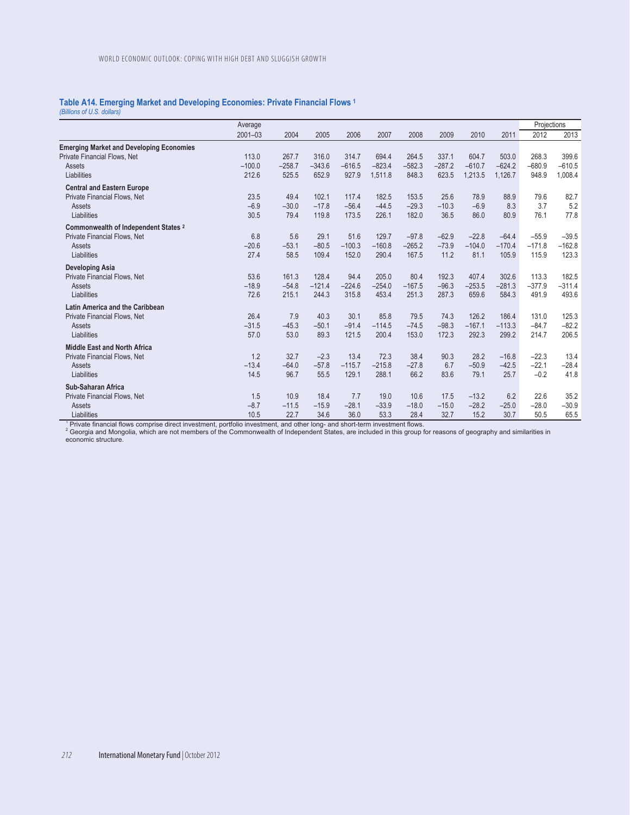## **Table A14. Emerging Market and Developing Economies: Private Financial Flows 1**

*(Billions of U.S. dollars)* 

|                                                                                                          | Average                    |                            |                            |                            |                              |                              |                            |                              |                              | Projections                  |                              |
|----------------------------------------------------------------------------------------------------------|----------------------------|----------------------------|----------------------------|----------------------------|------------------------------|------------------------------|----------------------------|------------------------------|------------------------------|------------------------------|------------------------------|
|                                                                                                          | $2001 - 03$                | 2004                       | 2005                       | 2006                       | 2007                         | 2008                         | 2009                       | 2010                         | 2011                         | 2012                         | 2013                         |
| <b>Emerging Market and Developing Economies</b><br>Private Financial Flows, Net<br>Assets<br>Liabilities | 113.0<br>$-100.0$<br>212.6 | 267.7<br>$-258.7$<br>525.5 | 316.0<br>$-343.6$<br>652.9 | 314.7<br>$-616.5$<br>927.9 | 694.4<br>$-823.4$<br>1.511.8 | 264.5<br>$-582.3$<br>848.3   | 337.1<br>$-287.2$<br>623.5 | 604.7<br>$-610.7$<br>1,213.5 | 503.0<br>$-624.2$<br>1.126.7 | 268.3<br>$-680.9$<br>948.9   | 399.6<br>$-610.5$<br>1,008.4 |
| <b>Central and Eastern Europe</b><br>Private Financial Flows, Net<br>Assets<br>Liabilities               | 23.5<br>$-6.9$<br>30.5     | 49.4<br>$-30.0$<br>79.4    | 102.1<br>$-17.8$<br>119.8  | 117.4<br>$-56.4$<br>173.5  | 182.5<br>$-44.5$<br>226.1    | 153.5<br>$-29.3$<br>182.0    | 25.6<br>$-10.3$<br>36.5    | 78.9<br>$-6.9$<br>86.0       | 88.9<br>8.3<br>80.9          | 79.6<br>3.7<br>76.1          | 82.7<br>5.2<br>77.8          |
| Commonwealth of Independent States <sup>2</sup><br>Private Financial Flows, Net<br>Assets<br>Liabilities | 6.8<br>$-20.6$<br>27.4     | 5.6<br>$-53.1$<br>58.5     | 29.1<br>$-80.5$<br>109.4   | 51.6<br>$-100.3$<br>152.0  | 129.7<br>$-160.8$<br>290.4   | $-97.8$<br>$-265.2$<br>167.5 | $-62.9$<br>$-73.9$<br>11.2 | $-22.8$<br>$-104.0$<br>81.1  | $-64.4$<br>$-170.4$<br>105.9 | $-55.9$<br>$-171.8$<br>115.9 | $-39.5$<br>$-162.8$<br>123.3 |
| <b>Developing Asia</b><br>Private Financial Flows, Net<br>Assets<br>Liabilities                          | 53.6<br>$-18.9$<br>72.6    | 161.3<br>$-54.8$<br>215.1  | 128.4<br>$-121.4$<br>244.3 | 94.4<br>$-224.6$<br>315.8  | 205.0<br>$-254.0$<br>453.4   | 80.4<br>$-167.5$<br>251.3    | 192.3<br>$-96.3$<br>287.3  | 407.4<br>$-253.5$<br>659.6   | 302.6<br>$-281.3$<br>584.3   | 113.3<br>$-377.9$<br>491.9   | 182.5<br>$-311.4$<br>493.6   |
| Latin America and the Caribbean<br>Private Financial Flows, Net<br>Assets<br>Liabilities                 | 26.4<br>$-31.5$<br>57.0    | 7.9<br>$-45.3$<br>53.0     | 40.3<br>$-50.1$<br>89.3    | 30.1<br>$-91.4$<br>121.5   | 85.8<br>$-114.5$<br>200.4    | 79.5<br>$-74.5$<br>153.0     | 74.3<br>$-98.3$<br>172.3   | 126.2<br>$-167.1$<br>292.3   | 186.4<br>$-113.3$<br>299.2   | 131.0<br>$-84.7$<br>214.7    | 125.3<br>$-82.2$<br>206.5    |
| <b>Middle East and North Africa</b><br>Private Financial Flows, Net<br>Assets<br>Liabilities             | 1.2<br>$-13.4$<br>14.5     | 32.7<br>$-64.0$<br>96.7    | $-2.3$<br>$-57.8$<br>55.5  | 13.4<br>$-115.7$<br>129.1  | 72.3<br>$-215.8$<br>288.1    | 38.4<br>$-27.8$<br>66.2      | 90.3<br>6.7<br>83.6        | 28.2<br>$-50.9$<br>79.1      | $-16.8$<br>$-42.5$<br>25.7   | $-22.3$<br>$-22.1$<br>$-0.2$ | 13.4<br>$-28.4$<br>41.8      |
| Sub-Saharan Africa<br>Private Financial Flows, Net<br>Assets<br>Liabilities                              | 1.5<br>$-8.7$<br>10.5      | 10.9<br>$-11.5$<br>22.7    | 18.4<br>$-15.9$<br>34.6    | 7.7<br>$-28.1$<br>36.0     | 19.0<br>$-33.9$<br>53.3      | 10.6<br>$-18.0$<br>28.4      | 17.5<br>$-15.0$<br>32.7    | $-13.2$<br>$-28.2$<br>15.2   | 6.2<br>$-25.0$<br>30.7       | 22.6<br>$-28.0$<br>50.5      | 35.2<br>$-30.9$<br>65.5      |

Liabilities 10.5 10.5 22.7 34.6 36.0 53.3 28.4 32.7 15.2 30.7 50.5 65.5<br><sup>1</sup> Private financial flows comprise direct investment, portfolio investment, and other long- and short-term investment flows.<br><sup>2</sup> Georgia and Mongoli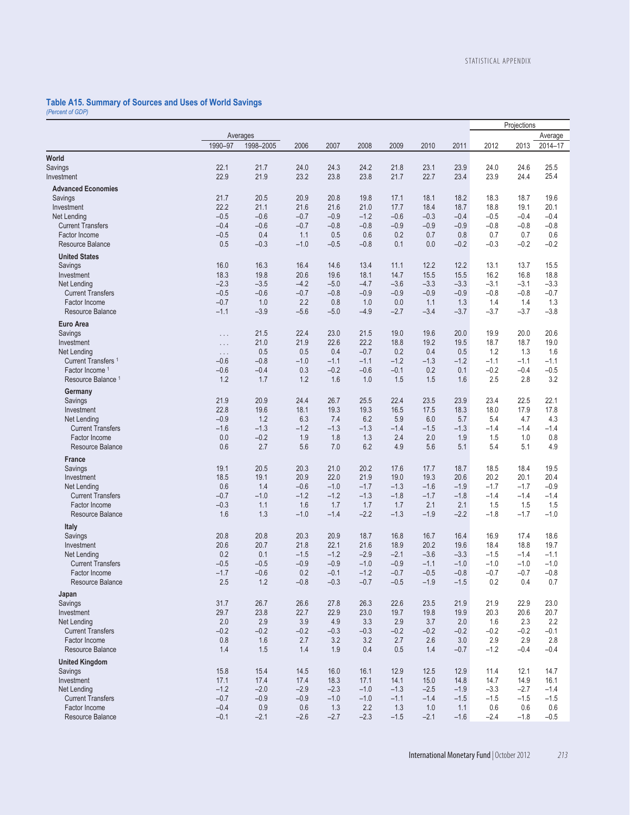# **Table A15. Summary of Sources and Uses of World Savings**  *(Percent of GDP)*

|                                           |                      |               |               |               |                  |               |            |               |               | Projections   |               |
|-------------------------------------------|----------------------|---------------|---------------|---------------|------------------|---------------|------------|---------------|---------------|---------------|---------------|
|                                           |                      | Averages      |               |               |                  |               |            |               |               |               | Average       |
|                                           | 1990-97              | 1998-2005     | 2006          | 2007          | 2008             | 2009          | 2010       | 2011          | 2012          | 2013          | 2014-17       |
| World                                     |                      |               |               |               |                  |               |            |               |               |               |               |
| <b>Savings</b>                            | 22.1                 | 21.7          | 24.0          | 24.3          | 24.2             | 21.8          | 23.1       | 23.9          | 24.0          | 24.6          | 25.5          |
| Investment                                | 22.9                 | 21.9          | 23.2          | 23.8          | 23.8             | 21.7          | 22.7       | 23.4          | 23.9          | 24.4          | 25.4          |
|                                           |                      |               |               |               |                  |               |            |               |               |               |               |
| <b>Advanced Economies</b>                 |                      | 20.5          |               | 20.8          | 19.8             |               | 18.1       |               | 18.3          | 18.7          |               |
| Savings                                   | 21.7                 |               | 20.9          |               |                  | 17.1          |            | 18.2          |               |               | 19.6          |
| Investment                                | 22.2                 | 21.1          | 21.6          | 21.6          | 21.0             | 17.7          | 18.4       | 18.7          | 18.8          | 19.1          | 20.1          |
| Net Lending                               | $-0.5$<br>$-0.4$     | $-0.6$        | $-0.7$        | $-0.9$        | $-1.2$<br>$-0.8$ | $-0.6$        | $-0.3$     | $-0.4$        | $-0.5$        | $-0.4$        | $-0.4$        |
| <b>Current Transfers</b><br>Factor Income | $-0.5$               | $-0.6$<br>0.4 | $-0.7$        | $-0.8$<br>0.5 | 0.6              | $-0.9$<br>0.2 | $-0.9$     | $-0.9$<br>0.8 | $-0.8$        | $-0.8$<br>0.7 | $-0.8$<br>0.6 |
| Resource Balance                          | 0.5                  | $-0.3$        | 1.1<br>$-1.0$ | $-0.5$        | $-0.8$           | 0.1           | 0.7<br>0.0 | $-0.2$        | 0.7<br>$-0.3$ | $-0.2$        | $-0.2$        |
|                                           |                      |               |               |               |                  |               |            |               |               |               |               |
| <b>United States</b>                      |                      |               |               |               |                  |               |            |               |               |               |               |
| Savings                                   | 16.0                 | 16.3          | 16.4          | 14.6          | 13.4             | 11.1          | 12.2       | 12.2          | 13.1          | 13.7          | 15.5          |
| Investment                                | 18.3                 | 19.8          | 20.6          | 19.6          | 18.1             | 14.7          | 15.5       | 15.5          | 16.2          | 16.8          | 18.8          |
| Net Lending                               | $-2.3$               | $-3.5$        | $-4.2$        | $-5.0$        | $-4.7$           | $-3.6$        | $-3.3$     | $-3.3$        | $-3.1$        | $-3.1$        | $-3.3$        |
| <b>Current Transfers</b>                  | $-0.5$               | $-0.6$        | $-0.7$        | $-0.8$        | $-0.9$           | $-0.9$        | $-0.9$     | $-0.9$        | $-0.8$        | $-0.8$        | $-0.7$        |
| Factor Income                             | $-0.7$               | 1.0           | 2.2           | 0.8           | 1.0              | 0.0           | 1.1        | 1.3           | 1.4           | 1.4           | 1.3           |
| Resource Balance                          | $-1.1$               | $-3.9$        | $-5.6$        | $-5.0$        | $-4.9$           | $-2.7$        | $-3.4$     | $-3.7$        | $-3.7$        | $-3.7$        | $-3.8$        |
| Euro Area                                 |                      |               |               |               |                  |               |            |               |               |               |               |
| Savings                                   | $\sim$ $\sim$ $\sim$ | 21.5          | 22.4          | 23.0          | 21.5             | 19.0          | 19.6       | 20.0          | 19.9          | 20.0          | 20.6          |
| Investment                                | $\sim$ $\sim$ $\sim$ | 21.0          | 21.9          | 22.6          | 22.2             | 18.8          | 19.2       | 19.5          | 18.7          | 18.7          | 19.0          |
| Net Lending                               | $\ldots$             | 0.5           | 0.5           | 0.4           | $-0.7$           | 0.2           | 0.4        | 0.5           | 1.2           | 1.3           | 1.6           |
| Current Transfers <sup>1</sup>            | $-0.6$               | $-0.8$        | $-1.0$        | $-1.1$        | $-1.1$           | $-1.2$        | $-1.3$     | $-1.2$        | $-1.1$        | $-1.1$        | $-1.1$        |
| Factor Income 1                           | $-0.6$               | $-0.4$        | 0.3           | $-0.2$        | $-0.6$           | $-0.1$        | 0.2        | 0.1           | $-0.2$        | $-0.4$        | $-0.5$        |
| Resource Balance <sup>1</sup>             | 1.2                  | 1.7           | 1.2           | 1.6           | 1.0              | 1.5           | 1.5        | 1.6           | 2.5           | 2.8           | 3.2           |
| Germany                                   |                      |               |               |               |                  |               |            |               |               |               |               |
| Savings                                   | 21.9                 | 20.9          | 24.4          | 26.7          | 25.5             | 22.4          | 23.5       | 23.9          | 23.4          | 22.5          | 22.1          |
| Investment                                | 22.8                 | 19.6          | 18.1          | 19.3          | 19.3             | 16.5          | 17.5       | 18.3          | 18.0          | 17.9          | 17.8          |
| Net Lending                               | $-0.9$               | 1.2           | 6.3           | 7.4           | 6.2              | 5.9           | 6.0        | 5.7           | 5.4           | 4.7           | 4.3           |
| <b>Current Transfers</b>                  | $-1.6$               | $-1.3$        | $-1.2$        | $-1.3$        | $-1.3$           | $-1.4$        | $-1.5$     | $-1.3$        | $-1.4$        | $-1.4$        | $-1.4$        |
| Factor Income                             | 0.0                  | $-0.2$        | 1.9           | 1.8           | 1.3              | 2.4           | 2.0        | 1.9           | 1.5           | 1.0           | 0.8           |
| <b>Resource Balance</b>                   | 0.6                  | 2.7           | 5.6           | 7.0           | 6.2              | 4.9           | 5.6        | 5.1           | 5.4           | 5.1           | 4.9           |
| France                                    |                      |               |               |               |                  |               |            |               |               |               |               |
| Savings                                   | 19.1                 | 20.5          | 20.3          | 21.0          | 20.2             | 17.6          | 17.7       | 18.7          | 18.5          | 18.4          | 19.5          |
| Investment                                | 18.5                 | 19.1          | 20.9          | 22.0          | 21.9             | 19.0          | 19.3       | 20.6          | 20.2          | 20.1          | 20.4          |
| Net Lending                               | 0.6                  | 1.4           | $-0.6$        | $-1.0$        | $-1.7$           | $-1.3$        | $-1.6$     | $-1.9$        | $-1.7$        | $-1.7$        | $-0.9$        |
| <b>Current Transfers</b>                  | $-0.7$               | $-1.0$        | $-1.2$        | $-1.2$        | $-1.3$           | $-1.8$        | $-1.7$     | $-1.8$        | $-1.4$        | $-1.4$        | $-1.4$        |
| Factor Income                             | $-0.3$               | 1.1           | 1.6           | 1.7           | 1.7              | 1.7           | 2.1        | 2.1           | 1.5           | 1.5           | 1.5           |
| Resource Balance                          | 1.6                  | 1.3           | $-1.0$        | $-1.4$        | $-2.2$           | $-1.3$        | $-1.9$     | $-2.2$        | $-1.8$        | $-1.7$        | $-1.0$        |
| Italy                                     |                      |               |               |               |                  |               |            |               |               |               |               |
| Savings                                   | 20.8                 | 20.8          | 20.3          | 20.9          | 18.7             | 16.8          | 16.7       | 16.4          | 16.9          | 17.4          | 18.6          |
| Investment                                | 20.6                 | 20.7          | 21.8          | 22.1          | 21.6             | 18.9          | 20.2       | 19.6          | 18.4          | 18.8          | 19.7          |
| Net Lending                               | 0.2                  | 0.1           | $-1.5$        | $-1.2$        | $-2.9$           | $-2.1$        | $-3.6$     | $-3.3$        | $-1.5$        | $-1.4$        | $-1.1$        |
| <b>Current Transfers</b>                  | $-0.5$               | $-0.5$        | $-0.9$        | $-0.9$        | $-1.0$           | $-0.9$        | $-1.1$     | $-1.0$        | $-1.0$        | $-1.0$        | $-1.0$        |
| Factor Income                             | $-1.7$               | $-0.6$        | 0.2           | $-0.1$        | $-1.2$           | $-0.7$        | $-0.5$     | $-0.8$        | $-0.7$        | $-0.7$        | $-0.8$        |
| Resource Balance                          | $2.5\,$              | 1.2           | $-0.8$        | $-0.3$        | $-0.7$           | $-0.5$        | $-1.9$     | $-1.5$        | 0.2           | 0.4           | 0.7           |
| Japan                                     |                      |               |               |               |                  |               |            |               |               |               |               |
| Savings                                   | 31.7                 | 26.7          | 26.6          | 27.8          | 26.3             | 22.6          | 23.5       | 21.9          | 21.9          | 22.9          | 23.0          |
| Investment                                | 29.7                 | 23.8          | 22.7          | 22.9          | 23.0             | 19.7          | 19.8       | 19.9          | 20.3          | 20.6          | 20.7          |
| Net Lending                               | 2.0                  | 2.9           | 3.9           | 4.9           | 3.3              | 2.9           | 3.7        | 2.0           | 1.6           | 2.3           | 2.2           |
| <b>Current Transfers</b>                  | $-0.2$               | $-0.2$        | $-0.2$        | $-0.3$        | $-0.3$           | $-0.2$        | $-0.2$     | $-0.2$        | $-0.2$        | $-0.2$        | $-0.1$        |
| Factor Income                             | 0.8                  | 1.6           | 2.7           | 3.2           | 3.2              | 2.7           | 2.6        | 3.0           | 2.9           | 2.9           | 2.8           |
| Resource Balance                          | 1.4                  | 1.5           | 1.4           | 1.9           | 0.4              | 0.5           | 1.4        | $-0.7$        | $-1.2$        | $-0.4$        | $-0.4$        |
| <b>United Kingdom</b>                     |                      |               |               |               |                  |               |            |               |               |               |               |
| Savings                                   | 15.8                 | 15.4          | 14.5          | 16.0          | 16.1             | 12.9          | 12.5       | 12.9          | 11.4          | 12.1          | 14.7          |
| Investment                                | 17.1                 | 17.4          | 17.4          | 18.3          | 17.1             | 14.1          | 15.0       | 14.8          | 14.7          | 14.9          | 16.1          |
| Net Lending                               | $-1.2$               | $-2.0$        | $-2.9$        | $-2.3$        | $-1.0$           | $-1.3$        | $-2.5$     | $-1.9$        | $-3.3$        | $-2.7$        | $-1.4$        |
| <b>Current Transfers</b>                  | $-0.7$               | $-0.9$        | $-0.9$        | $-1.0$        | $-1.0$           | $-1.1$        | $-1.4$     | $-1.5$        | $-1.5$        | $-1.5$        | $-1.5$        |
| Factor Income                             | $-0.4$               | 0.9           | 0.6           | 1.3           | 2.2              | 1.3           | 1.0        | 1.1           | 0.6           | 0.6           | 0.6           |
| Resource Balance                          | $-0.1$               | $-2.1$        | $-2.6$        | $-2.7$        | $-2.3$           | $-1.5$        | $-2.1$     | $-1.6$        | $-2.4$        | $-1.8$        | $-0.5$        |
|                                           |                      |               |               |               |                  |               |            |               |               |               |               |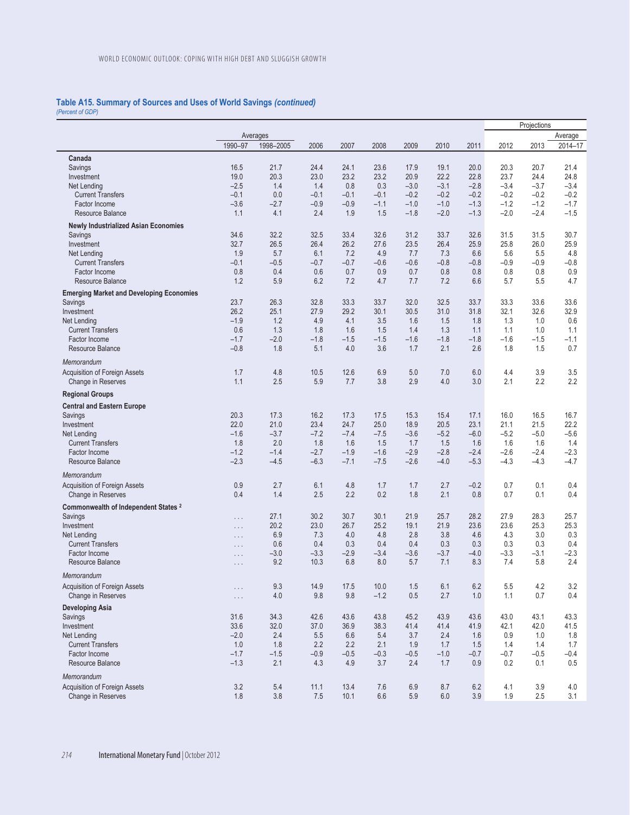# **Table A15. Summary of Sources and Uses of World Savings** *(continued) (Percent of GDP)*

|                                                 |                      |           |        |                  |        |        |        |        |        | Projections |                  |
|-------------------------------------------------|----------------------|-----------|--------|------------------|--------|--------|--------|--------|--------|-------------|------------------|
|                                                 |                      | Averages  |        |                  |        |        |        |        |        |             | Average          |
|                                                 | 1990-97              | 1998-2005 | 2006   | 2007             | 2008   | 2009   | 2010   | 2011   | 2012   | 2013        | 2014-17          |
| Canada                                          |                      |           |        |                  |        |        |        |        |        |             |                  |
| Savings                                         | 16.5                 | 21.7      | 24.4   | 24.1             | 23.6   | 17.9   | 19.1   | 20.0   | 20.3   | 20.7        | 21.4             |
| Investment                                      | 19.0                 | 20.3      | 23.0   | 23.2             | 23.2   | 20.9   | 22.2   | 22.8   | 23.7   | 24.4        | 24.8             |
| Net Lending                                     | $-2.5$               | 1.4       | 1.4    | 0.8              | 0.3    | $-3.0$ | $-3.1$ | $-2.8$ | $-3.4$ | $-3.7$      | $-3.4$           |
| <b>Current Transfers</b>                        | $-0.1$               | 0.0       | $-0.1$ | $-0.1$           | $-0.1$ | $-0.2$ | $-0.2$ | $-0.2$ | $-0.2$ | $-0.2$      | $-0.2$           |
| Factor Income                                   | $-3.6$               | $-2.7$    | $-0.9$ | $-0.9$           | $-1.1$ | $-1.0$ | $-1.0$ | $-1.3$ | $-1.2$ | $-1.2$      | $-1.7$           |
| Resource Balance                                | 1.1                  | 4.1       | 2.4    | 1.9              | 1.5    | $-1.8$ | $-2.0$ | $-1.3$ | $-2.0$ | $-2.4$      | $-1.5$           |
| <b>Newly Industrialized Asian Economies</b>     |                      |           |        |                  |        |        |        |        |        |             |                  |
| Savings                                         | 34.6                 | 32.2      | 32.5   | 33.4             | 32.6   | 31.2   | 33.7   | 32.6   | 31.5   | 31.5        | 30.7             |
| Investment                                      | 32.7                 | 26.5      | 26.4   | 26.2             | 27.6   | 23.5   | 26.4   | 25.9   | 25.8   | 26.0        | 25.9             |
| Net Lending                                     | 1.9                  | 5.7       | 6.1    | 7.2              | 4.9    | 7.7    | 7.3    | 6.6    | 5.6    | 5.5         | 4.8              |
| <b>Current Transfers</b>                        | $-0.1$               | $-0.5$    | $-0.7$ | $-0.7$           | $-0.6$ | $-0.6$ | $-0.8$ | $-0.8$ | $-0.9$ | $-0.9$      | $-0.8$           |
| Factor Income                                   | 0.8                  | 0.4       | 0.6    | 0.7              | 0.9    | 0.7    | 0.8    | 0.8    | 0.8    | 0.8         | 0.9              |
| Resource Balance                                | 1.2                  | 5.9       | 6.2    | 7.2              | 4.7    | 7.7    | 7.2    | 6.6    | 5.7    | 5.5         | 4.7              |
| <b>Emerging Market and Developing Economies</b> |                      |           |        |                  |        |        |        |        |        |             |                  |
| Savings                                         | 23.7                 | 26.3      | 32.8   | 33.3             | 33.7   | 32.0   | 32.5   | 33.7   | 33.3   | 33.6        | 33.6             |
| Investment                                      | 26.2                 | 25.1      | 27.9   | 29.2             | 30.1   | 30.5   | 31.0   | 31.8   | 32.1   | 32.6        | 32.9             |
| Net Lending                                     | $-1.9$               | 1.2       | 4.9    | 4.1              | 3.5    | 1.6    | 1.5    | 1.8    | 1.3    | 1.0         | 0.6              |
| <b>Current Transfers</b>                        | 0.6                  | 1.3       | 1.8    | 1.6              | 1.5    | 1.4    | 1.3    | 1.1    | 1.1    | 1.0         | 1.1              |
| Factor Income                                   | $-1.7$               | $-2.0$    | $-1.8$ | $-1.5$           | $-1.5$ | $-1.6$ | $-1.8$ | $-1.8$ | $-1.6$ | $-1.5$      | $-1.1$           |
| Resource Balance                                | $-0.8$               | 1.8       | 5.1    | 4.0              | 3.6    | 1.7    | 2.1    | 2.6    | 1.8    | 1.5         | 0.7              |
| Memorandum                                      |                      |           |        |                  |        |        |        |        |        |             |                  |
| Acquisition of Foreign Assets                   | 1.7                  | 4.8       | 10.5   | 12.6             | 6.9    | 5.0    | 7.0    | 6.0    | 4.4    | 3.9         | 3.5              |
| Change in Reserves                              | 1.1                  | 2.5       | 5.9    | 7.7              | 3.8    | 2.9    | 4.0    | 3.0    | 2.1    | 2.2         | 2.2              |
|                                                 |                      |           |        |                  |        |        |        |        |        |             |                  |
| <b>Regional Groups</b>                          |                      |           |        |                  |        |        |        |        |        |             |                  |
| <b>Central and Eastern Europe</b>               |                      |           |        |                  |        |        |        |        |        |             |                  |
| Savings                                         | 20.3                 | 17.3      | 16.2   | 17.3             | 17.5   | 15.3   | 15.4   | 17.1   | 16.0   | 16.5        | 16.7             |
| Investment                                      | 22.0                 | 21.0      | 23.4   | 24.7             | 25.0   | 18.9   | 20.5   | 23.1   | 21.1   | 21.5        | 22.2             |
| Net Lending                                     | $-1.6$               | $-3.7$    | $-7.2$ | $-7.4$           | $-7.5$ | $-3.6$ | $-5.2$ | $-6.0$ | $-5.2$ | $-5.0$      | $-5.6$           |
| <b>Current Transfers</b>                        | 1.8                  | 2.0       | 1.8    | 1.6              | 1.5    | 1.7    | 1.5    | 1.6    | 1.6    | 1.6         | 1.4              |
| Factor Income                                   | $-1.2$               | $-1.4$    | $-2.7$ | $-1.9$<br>$-7.1$ | $-1.6$ | $-2.9$ | $-2.8$ | $-2.4$ | $-2.6$ | $-2.4$      | $-2.3$<br>$-4.7$ |
| Resource Balance                                | $-2.3$               | $-4.5$    | $-6.3$ |                  | $-7.5$ | $-2.6$ | $-4.0$ | $-5.3$ | $-4.3$ | $-4.3$      |                  |
| Memorandum                                      |                      |           |        |                  |        |        |        |        |        |             |                  |
| Acquisition of Foreign Assets                   | 0.9                  | 2.7       | 6.1    | 4.8              | 1.7    | 1.7    | 2.7    | $-0.2$ | 0.7    | 0.1         | 0.4              |
| Change in Reserves                              | 0.4                  | 1.4       | 2.5    | 2.2              | 0.2    | 1.8    | 2.1    | 0.8    | 0.7    | 0.1         | 0.4              |
| Commonwealth of Independent States <sup>2</sup> |                      |           |        |                  |        |        |        |        |        |             |                  |
| Savings                                         | $\sim$ $\sim$ $\sim$ | 27.1      | 30.2   | 30.7             | 30.1   | 21.9   | 25.7   | 28.2   | 27.9   | 28.3        | 25.7             |
| Investment                                      | $\sim$ $\sim$ $\sim$ | 20.2      | 23.0   | 26.7             | 25.2   | 19.1   | 21.9   | 23.6   | 23.6   | 25.3        | 25.3             |
| Net Lending                                     | $\cdots$             | 6.9       | 7.3    | 4.0              | 4.8    | 2.8    | 3.8    | 4.6    | 4.3    | 3.0         | 0.3              |
| <b>Current Transfers</b>                        | $\cdots$             | 0.6       | 0.4    | 0.3              | 0.4    | 0.4    | 0.3    | 0.3    | 0.3    | 0.3         | 0.4              |
| Factor Income                                   | $\cdots$             | $-3.0$    | $-3.3$ | $-2.9$           | $-3.4$ | $-3.6$ | $-3.7$ | $-4.0$ | $-3.3$ | $-3.1$      | -2.3             |
| Resource Balance                                | $\ldots$             | 9.2       | 10.3   | 6.8              | 8.0    | 5.7    | 7.1    | 8.3    | 7.4    | 5.8         | 2.4              |
| Memorandum                                      |                      |           |        |                  |        |        |        |        |        |             |                  |
| Acquisition of Foreign Assets                   | $\ldots$ .           | 9.3       | 14.9   | 17.5             | 10.0   | 1.5    | 6.1    | 6.2    | 5.5    | 4.2         | 3.2              |
| Change in Reserves                              | $\sim$ $\sim$ $\sim$ | 4.0       | 9.8    | 9.8              | $-1.2$ | 0.5    | 2.7    | 1.0    | 1.1    | 0.7         | 0.4              |
| <b>Developing Asia</b>                          |                      |           |        |                  |        |        |        |        |        |             |                  |
| Savings                                         | 31.6                 | 34.3      | 42.6   | 43.6             | 43.8   | 45.2   | 43.9   | 43.6   | 43.0   | 43.1        | 43.3             |
| Investment                                      | 33.6                 | 32.0      | 37.0   | 36.9             | 38.3   | 41.4   | 41.4   | 41.9   | 42.1   | 42.0        | 41.5             |
| Net Lending                                     | $-2.0$               | 2.4       | 5.5    | 6.6              | 5.4    | 3.7    | 2.4    | 1.6    | 0.9    | 1.0         | 1.8              |
| <b>Current Transfers</b>                        | 1.0                  | 1.8       | 2.2    | 2.2              | 2.1    | 1.9    | 1.7    | 1.5    | 1.4    | 1.4         | 1.7              |
| Factor Income                                   | $-1.7$               | $-1.5$    | $-0.9$ | $-0.5$           | $-0.3$ | $-0.5$ | $-1.0$ | $-0.7$ | $-0.7$ | $-0.5$      | $-0.4$           |
| Resource Balance                                | $-1.3$               | 2.1       | 4.3    | 4.9              | 3.7    | 2.4    | 1.7    | 0.9    | 0.2    | 0.1         | 0.5              |
| Memorandum                                      |                      |           |        |                  |        |        |        |        |        |             |                  |
| Acquisition of Foreign Assets                   | 3.2                  | $5.4\,$   | 11.1   | 13.4             | 7.6    | 6.9    | 8.7    | 6.2    | 4.1    | 3.9         | 4.0              |
| Change in Reserves                              | 1.8                  | 3.8       | 7.5    | 10.1             | 6.6    | 5.9    | 6.0    | 3.9    | 1.9    | 2.5         | 3.1              |
|                                                 |                      |           |        |                  |        |        |        |        |        |             |                  |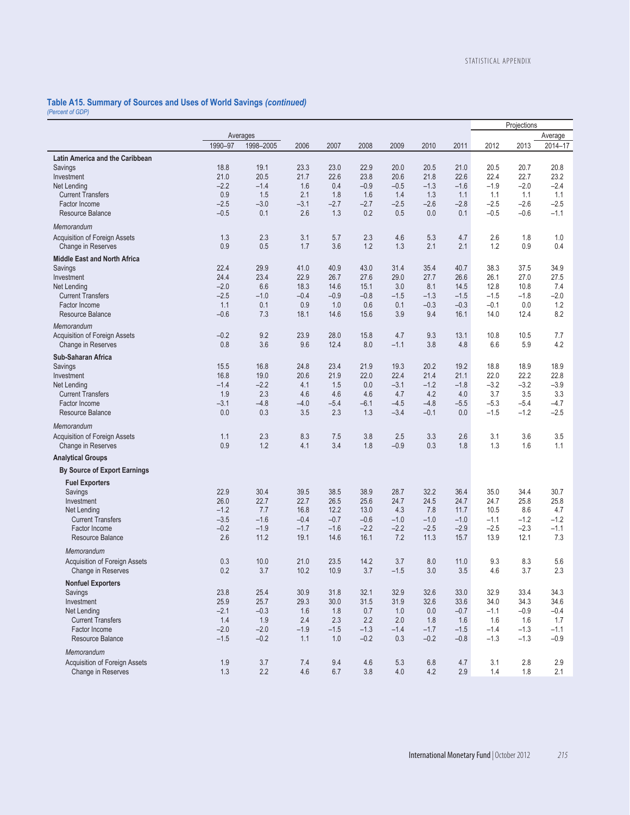# **Table A15. Summary of Sources and Uses of World Savings** *(continued) (Percent of GDP)*

|                                     |         |           |         |        |        |        |         |        | Projections |         |         |
|-------------------------------------|---------|-----------|---------|--------|--------|--------|---------|--------|-------------|---------|---------|
|                                     |         | Averages  |         |        |        |        |         |        |             |         | Average |
|                                     | 1990-97 | 1998-2005 | 2006    | 2007   | 2008   | 2009   | 2010    | 2011   | 2012        | 2013    | 2014-17 |
|                                     |         |           |         |        |        |        |         |        |             |         |         |
| Latin America and the Caribbean     |         |           |         |        |        |        |         |        |             |         |         |
| Savings                             | 18.8    | 19.1      | 23.3    | 23.0   | 22.9   | 20.0   | 20.5    | 21.0   | 20.5        | 20.7    | 20.8    |
| Investment                          | 21.0    | 20.5      | 21.7    | 22.6   | 23.8   | 20.6   | 21.8    | 22.6   | 22.4        | 22.7    | 23.2    |
| Net Lending                         | $-2.2$  | $-1.4$    | 1.6     | 0.4    | $-0.9$ | $-0.5$ | $-1.3$  | $-1.6$ | $-1.9$      | $-2.0$  | -2.4    |
| <b>Current Transfers</b>            | 0.9     | 1.5       | 2.1     | 1.8    | 1.6    | 1.4    | 1.3     | 1.1    | 1.1         | 1.1     | 1.1     |
| Factor Income                       | $-2.5$  | $-3.0$    | $-3.1$  | $-2.7$ | $-2.7$ | $-2.5$ | $-2.6$  | $-2.8$ | $-2.5$      | $-2.6$  | $-2.5$  |
| <b>Resource Balance</b>             | $-0.5$  | 0.1       | 2.6     | 1.3    | 0.2    | 0.5    | 0.0     | 0.1    | $-0.5$      | $-0.6$  | $-1.1$  |
| Memorandum                          |         |           |         |        |        |        |         |        |             |         |         |
| Acquisition of Foreign Assets       | 1.3     | 2.3       | 3.1     | 5.7    | 2.3    | 4.6    | 5.3     | 4.7    | 2.6         | 1.8     | 1.0     |
| Change in Reserves                  | 0.9     | 0.5       | 1.7     | 3.6    | 1.2    | 1.3    | 2.1     | 2.1    | 1.2         | 0.9     | 0.4     |
|                                     |         |           |         |        |        |        |         |        |             |         |         |
| <b>Middle East and North Africa</b> |         |           |         |        |        |        |         |        |             |         |         |
| Savings                             | 22.4    | 29.9      | 41.0    | 40.9   | 43.0   | 31.4   | 35.4    | 40.7   | 38.3        | 37.5    | 34.9    |
| Investment                          | 24.4    | 23.4      | 22.9    | 26.7   | 27.6   | 29.0   | 27.7    | 26.6   | 26.1        | 27.0    | 27.5    |
| Net Lending                         | $-2.0$  | 6.6       | 18.3    | 14.6   | 15.1   | 3.0    | 8.1     | 14.5   | 12.8        | 10.8    | 7.4     |
| <b>Current Transfers</b>            | $-2.5$  | $-1.0$    | $-0.4$  | $-0.9$ | $-0.8$ | $-1.5$ | $-1.3$  | $-1.5$ | $-1.5$      | $-1.8$  | $-2.0$  |
| Factor Income                       | 1.1     | 0.1       | 0.9     | 1.0    | 0.6    | 0.1    | $-0.3$  | $-0.3$ | $-0.1$      | 0.0     | 1.2     |
| Resource Balance                    | $-0.6$  | 7.3       | 18.1    | 14.6   | 15.6   | 3.9    | 9.4     | 16.1   | 14.0        | 12.4    | 8.2     |
|                                     |         |           |         |        |        |        |         |        |             |         |         |
| Memorandum                          |         |           |         |        |        |        |         |        |             |         |         |
| Acquisition of Foreign Assets       | $-0.2$  | 9.2       | 23.9    | 28.0   | 15.8   | 4.7    | 9.3     | 13.1   | 10.8        | 10.5    | 7.7     |
| Change in Reserves                  | 0.8     | 3.6       | 9.6     | 12.4   | 8.0    | $-1.1$ | 3.8     | 4.8    | 6.6         | 5.9     | 4.2     |
| Sub-Saharan Africa                  |         |           |         |        |        |        |         |        |             |         |         |
| Savings                             | 15.5    | 16.8      | 24.8    | 23.4   | 21.9   | 19.3   | 20.2    | 19.2   | 18.8        | 18.9    | 18.9    |
| Investment                          | 16.8    | 19.0      | 20.6    | 21.9   | 22.0   | 22.4   | 21.4    | 21.1   | 22.0        | 22.2    | 22.8    |
| Net Lending                         | $-1.4$  | $-2.2$    | 4.1     | 1.5    | 0.0    | $-3.1$ | $-1.2$  | $-1.8$ | $-3.2$      | $-3.2$  | $-3.9$  |
| <b>Current Transfers</b>            | 1.9     | 2.3       | 4.6     | 4.6    | 4.6    | 4.7    | 4.2     | 4.0    | 3.7         | 3.5     | 3.3     |
|                                     |         |           |         |        |        |        |         |        |             |         |         |
| Factor Income                       | $-3.1$  | $-4.8$    | $-4.0$  | $-5.4$ | $-6.1$ | $-4.5$ | $-4.8$  | $-5.5$ | $-5.3$      | $-5.4$  | $-4.7$  |
| Resource Balance                    | 0.0     | 0.3       | 3.5     | 2.3    | 1.3    | $-3.4$ | $-0.1$  | 0.0    | $-1.5$      | $-1.2$  | $-2.5$  |
| Memorandum                          |         |           |         |        |        |        |         |        |             |         |         |
| Acquisition of Foreign Assets       | 1.1     | 2.3       | 8.3     | 7.5    | 3.8    | 2.5    | 3.3     | 2.6    | 3.1         | 3.6     | 3.5     |
| Change in Reserves                  | 0.9     | 1.2       | 4.1     | 3.4    | 1.8    | $-0.9$ | 0.3     | 1.8    | 1.3         | 1.6     | 1.1     |
| <b>Analytical Groups</b>            |         |           |         |        |        |        |         |        |             |         |         |
| <b>By Source of Export Earnings</b> |         |           |         |        |        |        |         |        |             |         |         |
| <b>Fuel Exporters</b>               |         |           |         |        |        |        |         |        |             |         |         |
| Savings                             | 22.9    | 30.4      | 39.5    | 38.5   | 38.9   | 28.7   | 32.2    | 36.4   | 35.0        | 34.4    | 30.7    |
| Investment                          | 26.0    | 22.7      | 22.7    | 26.5   | 25.6   | 24.7   | 24.5    | 24.7   | 24.7        | 25.8    | 25.8    |
|                                     |         |           |         |        |        |        |         |        |             |         |         |
| Net Lending                         | $-1.2$  | 7.7       | 16.8    | 12.2   | 13.0   | 4.3    | 7.8     | 11.7   | 10.5        | 8.6     | 4.7     |
| <b>Current Transfers</b>            | $-3.5$  | $-1.6$    | $-0.4$  | $-0.7$ | $-0.6$ | $-1.0$ | $-1.0$  | $-1.0$ | $-1.1$      | $-1.2$  | $-1.2$  |
| Factor Income                       | $-0.2$  | $-1.9$    | $-1.7$  | $-1.6$ | $-2.2$ | $-2.2$ | $-2.5$  | $-2.9$ | $-2.5$      | $-2.3$  | $-1.1$  |
| Resource Balance                    | 2.6     | 11.2      | 19.1    | 14.6   | 16.1   | 7.2    | 11.3    | 15.7   | 13.9        | 12.1    | 7.3     |
| Memorandum                          |         |           |         |        |        |        |         |        |             |         |         |
| Acquisition of Foreign Assets       | 0.3     | 10.0      | 21.0    | 23.5   | 14.2   | 3.7    | 8.0     | 11.0   | 9.3         | 8.3     | 5.6     |
| Change in Reserves                  | 0.2     | 3.7       | 10.2    | 10.9   | 3.7    | $-1.5$ | 3.0     | 3.5    | 4.6         | 3.7     | 2.3     |
| <b>Nonfuel Exporters</b>            |         |           |         |        |        |        |         |        |             |         |         |
|                                     |         |           |         |        |        | 32.9   |         | 33.0   |             |         |         |
| Savings                             | 23.8    | 25.4      | 30.9    | 31.8   | 32.1   |        | 32.6    |        | 32.9        | 33.4    | 34.3    |
| Investment                          | 25.9    | 25.7      | 29.3    | 30.0   | 31.5   | 31.9   | 32.6    | 33.6   | 34.0        | 34.3    | 34.6    |
| Net Lending                         | $-2.1$  | $-0.3$    | 1.6     | 1.8    | 0.7    | 1.0    | 0.0     | $-0.7$ | $-1.1$      | $-0.9$  | $-0.4$  |
| <b>Current Transfers</b>            | 1.4     | 1.9       | 2.4     | 2.3    | 2.2    | 2.0    | 1.8     | 1.6    | 1.6         | 1.6     | 1.7     |
| Factor Income                       | $-2.0$  | $-2.0$    | $-1.9$  | $-1.5$ | $-1.3$ | $-1.4$ | $-1.7$  | $-1.5$ | $-1.4$      | $-1.3$  | $-1.1$  |
| Resource Balance                    | $-1.5$  | $-0.2$    | 1.1     | 1.0    | $-0.2$ | 0.3    | $-0.2$  | $-0.8$ | $-1.3$      | $-1.3$  | $-0.9$  |
| Memorandum                          |         |           |         |        |        |        |         |        |             |         |         |
| Acquisition of Foreign Assets       | 1.9     | 3.7       | 7.4     | 9.4    | 4.6    | 5.3    | $6.8\,$ | 4.7    | 3.1         | $2.8\,$ | 2.9     |
| Change in Reserves                  | 1.3     | $2.2\,$   | $4.6\,$ | 6.7    | 3.8    | 4.0    | 4.2     | 2.9    | 1.4         | 1.8     | 2.1     |
|                                     |         |           |         |        |        |        |         |        |             |         |         |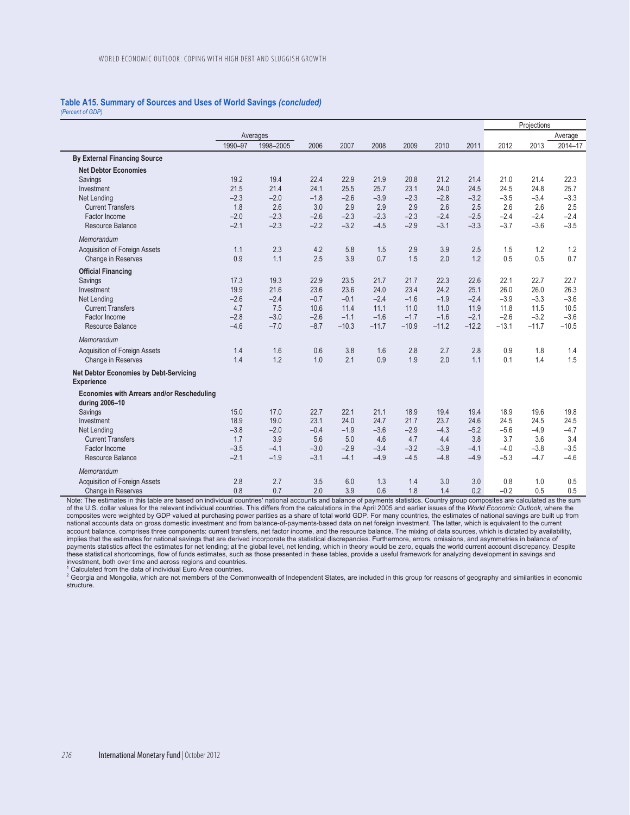## **Table A15. Summary of Sources and Uses of World Savings** *(concluded)*

*(Percent of GDP)* 

|                                                             |         |           |        |         |         |         |         |         | Projections |         |         |
|-------------------------------------------------------------|---------|-----------|--------|---------|---------|---------|---------|---------|-------------|---------|---------|
|                                                             |         | Averages  |        |         |         |         |         |         |             |         | Average |
|                                                             | 1990-97 | 1998-2005 | 2006   | 2007    | 2008    | 2009    | 2010    | 2011    | 2012        | 2013    | 2014-17 |
| <b>By External Financing Source</b>                         |         |           |        |         |         |         |         |         |             |         |         |
| <b>Net Debtor Economies</b>                                 |         |           |        |         |         |         |         |         |             |         |         |
| Savings                                                     | 19.2    | 19.4      | 22.4   | 22.9    | 21.9    | 20.8    | 21.2    | 21.4    | 21.0        | 21.4    | 22.3    |
| Investment                                                  | 21.5    | 21.4      | 24.1   | 25.5    | 25.7    | 23.1    | 24.0    | 24.5    | 24.5        | 24.8    | 25.7    |
| Net Lending                                                 | $-2.3$  | $-2.0$    | $-1.8$ | $-2.6$  | $-3.9$  | $-2.3$  | $-2.8$  | $-3.2$  | $-3.5$      | $-3.4$  | $-3.3$  |
| <b>Current Transfers</b>                                    | 1.8     | 2.6       | 3.0    | 2.9     | 2.9     | 2.9     | 2.6     | 2.5     | 2.6         | 2.6     | 2.5     |
| Factor Income                                               | $-2.0$  | $-2.3$    | $-2.6$ | $-2.3$  | $-2.3$  | $-2.3$  | $-2.4$  | $-2.5$  | $-2.4$      | $-2.4$  | $-2.4$  |
| Resource Balance                                            | $-2.1$  | $-2.3$    | $-2.2$ | $-3.2$  | $-4.5$  | $-2.9$  | $-3.1$  | $-3.3$  | $-3.7$      | $-3.6$  | $-3.5$  |
| Memorandum                                                  |         |           |        |         |         |         |         |         |             |         |         |
| Acquisition of Foreign Assets                               | 1.1     | 2.3       | 4.2    | 5.8     | 1.5     | 2.9     | 3.9     | 2.5     | 1.5         | 1.2     | 1.2     |
| Change in Reserves                                          | 0.9     | 1.1       | 2.5    | 3.9     | 0.7     | 1.5     | 2.0     | 1.2     | 0.5         | 0.5     | 0.7     |
| <b>Official Financing</b>                                   |         |           |        |         |         |         |         |         |             |         |         |
| Savings                                                     | 17.3    | 19.3      | 22.9   | 23.5    | 21.7    | 21.7    | 22.3    | 22.6    | 22.1        | 22.7    | 22.7    |
| Investment                                                  | 19.9    | 21.6      | 23.6   | 23.6    | 24.0    | 23.4    | 24.2    | 25.1    | 26.0        | 26.0    | 26.3    |
| Net Lending                                                 | $-2.6$  | $-2.4$    | $-0.7$ | $-0.1$  | $-2.4$  | $-1.6$  | $-1.9$  | $-2.4$  | $-3.9$      | $-3.3$  | $-3.6$  |
| <b>Current Transfers</b>                                    | 4.7     | 7.5       | 10.6   | 11.4    | 11.1    | 11.0    | 11.0    | 11.9    | 11.8        | 11.5    | 10.5    |
| Factor Income                                               | $-2.8$  | $-3.0$    | $-2.6$ | $-1.1$  | $-1.6$  | $-1.7$  | $-1.6$  | $-2.1$  | $-2.6$      | $-3.2$  | $-3.6$  |
| Resource Balance                                            | $-4.6$  | $-7.0$    | $-8.7$ | $-10.3$ | $-11.7$ | $-10.9$ | $-11.2$ | $-12.2$ | $-13.1$     | $-11.7$ | $-10.5$ |
| Memorandum                                                  |         |           |        |         |         |         |         |         |             |         |         |
| Acquisition of Foreign Assets                               | 1.4     | 1.6       | 0.6    | 3.8     | 1.6     | 2.8     | 2.7     | 2.8     | 0.9         | 1.8     | 1.4     |
| Change in Reserves                                          | 1.4     | 1.2       | 1.0    | 2.1     | 0.9     | 1.9     | 2.0     | 1.1     | 0.1         | 1.4     | 1.5     |
| <b>Net Debtor Economies by Debt-Servicing</b><br>Experience |         |           |        |         |         |         |         |         |             |         |         |
| <b>Economies with Arrears and/or Rescheduling</b>           |         |           |        |         |         |         |         |         |             |         |         |
| during 2006-10                                              |         |           |        |         |         |         |         |         |             |         |         |
| Savings                                                     | 15.0    | 17.0      | 22.7   | 22.1    | 21.1    | 18.9    | 19.4    | 19.4    | 18.9        | 19.6    | 19.8    |
| Investment                                                  | 18.9    | 19.0      | 23.1   | 24.0    | 24.7    | 21.7    | 23.7    | 24.6    | 24.5        | 24.5    | 24.5    |
| Net Lending                                                 | $-3.8$  | $-2.0$    | $-0.4$ | $-1.9$  | $-3.6$  | $-2.9$  | $-4.3$  | $-5.2$  | $-5.6$      | $-4.9$  | $-4.7$  |
| <b>Current Transfers</b>                                    | 1.7     | 3.9       | 5.6    | 5.0     | 4.6     | 4.7     | 4.4     | 3.8     | 3.7         | 3.6     | 3.4     |
| Factor Income                                               | $-3.5$  | $-4.1$    | $-3.0$ | $-2.9$  | $-3.4$  | $-3.2$  | $-3.9$  | $-4.1$  | $-4.0$      | $-3.8$  | $-3.5$  |
| Resource Balance                                            | $-2.1$  | $-1.9$    | $-3.1$ | $-4.1$  | $-4.9$  | $-4.5$  | $-4.8$  | $-4.9$  | $-5.3$      | $-4.7$  | $-4.6$  |
| Memorandum                                                  |         |           |        |         |         |         |         |         |             |         |         |
| Acquisition of Foreign Assets                               | 2.8     | 2.7       | 3.5    | 6.0     | 1.3     | 1.4     | 3.0     | 3.0     | 0.8         | 1.0     | 0.5     |
| Change in Reserves                                          | 0.8     | 0.7       | 2.0    | 3.9     | 0.6     | 1.8     | 1.4     | 0.2     | $-0.2$      | 0.5     | 0.5     |

Note: The estimates in this table are based on individual countries' national accounts and balance of payments statistics. Country group composites are calculated as the sum of the U.S. dollar values for the relevant individual countries. This differs from the calculations in the April 2005 and earlier issues of the *World Economic Outlook*, where the<br>composites were weighted by GDP valued at national accounts data on gross domestic investment and from balance-of-payments-based data on net foreign investment. The latter, which is equivalent to the current<br>account balance, comprises three components: current tra payments statistics affect the estimates for net lending; at the global level, net lending, which in theory would be zero, equals the world current account discrepancy. Despite these statistical shortcomings, flow of funds estimates, such as those presented in these tables, provide a useful framework for analyzing development in savings and investment, both over time and across regions and countries.

<sup>1</sup> Calculated from the data of individual Euro Area countries.

<sup>2</sup> Georgia and Mongolia, which are not members of the Commonwealth of Independent States, are included in this group for reasons of geography and similarities in economic structure.